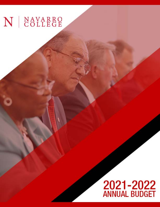## N | NAVARRO

# **2021-2022**<br>ANNUAL BUDGET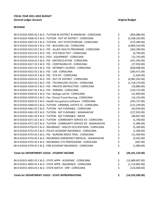## **REVENUE**

| 00-0-01015-4033-01 E & G : STATE MATCH - ORP : CORSICANA                                                                        | \$       | (125,000.00)                    |
|---------------------------------------------------------------------------------------------------------------------------------|----------|---------------------------------|
| 00-0-01015-4005-01 E & G : STATE APPR - INSURANCE : CORSICANA                                                                   | \$       | (1,714,892.00)                  |
| 00-0-01015-4001-01 E & G : STATE APPR - ACADEMIC : CORSICANA                                                                    | \$       | (12,689,697.00)                 |
| Totals for DEPARTMENT: 01010 - STUDENT INCOME                                                                                   | \$       | (20, 191, 134.00)               |
| 00-0-01010-4759-01 E & G : FIRE ACADEMY INSURANCE : CORSICANA                                                                   | \$       | (1,080.00)                      |
| 00-0-01010-4755-01 E & G : INSURANCE-CTE PROFESSIONS : CORSICANA                                                                | \$       | (407.00)                        |
| 00-0-01010-4754-02 E & G : INSURANCE EMERGENCY MEDICAL : WAXAHACHIE                                                             | \$       | (3,432.00)                      |
| 00-0-01010-4753-01 E & G : FEE - NURSING MOCK TRIAL : CORSICANA                                                                 | \$       | (11,400.00)                     |
| 00-0-01010-4752-01 E & G : POLICE ACADEMY INSURANCE : CORSICANA                                                                 | \$       | (1,300.00)                      |
| 00-0-01010-4750-01 E & G : INSURANCE - HEALTH OCCUPATIONS : CORSICANA                                                           | \$       | (5,369.00)                      |
| 00-0-01010-4371-02 E & G : TUITION - COMMUNITY SERVICE ED : WAXAHACHIE                                                          | \$       | (1,986.00)                      |
| 00-0-01010-4371-01 E & G : TUITION - COMMUNITY SERVICE ED : CORSICANA                                                           | \$       | (1,700.00)                      |
| 00-0-01010-4361-03 E & G : TUITION - N/C FUNDABLE : MEXIA                                                                       | \$       | (86,967.00)                     |
| 00-0-01010-4361-02 E & G : TUITION - N/C FUNDABLE : WAXAHACHIE                                                                  | \$       | (127, 933.00)                   |
| 00-0-01010-4361-01 E & G : TUITION - N/C FUNDABLE : CORSICANA                                                                   | \$       | (62,034.00)                     |
| 00-0-01010-4360-01 E & G : TUITION - CRIMINAL JUSTICE CE : CORSICANA                                                            | \$       | (121, 239.00)                   |
| 00-0-01010-4359-01 E & G : Health Occupations Software : CORSICANA                                                              | \$       | (345,737.00)                    |
| 00-0-01010-4339-01 E & G : Fee- Clinical Travel Nursing : CORSICANA                                                             | \$       | (16, 155.00)                    |
| 00-0-01010-4330-01 E & G : Fee - Biology Lab Kit: CORSICANA                                                                     | \$       | (21,840.00)                     |
| 00-0-01010-4327-01 E & G : FEE - PARKING : CORSICANA                                                                            | \$       | (143, 722.00)                   |
| 00-0-01010-4326-01 E & G : FEE - PRIVATE INSTRUCTION : CORSICANA                                                                | \$       | (10,880.00)                     |
| 00-0-01010-4325-01 E & G : FEE - TECHNOLOGY ACCESS : CORSICANA                                                                  | \$       | (1,718,170.00)                  |
| 00-0-01010-4324-01 E & G : FEE - OUT OF DISTRICT : CORSICANA                                                                    | \$       | (4,982,292.00)                  |
| 00-0-01010-4323-01 E & G : FEE - OTA KIT : CORSICANA                                                                            | \$       | (1,620.00)                      |
| 00-0-01010-4322-01 E & G: FEE - LAB: CORSICANA                                                                                  | \$       | (283, 471.00)                   |
| 00-0-01010-4321-01 E & G : FEE - INTERNET COURSES : CORSICANA                                                                   | \$       | (828,908.00)                    |
| 00-0-01010-4317-01 E & G : FEE - CONTINUING ED : CORSICANA                                                                      | \$       | (27,950.00)                     |
| 00-0-01010-4316-01 E & G : FEE - MATRICULATION : CORSICANA                                                                      | \$       | (431,595.00)                    |
| 00-0-01010-4314-01 E & G : FEES - EQUIPMENT : CORSICANA                                                                         | \$       | (12,743.00)                     |
| 00-0-01010-4313-01 E & G : FEE - OTA DRUG TEST : CORSICANA                                                                      | \$       | (6,790.00)                      |
| 00-0-01010-4312-01 E & G : FEE - ALLIED HEALTH PROGRAMS : CORSICANA                                                             | \$<br>\$ | (3,804,519.00)<br>(363, 200.00) |
| 00-0-01010-4307-01 E & G : TUITION - OUT STATE/FOREIGN : CORSICANA<br>00-0-01010-4310-01 E & G : FEE - BUILDING USE : CORSICANA | \$       | (572, 389.00)                   |
| 00-0-01010-4306-01 E & G : TUITION - OUT OF DISTRICT : CORSICANA                                                                | \$       | (5,338,220.00)                  |
| 00-0-01010-4305-01 E & G : TUITION-IN DISTRICT & MINIMUM : CORSICANA                                                            | \$       | (856,086.00)                    |
|                                                                                                                                 |          |                                 |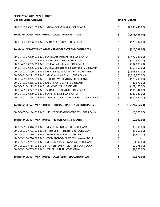| 00-0-01017-4501-01 E & G : AD VALOREM TAXES : CORSICANA               | \$<br>(4,838,446.00)    |
|-----------------------------------------------------------------------|-------------------------|
| Totals for DEPARTMENT: 01017 - LOCAL APPROPRIATIONS                   | \$<br>(4,838,446.00)    |
| 00-0-03020-4296-01 E & G : SBDC STATE 2021 : CORSICANA                | \$<br>(125, 737.00)     |
| <b>Totals for DEPARTMENT: 03020 - STATE GRANTS AND CONTRACTS</b>      | \$<br>(125, 737.00)     |
| 00-0-04010-4200-01 E & G : CARES Act-Student Aid : CORSICANA          | \$<br>(5,477,228.00)    |
| 00-0-04010-4202-01 E & G : CARES Act - SBDC : CORSICANA               | \$<br>(100, 534.00)     |
| 00-0-04010-4205-01 E & G : CRRSA-Institutional : CORSICANA            | \$<br>(794,009.29)      |
| 00-0-04010-4206-01 E & G : CRRSA-Strengthening Institutio : CORSICANA | \$<br>(369,950.00)      |
| 00-0-04010-4209-01 E & G : ARP - Institutional Portion : CORSICANA    | \$<br>(7,508,570.00)    |
| 00-0-04010-4211-01 E & G : AEL Combined Funds : CORSICANA             | \$<br>(1,012,971.00)    |
| 00-0-04010-4225-01 E & G : FEDERAL WORKSTUDY : CORSICANA              | \$<br>(173, 291.00)     |
| 00-0-04010-4268-01 E & G : ABE - PROF DEV Y3 : CORSICANA              | \$<br>(20, 673.00)      |
| 00-0-04010-4273-01 E & G : AEL CIVICS Y3 : CORSICANA                  | \$<br>(109, 165.00)     |
| 00-0-04010-4277-01 E & G : SBDC FEDERAL 2020 : CORSICANA              | \$<br>(191, 744.00)     |
| 00-0-04010-4289-01 E & G : CARL PERKINS : CORSICANA                   | \$<br>(336,042.00)      |
| 00-0-04010-4294-01 E & G : TRIO - STUDENT SUPPORT SVCS : CORSICANA    | \$<br>(430, 540.00)     |
| Totals for DEPARTMENT: 04010 - FEDERAL GRANTS AND CONTRACTS           | \$<br>(16, 524, 717.29) |
| 00-0-04050-4144-01 E & G : HIGHER EDUCATION CENTERS : CORSICANA       | \$<br>(10,000.00)       |
| Totals for DEPARTMENT: 04050 - PRIVATE GIFTS & GRANTS                 | \$<br>(10,000.00)       |
| 00-0-05010-4346-01 E & G : MISC CONTINUING ED : CORSICANA             | \$<br>(9,798.00)        |
| 00-0-05010-4703-01 E & G : Ticket Sales - Planetarium : CORSICANA     | \$<br>(3,000.00)        |
| 00-0-05010-4739-01 E & G : PEARCE MUSUEM : CORSICANA                  | \$<br>(5,604.00)        |
| 00-0-05010-4746-02 E & G : COSMETOLOGY SERVICES : WAXAHACHIE          | \$                      |
| 00-0-05010-4747-01 E & G : Museum Special Programs : CORSICANA        | \$<br>(396.00)          |
| 00-0-05010-4758-01 E & G : N C RETIREMENT MGT FEE : CORSICANA         | \$<br>(11, 178.00)      |
| 00-0-05010-4765-01 E & G : FEE-DRUG TEST : CORSICANA                  | \$<br>(2,700.00)        |
| Totals for DEPARTMENT: 05010 - SALES/SERV - EDUCATIONAL ACT.          | \$<br>(32, 676.00)      |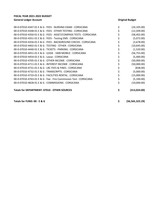| <b>Totals for DEPARTMENT: 07010 - OTHER SOURCES</b>               | \$<br>(313, 024.00) |
|-------------------------------------------------------------------|---------------------|
| 00-0-07010-4828-01 E & G : COMMISSIONS : CORSICANA                | (10,000.00)         |
| 00-0-07010-4763-01 E & G : Fee - Fire Commission Test : CORSICANA | (5,100.00)          |
| 00-0-07010-4733-01 E & G : FACILITIES RENTAL : CORSICANA          | (15,000.00)         |
| 00-0-07010-4732-01 E & G : TRANSCRIPTS : CORSICANA                | (5,000.00)          |
| 00-0-07010-4731-01 E & G : LRC FEES & FINES : CORSICANA           | (838.00)            |
| 00-0-07010-4711-01 E & G : INTEREST INCOME : CORSICANA            | (50,000.00)         |
| 00-0-07010-4705-01 E & G : OTHER INCOME : CORSICANA               | (50,000.00)         |
| 00-0-07010-4454-01 E & G : Lease : CORSICANA                      | (5,400.00)          |
| 00-0-07010-4451-01 E & G : LEASE - SWB MOBILE : CORSICANA         | (56, 755.00)        |
| 00-0-07010-4440-01 E & G : TICKETS - PARKING : CORSICANA          | (1,520.00)          |
| 00-0-07010-4402-01 E & G : TESTING - OTHER : CORSICANA            | (10,645.00)         |
| 00-0-07010-4356-01 E & G : FEES - BACKGROUND CHECKS : CORSICANA   | (2,678.00)          |
| 00-0-07010-4351-01 E & G : FEES - Testing EMS : CORSICANA         | (5,072.00)          |
| 00-0-07010-4350-01 E & G : FEES - ASSET/COMPASS TESTS : CORSICANA | (58,402.00)         |
| 00-0-07010-4348-01 E & G : FEES - OTHER TESTING : CORSICANA       | (12,509.00)         |
| 00-0-07010-4347-01 E & G : FEES - NURSING EXAM : CORSICANA        | (24, 105.00)        |

Totals for FUND: 00 - E & G **\$** (56,565,323.29)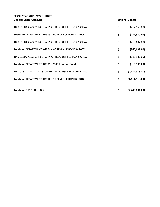| Totals for FUND: 10 - I & S                                 | \$<br>(2,243,691.00) |
|-------------------------------------------------------------|----------------------|
| Totals for DEPARTMENT: 02310 - NC REVENUE BONDS - 2012      | \$<br>(1,411,513.00) |
| 10-0-02310-4523-01   & S : APPRO - BLDG USE FEE : CORSICANA | \$<br>(1,411,513.00) |
| Totals for DEPARTMENT: 02305 - 2009 Revenue Bond            | \$<br>(313, 936.00)  |
| 10-0-02305-4523-01   & S : APPRO - BLDG USE FEE : CORSICANA | \$<br>(313,936.00)   |
| Totals for DEPARTMENT: 02304 - NC REVENUE BONDS - 2007      | \$<br>(260, 692.00)  |
| 10-0-02304-4523-01   & S : APPRO - BLDG USE FEE : CORSICANA | \$<br>(260, 692.00)  |
| Totals for DEPARTMENT: 02303 - NC REVENUE BONDS - 2006      | \$<br>(257, 550.00)  |
| 10-0-02303-4523-01   & S : APPRO - BLDG USE FEE : CORSICANA | \$<br>(257, 550.00)  |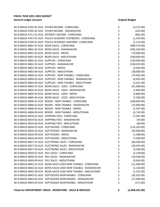| 30-0-06010-4705-01 AUX: OTHER INCOME: CORSICANA                   | \$       | (3,272.00)    |
|-------------------------------------------------------------------|----------|---------------|
| 30-0-06010-4705-02 AUX : OTHER INCOME : WAXAHACHIE                | \$       | (243.00)      |
| 30-0-06010-4711-01 AUX : INTEREST INCOME : CORSICANA              | \$       | (862.00)      |
| 30-0-06010-4767-01 AUX : POLICE ACADEMY TEXTBOOKS : CORSICANA     | \$       | (1,529.00)    |
| 30-0-06010-4769-01 AUX : POLICE ACADEMY UNIFORM : CORSICANA       | \$       | (1,213.00)    |
| 30-0-06010-4801-01 AUX: BOOK SALES: CORSICANA                     | \$       | (989, 479.00) |
| 30-0-06010-4801-02 AUX : BOOK SALES : WAXAHACHIE                  | \$       | (495, 420.00) |
| 30-0-06010-4801-03 AUX: BOOK SALES: MEXIA                         | \$       | (70,000.00)   |
| 30-0-06010-4801-04 AUX : BOOK SALES : MIDLOTHIAN                  | \$       | (200,000.00)  |
| 30-0-06010-4802-01 AUX: SUPPLIES: CORSICANA                       | \$       | (120,000.00)  |
| 30-0-06010-4802-02 AUX : SUPPLIES : WAXAHACHIE                    | \$       | (140, 033.00) |
| 30-0-06010-4802-03 AUX: SUPPLIES: MEXIA                           | \$       | (2,044.00)    |
| 30-0-06010-4802-04 AUX : SUPPLIES : MIDLOTHIAN                    | \$       | (28,000.00)   |
| 30-0-06010-4804-01 AUX : SUPPLIES - NON TAXABLE : CORSICANA       | \$       | (74, 482.00)  |
| 30-0-06010-4804-02 AUX : SUPPLIES - NON TAXABLE : WAXAHACHIE      |          | (6,955.00)    |
| 30-0-06010-4804-04 AUX : SUPPLIES - NON TAXABLE : MIDLOTHIAN      | \$<br>\$ | (2,541.00)    |
| 30-0-06010-4805-01 AUX : BOOK SALES - USED : CORSICANA            | \$       | (41,098.00)   |
| 30-0-06010-4805-02 AUX : BOOK SALES - USED : WAXAHACHIE           | \$       | (7,683.00)    |
| 30-0-06010-4805-03 AUX: BOOK SALES - USED: MEXIA                  | \$       | (5,806.00)    |
| 30-0-06010-4805-04 AUX : BOOK SALES - USED : MIDLOTHIAN           | \$       | (7,500.00)    |
| 30-0-06010-4806-01 AUX : BOOKS - NON TAXABLE : CORSICANA          | \$       | (266,600.00)  |
| 30-0-06010-4806-02 AUX : BOOKS - NON TAXABLE : WAXAHACHIE         | \$       | (15,000.00)   |
| 30-0-06010-4806-03 AUX : BOOKS - NON TAXABLE : MEXIA              | \$       | (1,567.00)    |
| 30-0-06010-4806-04 AUX : BOOKS - NON TAXABLE : MIDLOTHIAN         | \$       | (4,742.00)    |
| 30-0-06010-4819-01 AUX: SHIPPING FEES: CORSICANA                  | \$       | (7, 387.00)   |
| 30-0-06010-4819-02 AUX : SHIPPING FEES : WAXAHACHIE               | \$       | (50.00)       |
| 30-0-06010-4819-04 AUX: SHIPPING FEES: MIDLOTHIAN                 | \$       | (60.00)       |
| 30-0-06010-4826-01 AUX: SOFTGOODS: CORSICANA                      | \$       | (116, 203.00) |
| 30-0-06010-4826-02 AUX : SOFTGOODS : WAXAHACHIE                   | \$       | (42,000.00)   |
| 30-0-06010-4826-03 AUX: SOFTGOODS: MEXIA                          | \$       | (1,388.00)    |
| 30-0-06010-4826-04 AUX : SOFTGOODS : MIDLOTHIAN                   | \$       | (7,000.00)    |
| 30-0-06010-4827-01 AUX : ELECTRONIC SALES : CORSICANA             | Ś        | (66,300.00)   |
| 30-0-06010-4827-02 AUX : ELECTRONIC SALES : WAXAHACHIE            | \$       | (26, 454.00)  |
| 30-0-06010-4827-04 AUX : ELECTRONIC SALES : MIDLOTHIAN            | \$       | (3,500.00)    |
| 30-0-06010-4830-01 AUX : DELI SALES : CORSICANA                   | \$       | (2,228.00)    |
| 30-0-06010-4830-02 AUX : DELI SALES : WAXAHACHIE                  | \$       | (19,548.00)   |
| 30-0-06010-4830-04 AUX : DELI SALES : MIDLOTHIAN                  | \$       | (3,656.00)    |
| 30-0-06010-4842-01 AUX : BOOK SALES USED NON TAXABLE : CORSICANA  | \$       | (11,400.00)   |
| 30-0-06010-4842-02 AUX : BOOK SALES USED NON TAXABLE : WAXAHACHIE | \$       | (1,120.00)    |
| 30-0-06010-4842-04 AUX : BOOK SALES USED NON TAXABLE : MIDLOTHIAN | \$       | (1,255.00)    |
| 30-0-06010-4843-01 AUX : SOFTGOODS NONTAXABLE : CORSICANA         | \$       | (35, 202.00)  |
| 30-0-06010-4843-02 AUX : SOFTGOODS NONTAXABLE : WAXAHACHIE        | \$       | (17,090.00)   |
| 30-0-06010-4843-04 AUX : SOFTGOODS NONTAXABLE : MIDLOTHIAN        | \$       | (271.00)      |
|                                                                   |          |               |

**Totals for DEPARTMENT: 06010 - BOOKSTORE - SALES & SERVICES \$ (2,848,181.00)**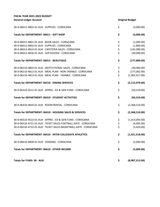| FISCAL YEAR 2021-2022 BUDGET                                      |                |                        |
|-------------------------------------------------------------------|----------------|------------------------|
| <b>General Ledger Account</b>                                     |                | <b>Original Budget</b> |
| 30-0-06011-4802-01 AUX: SUPPLIES: CORSICANA                       | \$             | (3,000.00)             |
| Totals for DEPARTMENT: 06011 - GIFT SHOP                          | \$             | (3,000.00)             |
| 30-0-06012-4801-01 AUX: BOOK SALES: CORSICANA                     | \$             | (1,000.00)             |
| 30-0-06012-4802-01 AUX: SUPPLIES: CORSICANA                       |                | (1,800.00)             |
| 30-0-06012-4814-01 AUX : CAFETERIA SALES : CORSICANA              | \$<br>\$<br>\$ | (145,000.00)           |
| 30-0-06012-4826-01 AUX: SOFTGOODS: CORSICANA                      |                | (30,000.00)            |
| <b>Totals for DEPARTMENT: 06012 - BEAUTIQUE</b>                   | \$             | (177, 800.00)          |
| 30-0-06210-4803-01 AUX : INSTITUTIONAL SALES : CORSICANA          | \$             | (30,000.00)            |
| 30-0-06210-4812-01 AUX : MEAL PLAN - NON TAXABLE : CORSICANA      | \$             | (177,062.00)           |
| 30-0-06210-4813-01 AUX: MEAL PLAN - TAXABLE: CORSICANA            | \$             | (1,905,917.00)         |
| <b>Totals for DEPARTMENT: 06210 - DINING SERVICES</b>             | \$             | (2, 112, 979.00)       |
| 30-0-06310-4522-01 AUX : APPRO - ED & GEN FUND : CORSICANA        | \$             | (50, 319.00)           |
| Totals for DEPARTMENT: 06310 - STUDENT ACTIVITIES                 | \$             | (50, 319.00)           |
| 30-0-06410-4820-01 AUX: ROOM RENTAL: CORSICANA                    | \$             | (2,368,516.00)         |
| Totals for DEPARTMENT: 06410 - HOUSING SALES & SERVICES           | \$             | (2,368,516.00)         |
| 30-0-06510-4522-01 AUX: APPRO - ED & GEN FUND: CORSICANA          | \$             | (1,414,093.00)         |
| 30-0-06510-4721-01 AUX : TICKET SALES-FOOTBALL GATE : CORSICANA   | \$             | (4,005.00)             |
| 30-0-06510-4722-01 AUX : TICKET SALES-BASKETBALL GATE : CORSICANA | \$             | (3,420.00)             |
| Totals for DEPARTMENT: 06510 - INTER COLLEGIATE ATHLETICS         | \$             | (1,421,518.00)         |
| 30-0-06610-4800-01 AUX : VENDING : CORSICANA                      | \$             | (5,000.00)             |
| Totals for DEPARTMENT: 06610 - OTHER INCOME                       | \$             | (5,000.00)             |
|                                                                   |                |                        |

**Totals for FUND: 30 - AUX \$ (8,987,313.00)**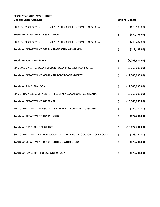| 50-0-53372-4933-01 SCHOL: UNREST. SCHOLARSHIP INCOME: CORSICANA        | \$<br>(679, 105.00)     |
|------------------------------------------------------------------------|-------------------------|
| <b>Totals for DEPARTMENT: 53372 - TEOG</b>                             | \$<br>(679, 105.00)     |
| 50-0-53374-4933-01 SCHOL: UNREST. SCHOLARSHIP INCOME: CORSICANA        | \$<br>(419, 482.00)     |
| Totals for DEPARTMENT: 53374 - STATE SCHOLARSHIP (IN)                  | \$<br>(419, 482.00)     |
| <b>Totals for FUND: 50 - SCHOL</b>                                     | \$<br>(1,098,587.00)    |
| 60-0-60030-4177-01 LOAN: STUDENT LOAN PROCEEDS: CORSICANA              | \$<br>(11,000,000.00)   |
| Totals for DEPARTMENT: 60030 - STUDENT LOANS - DIRECT                  | \$<br>(11,000,000.00)   |
| <b>Totals for FUND: 60 - LOAN</b>                                      | \$<br>(11,000,000.00)   |
| 70-0-07100-4175-01 OPP GRANT: FEDERAL ALLOCATIONS: CORSICANA           | \$<br>(13,000,000.00)   |
| <b>Totals for DEPARTMENT: 07100 - PELL</b>                             | \$<br>(13,000,000.00)   |
| 70-0-07101-4175-01 OPP GRANT: FEDERAL ALLOCATIONS: CORSICANA           | \$<br>(177, 781.00)     |
| <b>Totals for DEPARTMENT: 07101 - SEOG</b>                             | \$<br>(177, 781.00)     |
| <b>Totals for FUND: 70 - OPP GRANT</b>                                 | \$<br>(13, 177, 781.00) |
| 80-0-08101-4175-01 FEDERAL WORKSTUDY : FEDERAL ALLOCATIONS : CORSICANA | \$<br>(173, 291.00)     |
| Totals for DEPARTMENT: 08101 - COLLEGE WORK STUDY                      | \$<br>(173, 291.00)     |
| Totals for FUND: 80 - FEDERAL WORKSTUDY                                | \$<br>(173, 291.00)     |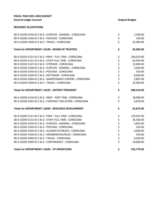## **RESOURCE ALLOCATIONS**

| 00-0-10100-5230-01 E & G : SUPPLIES - GENERAL : CORSICANA  | \$   | 1,500.00   |
|------------------------------------------------------------|------|------------|
| 00-0-10100-5240-01 E & G : POSTAGE : CORSICANA             | \$   | 100.00     |
| 00-0-10100-5400-01 E & G : TRAVEL : CORSICANA              | \$   | 25,000.00  |
| Totals for DEPARTMENT: 10100 - BOARD OF TRUSTEES           | \$   | 26,600.00  |
| 00-0-10105-5121-01 E & G : PROF - FULL TIME : CORSICANA    | \$   | 264,610.00 |
| 00-0-10105-5131-01 E & G : STAFF-FULL TIME : CORSICANA     | \$   | 62,993.00  |
| 00-0-10105-5137-01 E & G: STIPENDS: CORSICANA              |      | 12,000.00  |
| 00-0-10105-5230-01 E & G : SUPPLIES - GENERAL : CORSICANA  |      | 2,650.00   |
| 00-0-10105-5240-01 E & G : POSTAGE : CORSICANA             |      | 350.00     |
| 00-0-10105-5260-01 E & G : SOFTWARE : CORSICANA            | やややや | 8,000.00   |
| 00-0-10105-5384-01 E & G : MAINTENANCE-COPIERS : CORSICANA |      | 2,807.00   |
| 00-0-10105-5400-01 E & G: TRAVEL: CORSICANA                |      | 35,000.00  |
| Totals for DEPARTMENT: 10105 - DISTRICT PRESIDENT          | \$   | 388,410.00 |
| 00-0-10200-5126-01 E & G : PROF - PART TIME : CORSICANA    | \$   | 18,996.00  |
| 00-0-10200-5562-01 E & G : CONTRACT SER-OTHER : CORSICANA  | \$   | 6,878.00   |
| Totals for DEPARTMENT: 10200 - RESOURCE DEVELOPMENT        | \$   | 25,874.00  |
| 00-0-10205-5121-01 E & G : PROF - FULL TIME : CORSICANA    | \$   | 129,647.00 |
| 00-0-10205-5131-01 E & G : STAFF-FULL TIME : CORSICANA     | \$   | 35,568.00  |
| 00-0-10205-5230-01 E & G : SUPPLIES - GENERAL : CORSICANA  |      | 3,855.00   |
| 00-0-10205-5240-01 E & G : POSTAGE : CORSICANA             |      | 250.00     |
| 00-0-10205-5320-01 E & G : ALUMNI OUTREACH : CORSICANA     |      | 9,000.00   |
| 00-0-10205-5330-01 E & G: MEMBERSHIPS/DUES: CORSICANA      | やややや | 250.00     |
| 00-0-10205-5400-01 E & G: TRAVEL: CORSICANA                |      | 4,200.00   |
| 00-0-10205-5999-01 E & G : CONTINGENCY : CORSICANA         | \$   | 10,000.00  |
| <b>Totals for DEPARTMENT: 10205 - VP OPERATIONS</b>        | \$   | 192,770.00 |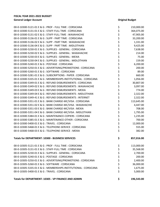| 00-0-10300-5121-01 E & G : PROF - FULL TIME : CORSICANA          | \$       | 210,000.00 |
|------------------------------------------------------------------|----------|------------|
| 00-0-10300-5131-01 E & G : STAFF-FULL TIME : CORSICANA           | \$       | 364,075.00 |
| 00-0-10300-5131-02 E & G : STAFF-FULL TIME : WAXAHACHIE          | \$       | 47,905.00  |
| 00-0-10300-5136-01 E & G : SUPP - PART TIME : CORSICANA          | \$       | 33,200.00  |
| 00-0-10300-5136-02 E & G : SUPP - PART TIME : WAXAHACHIE         | \$       | 1,331.00   |
| 00-0-10300-5136-04 E & G : SUPP - PART TIME : MIDLOTHIAN         | \$       | 9,425.00   |
| 00-0-10300-5230-01 E & G : SUPPLIES - GENERAL : CORSICANA        | \$       | 7,638.00   |
| 00-0-10300-5230-02 E & G : SUPPLIES - GENERAL : WAXAHACHIE       | \$       | 214.00     |
| 00-0-10300-5230-03 E & G : SUPPLIES - GENERAL : MEXIA            | \$       | 75.00      |
| 00-0-10300-5230-04 E & G : SUPPLIES - GENERAL : MIDLOTHIAN       |          | 159.00     |
| 00-0-10300-5240-01 E & G : POSTAGE : CORSICANA                   | \$<br>\$ | 6,200.00   |
| 00-0-10300-5250-01 E & G: ADVERTISING/PROMOTIONS: CORSICANA      | \$       | 200.00     |
| 00-0-10300-5260-01 E & G : SOFTWARE : CORSICANA                  |          | 89.00      |
| 00-0-10300-5281-01 E & G : SUBSCRIPTIONS - PAPER : CORSICANA     | \$<br>\$ | 660.00     |
| 00-0-10300-5335-01 E & G: MEMBERSHIPS-INSTITUTIONAL: CORSICANA   |          | 1,056.00   |
| 00-0-10300-5349-01 E & G: REFUND DISBURSEMENTS: CORSICANA        | \$<br>\$ | 30,807.00  |
| 00-0-10300-5349-02 E & G : REFUND DISBURSEMENTS : WAXAHACHIE     | \$       | 3,097.00   |
| 00-0-10300-5349-03 E & G : REFUND DISBURSEMENTS : MEXIA          |          | 774.00     |
| 00-0-10300-5349-04 E & G : REFUND DISBURSEMENTS : MIDLOTHIAN     | \$<br>\$ | 2,322.00   |
| 00-0-10300-5349-41 E & G : REFUND DISBURSEMENTS : INTERNET       | \$       | 2,322.00   |
| 00-0-10300-5351-01 E & G : BANK CHARGE-MC/VISA : CORSICANA       | \$<br>\$ | 113,645.00 |
| 00-0-10300-5351-02 E & G : BANK CHARGE-MC/VISA : WAXAHACHIE      |          | 4,447.00   |
| 00-0-10300-5351-03 E & G: BANK CHARGE-MC/VISA: MEXIA             | \$       | 708.00     |
| 00-0-10300-5351-04 E & G: BANK CHARGE-MC/VISA: MIDLOTHIAN        | \$<br>\$ | 1,795.00   |
| 00-0-10300-5384-01 E & G : MAINTENANCE-COPIERS : CORSICANA       |          | 1,235.00   |
| 00-0-10300-5385-01 E & G : MAINTENANCE-OTHER : CORSICANA         | \$       | 700.00     |
| 00-0-10300-5400-01 E & G: TRAVEL: CORSICANA                      | \$       | 12,000.00  |
| 00-0-10300-5468-01 E & G : TELEPHONE-SERVICE : CORSICANA         | \$       | 555.00     |
| 00-0-10300-5468-03 E & G : TELEPHONE-SERVICE : MEXIA             | \$       | 382.00     |
| Totals for DEPARTMENT: 10300 - BUSINESS SERVICES                 | Ş        | 857,016.00 |
| 00-0-10305-5121-01 E & G : PROF - FULL TIME : CORSICANA          | \$       | 113,000.00 |
| 00-0-10305-5131-01 E & G : STAFF-FULL TIME : CORSICANA           | \$       | 35,568.00  |
| 00-0-10305-5230-01 E & G : SUPPLIES - GENERAL : CORSICANA        | \$       | 2,700.00   |
| 00-0-10305-5240-01 E & G : POSTAGE : CORSICANA                   | \$       | 200.00     |
| 00-0-10305-5250-01 E & G : ADVERTISING/PROMOTIONS : CORSICANA    | \$       | 2,400.00   |
| 00-0-10305-5260-01 E & G : SOFTWARE : CORSICANA                  | \$       | 36,000.00  |
| 00-0-10305-5335-01 E & G : MEMBERSHIPS-INSTITUTIONAL : CORSICANA | \$       | 1,675.00   |
| 00-0-10305-5400-01 E & G : TRAVEL : CORSICANA                    | \$       | 5,000.00   |
| Totals for DEPARTMENT: 10305 - VP FINANCE AND ADMIN              | \$       | 196,543.00 |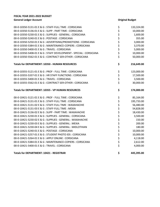| 00-0-10350-5131-01 E & G : STAFF-FULL TIME : CORSICANA             | \$          | 133,324.00 |
|--------------------------------------------------------------------|-------------|------------|
| 00-0-10350-5136-01 E & G : SUPP - PART TIME : CORSICANA            |             | 10,000.00  |
| 00-0-10350-5230-01 E & G : SUPPLIES - GENERAL : CORSICANA          |             | 1,600.00   |
| 00-0-10350-5240-01 E & G : POSTAGE : CORSICANA                     |             | 355.00     |
| 00-0-10350-5250-01 E & G : ADVERTISING/PROMOTIONS : CORSICANA      |             | 3,000.00   |
| 00-0-10350-5384-01 E & G : MAINTENANCE-COPIERS : CORSICANA         |             | 3,370.00   |
| 00-0-10350-5400-01 E & G: TRAVEL: CORSICANA                        |             | 5,000.00   |
| 00-0-10350-5408-01 E & G : STAFF DEVELOPMENT - SPECIAL : CORSICANA | ぐぐぐらぐ       | 10,000.00  |
| 00-0-10350-5562-01 E & G: CONTRACT SER-OTHER: CORSICANA            |             | 50,000.00  |
| <b>Totals for DEPARTMENT: 10350 - HUMAN RESOURCES</b>              | \$          | 216,649.00 |
| 00-0-10355-5121-01 E & G : PROF - FULL TIME : CORSICANA            |             | 123,000.00 |
| 00-0-10355-5337-01 E & G : HR STAFF FUNCTIONS : CORSICANA          | ややみ         | 17,500.00  |
| 00-0-10355-5400-01 E & G: TRAVEL: CORSICANA                        |             | 3,500.00   |
| 00-0-10355-5562-01 E & G : CONTRACT SER-OTHER : CORSICANA          |             | 30,000.00  |
| Totals for DEPARTMENT: 10355 - VP HUMAN RESOURCES                  | \$          | 174,000.00 |
| 00-0-10421-5121-01 E & G : PROF - FULL TIME : CORSICANA            | \$          | 85,164.00  |
| 00-0-10421-5131-01 E & G : STAFF-FULL TIME : CORSICANA             |             | 195,733.00 |
| 00-0-10421-5131-02 E & G : STAFF-FULL TIME : WAXAHACHIE            |             | 56,480.00  |
| 00-0-10421-5131-03 E & G : STAFF-FULL TIME : MEXIA                 |             | 54,828.00  |
| 00-0-10421-5136-02 E & G : SUPP - PART TIME : WAXAHACHIE           |             | 18,430.00  |
| 00-0-10421-5230-01 E & G : SUPPLIES - GENERAL : CORSICANA          |             | 3,500.00   |
| 00-0-10421-5230-02 E & G : SUPPLIES - GENERAL : WAXAHACHIE         |             | 150.00     |
| 00-0-10421-5230-03 E & G : SUPPLIES - GENERAL : MEXIA              |             | 200.00     |
| 00-0-10421-5230-04 E & G : SUPPLIES - GENERAL : MIDLOTHIAN         |             | 180.00     |
| 00-0-10421-5240-01 E & G : POSTAGE : CORSICANA                     |             | 10,000.00  |
| 00-0-10421-5257-01 E & G : STUDENT PHOTO IDS : CORSICANA           |             | 10,000.00  |
| 00-0-10421-5264-01 E & G : APPLY ONLINE : CORSICANA                |             | 4,118.00   |
| 00-0-10421-5384-01 E & G : MAINTENANCE-COPIERS : CORSICANA         | ややややややややややや | 2,612.00   |
| 00-0-10421-5400-01 E & G : TRAVEL : CORSICANA                      |             | 4,000.00   |
|                                                                    |             |            |

## **Totals for DEPARTMENT: 10421 - REGISTRAR \$ 445,395.00**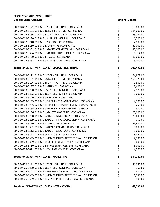| 00-0-10422-5121-01 E & G : PROF - FULL TIME : CORSICANA          | \$       | 65,000.00  |
|------------------------------------------------------------------|----------|------------|
| 00-0-10422-5131-01 E & G : STAFF-FULL TIME : CORSICANA           | \$       | 114,000.00 |
| 00-0-10422-5136-01 E & G : SUPP - PART TIME : CORSICANA          | \$       | 45,182.00  |
| 00-0-10422-5230-01 E & G : SUPPLIES - GENERAL : CORSICANA        |          | 6,500.00   |
| 00-0-10422-5240-01 E & G : POSTAGE : CORSICANA                   | \$<br>\$ | 2,500.00   |
| 00-0-10422-5260-01 E & G : SOFTWARE : CORSICANA                  |          | 32,000.00  |
| 00-0-10422-5301-01 E & G : ADMISSION MATERIALS : CORSICANA       |          | 20,000.00  |
| 00-0-10422-5384-01 E & G : MAINTENANCE-COPIERS : CORSICANA       |          | 1,314.00   |
| 00-0-10422-5400-01 E & G: TRAVEL: CORSICANA                      | \$\$\$\$ | 12,000.00  |
| 00-0-10422-5551-01 E & G : EVENTS - TOP DAWG : CORSICANA         | \$       | 5,000.00   |
| Totals for DEPARTMENT: 10422 - STUDENT RECRUITING                | \$       | 303,496.00 |
| 00-0-10423-5121-01 E & G : PROF - FULL TIME : CORSICANA          | \$       | 84,872.00  |
| 00-0-10423-5131-01 E & G : STAFF-FULL TIME : CORSICANA           |          | 159,729.00 |
| 00-0-10423-5136-01 E & G : SUPP - PART TIME : CORSICANA          | \$<br>\$ | 1,500.00   |
| 00-0-10423-5137-01 E & G: STIPENDS: CORSICANA                    |          | 3,600.00   |
| 00-0-10423-5230-01 E & G : SUPPLIES - GENERAL : CORSICANA        | ややや      | 7,970.00   |
| 00-0-10423-5233-01 E & G : SUPPLIES - OTHER : CORSICANA          |          | 5,000.00   |
| 00-0-10423-5240-01 E & G : POSTAGE : CORSICANA                   |          | 10.00      |
| 00-0-10423-5255-01 E & G : EXPERIENCE MANAGEMENT : CORSICANA     |          | 4,300.00   |
| 00-0-10423-5255-02 E & G : EXPERIENCE MANAGEMENT : WAXAHACHIE    | \$       | 1,250.00   |
| 00-0-10423-5255-03 E & G : EXPERIENCE MANAGEMENT : MEXIA         | \$<br>\$ | 500.00     |
| 00-0-10423-5256-01 E & G : ADVERTISING PRINT : CORSICANA         |          | 28,000.00  |
| 00-0-10423-5258-01 E & G : ADVERTISING DIGITAL : CORSICANA       |          | 20,000.00  |
| 00-0-10423-5259-01 E & G: ADVERTISING SOCIAL MEDIA: CORSICANA    | \$\$\$   | 750.00     |
| 00-0-10423-5260-01 E & G : SOFTWARE : CORSICANA                  |          | 29,630.00  |
| 00-0-10423-5301-01 E & G : ADMISSION MATERIALS : CORSICANA       | \$<br>\$ | 5,000.00   |
| 00-0-10423-5312-01 E & G : ADVERTISING-RADIO : CORSICANA         |          | 3,000.00   |
| 00-0-10423-5321-01 E & G : CATALOGUE : CORSICANA                 | \$       | 8,841.00   |
| 00-0-10423-5335-01 E & G : MEMBERSHIPS-INSTITUTIONAL : CORSICANA | \$       | 2,790.00   |
| 00-0-10423-5359-01 E & G : COLLEGE DEVELOPMENT : CORSICANA       | \$       | 9,000.00   |
| 00-0-10423-5360-01 E & G : IMAGE ENHANCEMENT : CORSICANA         | \$       | 5,000.00   |
| 00-0-10423-6011-01 E & G : EQUIPMENT <5000 : CORSICANA           | \$       | 4,000.00   |
| Totals for DEPARTMENT: 10423 - MARKETING                         | \$       | 384,742.00 |
| 00-0-10425-5121-01 E & G : PROF - FULL TIME : CORSICANA          | \$       | 40,396.00  |
| 00-0-10425-5230-01 E & G : SUPPLIES - GENERAL : CORSICANA        | \$       | 750.00     |
| 00-0-10425-5243-01 E & G : INTERNATIONAL POSTAGE : CORSICANA     | \$<br>\$ | 500.00     |
| 00-0-10425-5335-01 E & G : MEMBERSHIPS-INSTITUTIONAL : CORSICANA |          | 1,250.00   |
| 00-0-10425-5539-01 E & G : EVENTS-INTL STUDENT DAY : CORSICANA   | \$       | 900.00     |
|                                                                  |          |            |

**Totals for DEPARTMENT: 10425 - INTERNATIONAL \$ 43,796.00**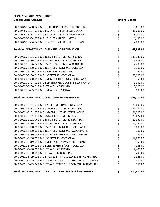| 00-0-10450-5468-04 E & G : TELEPHONE-SERVICE : MIDLOTHIAN        | \$       | 3,619.00   |
|------------------------------------------------------------------|----------|------------|
| 00-0-10450-5554-01 E & G : EVENTS - SPECIAL : CORSICANA          | \$       | 31,000.00  |
| 00-0-10450-5554-02 E & G : EVENTS - SPECIAL : WAXAHACHIE         |          | 5,000.00   |
| 00-0-10450-5554-03 E & G : EVENTS - SPECIAL : MEXIA              | \$\$\$   | 1,190.00   |
| 00-0-10450-5554-04 E & G : EVENTS - SPECIAL : MIDLOTHIAN         |          | 2,000.00   |
| <b>Totals for DEPARTMENT: 10450 - PUBLIC INFORMATION</b>         | \$       | 42,809.00  |
| 00-0-10520-5131-01 E & G : STAFF-FULL TIME : CORSICANA           | \$       | 139,383.00 |
| 00-0-10520-5136-01 E & G : SUPP - PART TIME : CORSICANA          | \$       | 9,576.00   |
| 00-0-10520-5136-02 E & G : SUPP - PART TIME : WAXAHACHIE         |          | 7,200.00   |
| 00-0-10520-5230-01 E & G : SUPPLIES - GENERAL : CORSICANA        | やややか ややや | 2,300.00   |
| 00-0-10520-5240-01 E & G : POSTAGE : CORSICANA                   |          | 50.00      |
| 00-0-10520-5260-01 E & G : SOFTWARE : CORSICANA                  |          | 30,000.00  |
| 00-0-10520-5330-01 E & G: MEMBERSHIPS/DUES: CORSICANA            |          | 753.00     |
| 00-0-10520-5384-01 E & G : MAINTENANCE-COPIERS : CORSICANA       |          | 3,200.00   |
| 00-0-10520-5400-01 E & G : TRAVEL : CORSICANA                    |          | 3,200.00   |
| 00-0-10520-5405-01 E & G : MEALS : CORSICANA                     |          | 108.00     |
| Totals for DEPARTMENT: 10520 - COUNSELING SERVICES               | \$       | 195,770.00 |
| 00-0-10521-5121-01 E & G : PROF - FULL TIME : CORSICANA          | \$       | 73,000.00  |
| 00-0-10521-5131-01 E & G : STAFF-FULL TIME : CORSICANA           |          | 231,732.00 |
| 00-0-10521-5131-02 E & G : STAFF-FULL TIME : WAXAHACHIE          | やややや ややや | 131,308.00 |
| 00-0-10521-5131-03 E & G : STAFF-FULL TIME : MEXIA               |          | 23,027.00  |
| 00-0-10521-5131-04 E & G : STAFF-FULL TIME : MIDLOTHIAN          |          | 83,932.00  |
| 00-0-10521-5136-01 E & G : SUPP - PART TIME : CORSICANA          |          | 10,241.00  |
| 00-0-10521-5230-01 E & G : SUPPLIES - GENERAL : CORSICANA        |          | 1,000.00   |
| 00-0-10521-5230-02 E & G : SUPPLIES - GENERAL : WAXAHACHIE       |          | 700.00     |
| 00-0-10521-5230-04 E & G : SUPPLIES - GENERAL : MIDLOTHIAN       |          | 220.00     |
| 00-0-10521-5260-01 E & G : SOFTWARE : CORSICANA                  |          | 14,600.00  |
| 00-0-10521-5319-01 E & G : MEET YOUR ADVISOR : CORSICANA         | \$       | 150.00     |
| 00-0-10521-5330-01 E & G: MEMBERSHIPS/DUES: CORSICANA            | \$       | 185.00     |
| 00-0-10521-5400-01 E & G : TRAVEL : CORSICANA                    | \$       | 2,400.00   |
| 00-0-10521-5400-04 E & G : TRAVEL : MIDLOTHIAN                   | \$       | 200.00     |
| 00-0-10521-5409-01 E & G : TRAVEL-STAFF DEVELOPMENT : CORSICANA  | \$<br>\$ | 1,325.00   |
| 00-0-10521-5409-02 E & G : TRAVEL-STAFF DEVELOPMENT : WAXAHACHIE |          | 400.00     |
| 00-0-10521-5409-04 E & G : TRAVEL-STAFF DEVELOPMENT : MIDLOTHIAN | \$       | 160.00     |
| Totals for DEPARTMENT: 10521 - ACADEMIC SUCCESS & RETENTION      | \$       | 574,580.00 |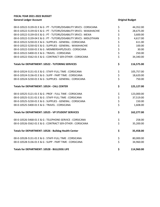| 00-0-10522-5139-01 E & G : PT - TUTORS/DISABILITY SRVCS : CORSICANA  |                | 44,352.00  |
|----------------------------------------------------------------------|----------------|------------|
| 00-0-10522-5139-02 E & G: PT - TUTORS/DISABILITY SRVCS: WAXAHACHIE   |                | 28,675.00  |
| 00-0-10522-5139-03 E & G: PT - TUTORS/DISABILITY SRVCS: MEXIA        | やややや やややや      | 3,600.00   |
| 00-0-10522-5139-04 E & G : PT - TUTORS/DISABILITY SRVCS : MIDLOTHIAN |                | 4,617.00   |
| 00-0-10522-5230-01 E & G : SUPPLIES - GENERAL : CORSICANA            |                | 611.00     |
| 00-0-10522-5230-02 E & G : SUPPLIES - GENERAL : WAXAHACHIE           |                | 100.00     |
| 00-0-10522-5330-01 E & G : MEMBERSHIPS/DUES : CORSICANA              |                | 30.00      |
| 00-0-10522-5400-01 E & G: TRAVEL: CORSICANA                          |                | 250.00     |
| 00-0-10522-5562-01 E & G : CONTRACT SER-OTHER : CORSICANA            |                | 34,340.00  |
| Totals for DEPARTMENT: 10522 - TUTORING SERVICES                     | \$             | 116,575.00 |
| 00-0-10524-5131-01 E & G : STAFF-FULL TIME : CORSICANA               | \$             | 105,757.00 |
| 00-0-10524-5136-01 E & G : SUPP - PART TIME : CORSICANA              | \$             | 18,620.00  |
| 00-0-10524-5230-01 E & G : SUPPLIES - GENERAL : CORSICANA            | \$             | 750.00     |
| <b>Totals for DEPARTMENT: 10524 - CALL CENTER</b>                    | \$             | 125,127.00 |
| 00-0-10525-5121-01 E & G : PROF - FULL TIME : CORSICANA              | \$             | 123,000.00 |
| 00-0-10525-5131-01 E & G : STAFF-FULL TIME : CORSICANA               |                | 37,519.00  |
| 00-0-10525-5230-01 E & G : SUPPLIES - GENERAL : CORSICANA            | \$<br>\$<br>\$ | 150.00     |
| 00-0-10525-5400-01 E & G: TRAVEL: CORSICANA                          |                | 1,608.00   |
| Totals for DEPARTMENT: 10525 - VP STUDENT SERVICES                   | \$             | 162,277.00 |
| 00-0-10526-5468-01 E & G : TELEPHONE-SERVICE : CORSICANA             | \$<br>\$       | 258.00     |
| 00-0-10526-5562-01 E & G : CONTRACT SER-OTHER : CORSICANA            |                | 35,200.00  |
| Totals for DEPARTMENT: 10526 - Bulldog Health Center                 | \$             | 35,458.00  |
| 00-0-10528-5131-01 E & G : STAFF-FULL TIME : CORSICANA               |                | 80,000.00  |
| 00-0-10528-5136-01 E & G : SUPP - PART TIME : CORSICANA              | \$<br>\$       | 34,960.00  |
| <b>Totals for DEPARTMENT: 10528 - BULLDOG LIFE</b>                   | \$             | 114,960.00 |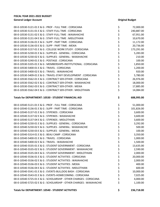| 00-0-10530-5121-01 E & G : PROF - FULL TIME : CORSICANA             | \$            | 72,000.00  |
|---------------------------------------------------------------------|---------------|------------|
| 00-0-10530-5131-01 E & G : STAFF-FULL TIME : CORSICANA              |               | 240,887.00 |
| 00-0-10530-5131-02 E & G : STAFF-FULL TIME : WAXAHACHIE             | \$<br>\$      | 67,951.00  |
| 00-0-10530-5131-04 E & G : STAFF-FULL TIME : MIDLOTHIAN             |               | 10,670.00  |
| 00-0-10530-5136-01 E & G : SUPP - PART TIME : CORSICANA             | ややややややややややややや | 11,172.00  |
| 00-0-10530-5136-03 E & G: SUPP - PART TIME: MEXIA                   |               | 20,736.00  |
| 00-0-10530-5157-01 E & G : COLLEGE WORK STUDY : CORSICANA           |               | 173,291.00 |
| 00-0-10530-5230-01 E & G : SUPPLIES - GENERAL : CORSICANA           |               | 5,283.00   |
| 00-0-10530-5230-02 E & G : SUPPLIES - GENERAL : WAXAHACHIE          |               | 210.00     |
| 00-0-10530-5240-01 E & G : POSTAGE : CORSICANA                      |               | 100.00     |
| 00-0-10530-5335-01 E & G : MEMBERSHIPS-INSTITUTIONAL : CORSICANA    |               | 1,850.00   |
| 00-0-10530-5400-01 E & G: TRAVEL: CORSICANA                         |               | 1,200.00   |
| 00-0-10530-5400-02 E & G : TRAVEL : WAXAHACHIE                      |               | 920.00     |
| 00-0-10530-5409-01 E & G: TRAVEL-STAFF DEVELOPMENT: CORSICANA       |               | 5,780.00   |
| 00-0-10530-5562-01 E & G : CONTRACT SER-OTHER : CORSICANA           |               | 26,976.00  |
| 00-0-10530-5562-02 E & G : CONTRACT SER-OTHER : WAXAHACHIE          |               | 18,000.00  |
| 00-0-10530-5562-03 E & G : CONTRACT SER-OTHER : MEXIA               |               | 17,885.00  |
| 00-0-10530-5562-04 E & G : CONTRACT SER-OTHER : MIDLOTHIAN          | \$            | 14,084.00  |
|                                                                     |               |            |
| Totals for DEPARTMENT: 10530 - STUDENT FINANCIAL AID                | \$            | 688,995.00 |
| 00-0-10540-5121-01 E & G : PROF - FULL TIME : CORSICANA             | \$            | 51,000.00  |
| 00-0-10540-5136-01 E & G : SUPP - PART TIME : CORSICANA             |               | 101,826.00 |
| 00-0-10540-5137-01 E & G : STIPENDS : CORSICANA                     | やややや ややや      | 3,600.00   |
| 00-0-10540-5137-02 E & G : STIPENDS : WAXAHACHIE                    |               | 3,600.00   |
| 00-0-10540-5137-04 E & G : STIPENDS : MIDLOTHIAN                    |               | 3,600.00   |
| 00-0-10540-5230-01 E & G : SUPPLIES - GENERAL : CORSICANA           |               | 3,292.00   |
| 00-0-10540-5230-02 E & G : SUPPLIES - GENERAL : WAXAHACHIE          |               | 500.00     |
| 00-0-10540-5230-03 E & G : SUPPLIES - GENERAL : MEXIA               |               | 100.00     |
| 00-0-10540-5314-01 E & G : BEAU CAMP : CORSICANA                    |               | 3,350.00   |
| 00-0-10540-5400-01 E & G: TRAVEL: CORSICANA                         |               | 1,000.00   |
| 00-0-10540-5400-02 E & G : TRAVEL : WAXAHACHIE                      | \$            | 1,500.00   |
| 00-0-10540-5535-01 E & G : STUDENT GOVERNMENT : CORSICANA           | \$            | 13,635.00  |
| 00-0-10540-5535-02 E & G : STUDENT GOVERNMENT : WAXAHACHIE          | \$            | 2,590.00   |
| 00-0-10540-5535-04 E & G : STUDENT GOVERNMENT : MIDLOTHIAN          | \$            | 2,000.00   |
| 00-0-10540-5536-01 E & G : STUDENT ACTIVITIES : CORSICANA           | \$            | 20,000.00  |
| 00-0-10540-5536-02 E & G : STUDENT ACTIVITIES : WAXAHACHIE          | \$            | 2,000.00   |
| 00-0-10540-5536-03 E & G: STUDENT ACTIVITIES: MEXIA                 | \$            | 400.00     |
| 00-0-10540-5536-04 E & G: STUDENT ACTIVITIES: MIDLOTHIAN            | \$            | 600.00     |
| 00-0-10540-5541-01 E & G : EVENTS-BULLDOG BASH : CORSICANA          | \$            | 10,000.00  |
| 00-0-10540-5543-01 E & G : EVENTS-HOMECOMING : CORSICANA            | \$            | 7,025.00   |
| 00-0-10540-5725-01 E & G : SCHOLARSHIP - OTHER CHARGES : CORSICANA  | \$            | 4,000.00   |
| 00-0-10540-5725-02 E & G : SCHOLARSHIP - OTHER CHARGES : WAXAHACHIE | \$            | 1,100.00   |
|                                                                     |               |            |

**Totals for DEPARTMENT: 10540 - STUDENT ACTIVITIES \$ 236,718.00**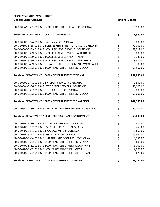| FISCAL YEAR 2021-2022 BUDGET                                     |          |                        |  |
|------------------------------------------------------------------|----------|------------------------|--|
| <b>General Ledger Account</b>                                    |          | <b>Original Budget</b> |  |
| 00-0-10542-5561-01 E & G : CONTRACT SER-OFFICIALS : CORSICANA    | \$       | 1,500.00               |  |
| <b>Totals for DEPARTMENT: 10542 - INTRAMURALS</b>                | \$       | 1,500.00               |  |
| 00-0-10600-5224-01 E & G: Advocacy: CORSICANA                    | \$       | 50,000.00              |  |
| 00-0-10600-5335-01 E & G : MEMBERSHIPS-INSTITUTIONAL : CORSICANA |          | 70,000.00              |  |
| 00-0-10600-5359-01 E & G : COLLEGE DEVELOPMENT : CORSICANA       |          | 58,518.00              |  |
| 00-0-10600-5359-02 E & G : COLLEGE DEVELOPMENT : WAXAHACHIE      |          | 8,000.00               |  |
| 00-0-10600-5359-03 E & G : COLLEGE DEVELOPMENT : MEXIA           |          | 1,385.00               |  |
| 00-0-10600-5359-04 E & G : COLLEGE DEVELOPMENT : MIDLOTHIAN      | ややや ややや  | 3,500.00               |  |
| 00-0-10600-5409-02 E & G : TRAVEL-STAFF DEVELOPMENT : WAXAHACHIE |          | 300.00                 |  |
| 00-0-10600-5562-01 E & G : CONTRACT SER-OTHER : CORSICANA        | \$       | 59,557.00              |  |
| Totals for DEPARTMENT: 10600 - GENERAL INSTITUTITIONAL           | \$       | 251,260.00             |  |
| 00-0-10601-5341-01 E & G : PROPERTY TAXES : CORSICANA            | \$       | 1,500.00               |  |
| 00-0-10601-5366-01 E & G : TAX OFFICE SERVICES : CORSICANA       |          | 85,000.00              |  |
| 00-0-10601-5367-01 E & G : TIF TAX FUND : CORSICANA              | \$\$\$   | 65,000.00              |  |
| 00-0-10601-5562-01 E & G: CONTRACT SER-OTHER: CORSICANA          |          | 90,000.00              |  |
| Totals for DEPARTMENT: 10601 - GENERAL INSTITUTIONAL FISCAL      | \$       | 241,500.00             |  |
| 00-0-10650-7130-01 E & G : BEN-EDUC. REIMBURSEMENT : CORSICANA   | \$       | 50,000.00              |  |
| Totals for DEPARTMENT: 10650 - PROFESSIONAL DEVELOPMENT          | \$       | 50,000.00              |  |
| 00-0-10700-5230-01 E & G : SUPPLIES - GENERAL : CORSICANA        | \$       | 500.00                 |  |
| 00-0-10700-5232-01 E & G : SUPPLIES - COPIER : CORSICANA         | \$       | 258.00                 |  |
| 00-0-10700-5241-01 E & G : POSTAGE METER : CORSICANA             | \$       | 5,865.00               |  |
| 00-0-10700-5371-01 E & G : GRANT MATCH : CORSICANA               | \$       | 10,527.00              |  |
| 00-0-10700-5384-01 E & G : MAINTENANCE-COPIERS : CORSICANA       |          | 8,351.00               |  |
| 00-0-10700-5562-01 E & G : CONTRACT SER-OTHER : CORSICANA        | \$<br>\$ | 6,609.00               |  |
| 00-0-10700-5562-02 E & G : CONTRACT SER-OTHER : WAXAHACHIE       | \$       | 3,000.00               |  |
| 00-0-10700-5562-03 E & G : CONTRACT SER-OTHER : MEXIA            | \$       | 2,000.00               |  |
| 00-0-10700-5562-04 E & G : CONTRACT SER-OTHER : MIDLOTHIAN       | \$       | 625.00                 |  |
| Totals for DEPARTMENT: 10700 - INSTITUTIONAL SUPPORT             | \$       | 37,735.00              |  |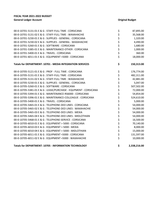| 00-0-10701-5131-01 E & G : STAFF-FULL TIME : CORSICANA           | \$       | 87,895.00    |
|------------------------------------------------------------------|----------|--------------|
| 00-0-10701-5131-02 E & G : STAFF-FULL TIME : WAXAHACHIE          | \$       | 35,568.00    |
| 00-0-10701-5230-01 E & G : SUPPLIES - GENERAL : CORSICANA        | \$       | 1,320.00     |
| 00-0-10701-5230-02 E & G : SUPPLIES - GENERAL : WAXAHACHIE       | \$       | 4,490.00     |
| 00-0-10701-5260-01 E & G : SOFTWARE : CORSICANA                  | \$       | 1,680.00     |
| 00-0-10701-5385-01 E & G: MAINTENANCE-OTHER: CORSICANA           | \$<br>\$ | 1,000.00     |
| 00-0-10701-5400-01 E & G: TRAVEL: CORSICANA                      |          | 360.00       |
| 00-0-10701-6011-01 E & G : EQUIPMENT <5000 : CORSICANA           | \$       | 18,000.00    |
| Totals for DEPARTMENT: 10701 - MEDIA INTEGRATION SERVICES        | \$       | 150,313.00   |
| 00-0-10705-5121-01 E & G : PROF - FULL TIME : CORSICANA          | \$       | 176,774.00   |
| 00-0-10705-5131-01 E & G : STAFF-FULL TIME : CORSICANA           | \$       | 482,311.00   |
| 00-0-10705-5131-02 E & G : STAFF-FULL TIME : WAXAHACHIE          |          | 42,881.00    |
| 00-0-10705-5230-01 E & G : SUPPLIES - GENERAL : CORSICANA        | \$\$\$   | 5,047.00     |
| 00-0-10705-5260-01 E & G : SOFTWARE : CORSICANA                  |          | 507,502.00   |
| 00-0-10705-5381-01 E & G : LEASE/PURCHASE - EQUPMENT : CORSICANA | \$\$\$   | 72,000.00    |
| 00-0-10705-5394-01 E & G : MAINTENANCE-RS6000 : CORSICANA        |          | 54,854.00    |
| 00-0-10705-5396-01 E & G : MAINTENANCE-COLLEAGUE : CORSICANA     |          | 524,610.00   |
| 00-0-10705-5400-01 E & G: TRAVEL: CORSICANA                      | \$<br>\$ | 5,000.00     |
| 00-0-10705-5465-01 E & G: TELEPHONE-DED LINES: CORSICANA         |          | 54,000.00    |
| 00-0-10705-5465-02 E & G : TELEPHONE-DED LINES : WAXAHACHIE      | \$       | 54,000.00    |
| 00-0-10705-5465-03 E & G : TELEPHONE-DED LINES : MEXIA           | \$\$\$   | 54,000.00    |
| 00-0-10705-5465-04 E & G : TELEPHONE-DED LINES : MIDLOTHIAN      |          | 54,000.00    |
| 00-0-10705-5468-01 E & G : TELEPHONE-SERVICE : CORSICANA         |          | 16,500.00    |
| 00-0-10705-6010-01 E & G : EQUIPMENT > 5000 : CORSICANA          | \$\$\$   | 70,140.00    |
| 00-0-10705-6010-03 E & G : EQUIPMENT > 5000 : MEXIA              |          | 8,000.00     |
| 00-0-10705-6010-04 E & G : EQUIPMENT > 5000 : MIDLOTHIAN         |          | 15,000.00    |
| 00-0-10705-6011-01 E & G : EQUIPMENT <5000 : CORSICANA           | \$<br>\$ | 131,597.00   |
| 00-0-10705-6011-02 E & G : EQUIPMENT <5000 : WAXAHACHIE          |          | 10,000.00    |
| Totals for DEPARTMENT: 10705 - INFORMATION TECHNOLOGY            | \$       | 2,338,216.00 |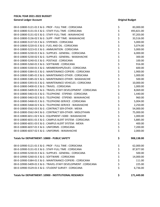| 00-0-10800-5121-01 E & G : PROF - FULL TIME : CORSICANA         | \$       | 83,000.00  |
|-----------------------------------------------------------------|----------|------------|
| 00-0-10800-5131-01 E & G : STAFF-FULL TIME : CORSICANA          | \$       | 493,821.00 |
| 00-0-10800-5131-02 E & G : STAFF-FULL TIME : WAXAHACHIE         | \$       | 97,203.00  |
| 00-0-10800-5136-02 E & G : SUPP - PART TIME : WAXAHACHIE        | \$       | 33,516.00  |
| 00-0-10800-5137-01 E & G : STIPENDS : CORSICANA                 | \$       | 5,000.00   |
| 00-0-10800-5220-01 E & G : FUEL AND OIL : CORSICANA             | \$       | 5,074.00   |
| 00-0-10800-5223-01 E & G : AMMUNITION : CORSICANA               | \$       | 5,000.00   |
| 00-0-10800-5230-01 E & G : SUPPLIES - GENERAL : CORSICANA       | \$<br>\$ | 6,000.00   |
| 00-0-10800-5230-02 E & G : SUPPLIES - GENERAL : WAXAHACHIE      |          | 300.00     |
| 00-0-10800-5240-01 E & G : POSTAGE : CORSICANA                  |          | 100.00     |
| 00-0-10800-5260-01 E & G: SOFTWARE: CORSICANA                   | \$\$\$   | 916.00     |
| 00-0-10800-5330-01 E & G: MEMBERSHIPS/DUES: CORSICANA           |          | 600.00     |
| 00-0-10800-5384-01 E & G : MAINTENANCE-COPIERS : CORSICANA      | \$<br>\$ | 1,900.00   |
| 00-0-10800-5385-01 E & G: MAINTENANCE-OTHER: CORSICANA          |          | 1,000.00   |
| 00-0-10800-5385-02 E & G: MAINTENANCE-OTHER: WAXAHACHIE         | \$       | 500.00     |
| 00-0-10800-5393-01 E & G : MAINTENANCE-VEHICLES : CORSICANA     | \$       | 10,000.00  |
| 00-0-10800-5400-01 E & G: TRAVEL: CORSICANA                     | \$       | 1,000.00   |
| 00-0-10800-5409-01 E & G : TRAVEL-STAFF DEVELOPMENT : CORSICANA | \$       | 8,069.00   |
| 00-0-10800-5463-01 E & G : TELEPHONE - STIPEND : CORSICANA      | \$<br>\$ | 1,440.00   |
| 00-0-10800-5463-02 E & G : TELEPHONE - STIPEND : WAXAHACHIE     |          | 960.00     |
| 00-0-10800-5468-01 E & G : TELEPHONE-SERVICE : CORSICANA        | \$<br>\$ | 5,004.00   |
| 00-0-10800-5468-02 E & G : TELEPHONE-SERVICE : WAXAHACHIE       |          | 2,250.00   |
| 00-0-10800-5562-03 E & G : CONTRACT SER-OTHER : MEXIA           | \$       | 54,000.00  |
| 00-0-10800-5562-04 E & G : CONTRACT SER-OTHER : MIDLOTHIAN      | \$<br>\$ | 75,000.00  |
| 00-0-10800-6011-02 E & G : EQUIPMENT <5000 : WAXAHACHIE         |          | 1,000.00   |
| 00-0-10800-6031-01 E & G : CAMPUS ALERT SYSTEM : CORSICANA      | \$       | 5,885.00   |
| 00-0-10800-6031-03 E & G : CAMPUS ALERT SYSTEM : MEXIA          | \$       | 400.00     |
| 00-0-10800-6037-01 E & G : UNIFORMS : CORSICANA                 | \$       | 7,200.00   |
| 00-0-10800-6037-02 E & G : UNIFORMS : WAXAHACHIE                | \$       | 2,000.00   |
| Totals for DEPARTMENT: 10800 - PUBLIC SAFETY                    | \$       | 908,138.00 |
| 00-0-10900-5121-01 E & G : PROF - FULL TIME : CORSICANA         | \$       | 62,000.00  |
| 00-0-10900-5131-01 E & G : STAFF-FULL TIME : CORSICANA          | \$       | 87,877.00  |
| 00-0-10900-5230-01 E & G : SUPPLIES - GENERAL : CORSICANA       | \$       | 500.00     |
| 00-0-10900-5260-01 E & G : SOFTWARE : CORSICANA                 | \$       | 14,000.00  |
| 00-0-10900-5384-01 E & G : MAINTENANCE-COPIERS : CORSICANA      |          | 111.00     |
| 00-0-10900-5409-01 E & G: TRAVEL-STAFF DEVELOPMENT: CORSICANA   | \$<br>\$ | 225.00     |
| 00-0-10900-5529-01 E & G : STUDENT SURVEY : CORSICANA           | \$       | 6,736.00   |
| Totals for DEPARTMENT: 10900 - INSTITUTIONAL RESEARCH           | \$       | 171,449.00 |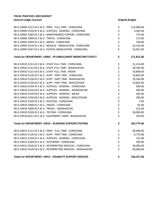| 00-0-10905-5121-01 E & G : PROF - FULL TIME : CORSICANA       | \$          | 113,000.00 |
|---------------------------------------------------------------|-------------|------------|
| 00-0-10905-5230-01 E & G : SUPPLIES - GENERAL : CORSICANA     |             | 3,365.00   |
| 00-0-10905-5384-01 E & G : MAINTENANCE-COPIERS : CORSICANA    |             | 733.00     |
| 00-0-10905-5400-01 E & G: TRAVEL: CORSICANA                   |             | 513.00     |
| 00-0-10905-5405-01 E & G : MEALS : CORSICANA                  | やみやみ        | 108.00     |
| 00-0-10905-5510-01 E & G : REGALIA - GRADUATION : CORSICANA   |             | 20,145.00  |
| 00-0-10905-5547-01 E & G : EVENTS-GRADUATION : CORSICANA      |             | 33,951.00  |
| Totals for DEPARTMENT: 10905 - VP ENROLLMENT MGMT/INST EFFECT | \$          | 171,815.00 |
| 00-0-10910-5131-01 E & G : STAFF-FULL TIME : CORSICANA        | \$          | 31,216.00  |
| 00-0-10910-5131-02 E & G : STAFF-FULL TIME : WAXAHACHIE       | \$          | 28,284.00  |
| 00-0-10910-5131-03 E & G : STAFF-FULL TIME : MEXIA            | \$          | 33,898.00  |
| 00-0-10910-5136-01 E & G : SUPP - PART TIME : CORSICANA       |             | 19,865.00  |
| 00-0-10910-5136-02 E & G : SUPP - PART TIME : WAXAHACHIE      |             | 20,349.00  |
| 00-0-10910-5136-04 E & G : SUPP - PART TIME : MIDLOTHIAN      | ぐうさくさい こうさく | 19,865.00  |
| 00-0-10910-5230-01 E & G : SUPPLIES - GENERAL : CORSICANA     |             | 640.00     |
| 00-0-10910-5230-02 E & G : SUPPLIES - GENERAL : WAXAHACHIE    |             | 400.00     |
| 00-0-10910-5230-03 E & G : SUPPLIES - GENERAL : MEXIA         |             | 285.00     |
| 00-0-10910-5230-04 E & G : SUPPLIES - GENERAL : MIDLOTHIAN    |             | 300.00     |
| 00-0-10910-5240-01 E & G : POSTAGE : CORSICANA                |             | 5.00       |
| 00-0-10910-5400-01 E & G: TRAVEL: CORSICANA                   |             | 65.00      |
| 00-0-10910-5400-02 E & G : TRAVEL : WAXAHACHIE                |             | 252.00     |
| 00-0-10910-5520-01 E & G: TESTING: CORSICANA                  |             | 28,000.00  |
| 00-0-10910-6011-02 E & G : EQUIPMENT <5000 : WAXAHACHIE       | \$          | 350.00     |
| Totals for DEPARTMENT: 10910 - ACADEMIC SUPPORT/TESTING       | \$          | 183,774.00 |
| 00-0-10915-5121-01 E & G : PROF - FULL TIME : CORSICANA       | \$          | 60,000.00  |
| 00-0-10915-5136-01 E & G : SUPP - PART TIME : CORSICANA       |             | 9,776.00   |
| 00-0-10915-5230-01 E & G : SUPPLIES - GENERAL : CORSICANA     |             | 161.00     |
| 00-0-10915-5260-01 E & G : SOFTWARE : CORSICANA               |             | 290.00     |
| 00-0-10915-5526-01 E & G: INTERPRETING SERVICES: CORSICANA    | ぐぐぐ         | 30,000.00  |
| 00-0-10915-5526-02 E & G : INTERPRETING SERVICES : WAXAHACHIE |             | 60,000.00  |
| Totals for DEPARTMENT: 10915 - DISABILITY SUPPORT SERVICES    | \$          | 160,227.00 |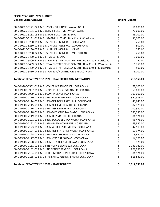| 00-0-10920-5121-02 E & G : PROF - FULL TIME : WAXAHACHIE                       | \$       | 61,800.00    |
|--------------------------------------------------------------------------------|----------|--------------|
| 00-0-10920-5131-02 E & G : STAFF-FULL TIME : WAXAHACHIE                        | \$       | 72,000.00    |
| 00-0-10920-5131-03 E & G: STAFF-FULL TIME: MEXIA                               | \$       | 36,000.00    |
| 00-0-10920-5131-61 E & G : STAFF-FULL TIME : Dual Credit - Corsicana           | \$<br>\$ | 36,000.00    |
| 00-0-10920-5230-01 E & G : SUPPLIES - GENERAL : CORSICANA                      |          | 250.00       |
| 00-0-10920-5230-02 E & G : SUPPLIES - GENERAL : WAXAHACHIE                     |          | 500.00       |
| 00-0-10920-5230-03 E & G : SUPPLIES - GENERAL : MEXIA                          | \$<br>\$ | 250.00       |
| 00-0-10920-5230-04 E & G : SUPPLIES - GENERAL : MIDLOTHIAN                     | \$       | 250.00       |
| 00-0-10920-5400-03 E & G: TRAVEL: MEXIA                                        | \$       | 1,000.00     |
| 00-0-10920-5409-61 E & G: TRAVEL-STAFF DEVELOPMENT : Dual Credit - Corsicana   | \$       | 250.00       |
| 00-0-10920-5409-62 E & G : TRAVEL-STAFF DEVELOPMENT : Dual Credit - Waxahachie | \$       | 1,750.00     |
| 00-0-10920-5409-64 E & G : TRAVEL-STAFF DEVELOPMENT : Dual Credit - Midlothian | \$       | 500.00       |
| 00-0-10920-5410-04 E & G: TRAVEL-P/R CONTRACTS: MIDLOTHIAN                     | \$       | 6,000.00     |
| Totals for DEPARTMENT: 10920 - DUAL CREDIT ADMINISTRATION                      | \$       | 216,550.00   |
| 00-0-19900-5562-01 E & G : CONTRACT SER-OTHER : CORSICANA                      | \$       | 72,000.00    |
| 00-0-19900-5997-01 E & G : CONTINGENCY - SALARY : CORSICANA                    | \$       | 350,000.00   |
| 00-0-19900-5999-01 E & G : CONTINGENCY : CORSICANA                             |          | 100,000.00   |
| 00-0-19900-7110-01 E & G : BEN-EMP RETIREMENT : CORSICANA                      | \$\$\$   | 957,518.00   |
| 00-0-19900-7114-01 E & G : BEN-NSE DEP HEALTH INS : CORSICANA                  |          | 49,643.00    |
| 00-0-19900-7115-01 E & G : BEN-NSE EMP HEALTH : CORSICANA                      |          | 87,475.00    |
| 00-0-19900-7116-01 E & G : BEN-NSE RETIREE INS : CORSICANA                     | \$<br>\$ | 200,980.00   |
| 00-0-19900-7118-01 E & G: BEN-MEDICARE TAX MATCH: CORSICANA                    | \$       | 280,230.00   |
| 00-0-19900-7119-01 E & G : BEN-ORP MATCH : CORSICANA                           | \$       | 84,124.00    |
| 00-0-19900-7121-01 E & G : BEN-SOCIAL SEC TAX MATCH : CORSICANA                | \$<br>\$ | 95,475.00    |
| 00-0-19900-7122-01 E & G : BEN-UNEMP COMP INS : CORSICANA                      |          | 63,390.00    |
| 00-0-19900-7123-01 E & G : BEN-WORKERS COMP INS : CORSICANA                    | \$<br>\$ | 42,113.00    |
| 00-0-19900-7124-01 E & G : BEN-NSE STATE RET MATCH : CORSICANA                 |          | 50,974.00    |
| 00-0-19900-7125-01 E & G : BEN-ORP DIFFERENTIAL : CORSICANA                    | \$       | 8,620.00     |
| 00-0-19900-7127-01 E & G : BEN - TRS 1ST 90 DAYS : CORSICANA                   | \$       | 14,170.00    |
| 00-0-19900-7128-01 E & G : BEN - TRS NSE 1ST 90 DAYS : CORSICANA               | \$       | 425.00       |
| 00-0-19900-7131-01 E & G : INS ACTIVE STATE EL. : CORSICANA                    |          | 2,731,082.00 |
| 00-0-19900-7132-01 E & G : INS RETIREE STATE EL. : CORSICANA                   | \$<br>\$ | 828,957.00   |
| 00-0-19900-7134-01 E & G : ORP EMPLOYER (NC) SHARE : CORSICANA                 | \$       | 84,124.00    |
| 00-0-19900-7135-01 E & G : TRS EMPLOYER (NC) SHARE : CORSICANA                 | \$       | 515,839.00   |
| Totals for DEPARTMENT: 19900 - STAFF BENEFITS                                  | \$       | 6,617,139.00 |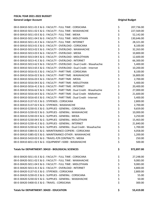| 00-0-30410-5011-01 E & G : FACULTY - FULL TIME : CORSICANA                | \$       | 207,736.00 |
|---------------------------------------------------------------------------|----------|------------|
| 00-0-30410-5011-02 E & G : FACULTY - FULL TIME : WAXAHACHIE               | \$       | 227,569.00 |
| 00-0-30410-5011-03 E & G : FACULTY - FULL TIME : MEXIA                    | \$       | 52,142.00  |
| 00-0-30410-5011-04 E & G : FACULTY - FULL TIME : MIDLOTHIAN               | \$       | 130,646.00 |
| 00-0-30410-5011-41 E & G : FACULTY - FULL TIME : INTERNET                 | \$       | 28,321.00  |
| 00-0-30410-5013-01 E & G : FACULTY - OVERLOAD : CORSICANA                 | \$       | 8,100.00   |
| 00-0-30410-5013-02 E & G : FACULTY - OVERLOAD : WAXAHACHIE                | \$       | 32,263.00  |
| 00-0-30410-5013-03 E & G : FACULTY - OVERLOAD : MEXIA                     | \$<br>\$ | 10,800.00  |
| 00-0-30410-5013-04 E & G : FACULTY - OVERLOAD : MIDLOTHIAN                |          | 12,600.00  |
| 00-0-30410-5013-41 E & G : FACULTY - OVERLOAD : INTERNET                  | \$       | 66,300.00  |
| 00-0-30410-5013-62 E & G : FACULTY - OVERLOAD : Dual Credit - Waxahachie  | \$       | 5,400.00   |
| 00-0-30410-5013-65 E & G : FACULTY - OVERLOAD : Dual Credit - Internet    | \$       | 10,200.00  |
| 00-0-30410-5016-01 E & G : FACULTY - PART TIME : CORSICANA                | \$       | 8,100.00   |
| 00-0-30410-5016-02 E & G : FACULTY - PART TIME : WAXAHACHIE               | \$       | 16,800.00  |
| 00-0-30410-5016-03 E & G : FACULTY - PART TIME : MEXIA                    | \$       | 2,700.00   |
| 00-0-30410-5016-04 E & G : FACULTY - PART TIME : MIDLOTHIAN               | \$<br>\$ | 5,400.00   |
| 00-0-30410-5016-41 E & G : FACULTY - PART TIME : INTERNET                 |          | 20,400.00  |
| 00-0-30410-5016-62 E & G : FACULTY - PART TIME : Dual Credit - Waxahachie | \$       | 27,000.00  |
| 00-0-30410-5016-64 E & G : FACULTY - PART TIME : Dual Credit - Midlothian | \$<br>\$ | 21,600.00  |
| 00-0-30410-5016-65 E & G : FACULTY - PART TIME : Dual Credit - Internet   |          | 5,400.00   |
| 00-0-30410-5137-01 E & G : STIPENDS : CORSICANA                           | \$       | 2,800.00   |
| 00-0-30410-5137-02 E & G : STIPENDS : WAXAHACHIE                          | \$       | 2,700.00   |
| 00-0-30410-5230-01 E & G : SUPPLIES - GENERAL : CORSICANA                 | \$       | 9,659.00   |
| 00-0-30410-5230-02 E & G : SUPPLIES - GENERAL : WAXAHACHIE                | \$       | 10,000.00  |
| 00-0-30410-5230-03 E & G : SUPPLIES - GENERAL : MEXIA                     | \$       | 3,250.00   |
| 00-0-30410-5230-04 E & G : SUPPLIES - GENERAL : MIDLOTHIAN                | \$       | 15,463.00  |
| 00-0-30410-5230-41 E & G : SUPPLIES - GENERAL : INTERNET                  | \$       | 21,840.00  |
| 00-0-30410-5230-62 E & G : SUPPLIES - GENERAL : Dual Credit - Waxahachie  | \$       | 1,700.00   |
| 00-0-30410-5384-01 E & G : MAINTENANCE-COPIERS : CORSICANA                | \$       | 4,058.00   |
| 00-0-30410-5385-02 E & G : MAINTENANCE-OTHER : WAXAHACHIE                 | \$       | 1,200.00   |
| 00-0-30410-5410-03 E & G: TRAVEL-P/R CONTRACTS: MEXIA                     | \$       | 250.00     |
| 00-0-30410-6011-02 E & G : EQUIPMENT <5000 : WAXAHACHIE                   | \$       | 500.00     |
| Totals for DEPARTMENT: 30410 - BIOLOGICAL SCIENCES                        | \$       | 972,897.00 |
| 00-0-30420-5011-01 E & G : FACULTY - FULL TIME : CORSICANA                | \$       | 27,248.00  |
| 00-0-30420-5011-02 E & G : FACULTY - FULL TIME : WAXAHACHIE               | \$       | 9,083.00   |
| 00-0-30420-5011-04 E & G : FACULTY - FULL TIME : MIDLOTHIAN               |          | 9,083.00   |
| 00-0-30420-5013-41 E & G : FACULTY - OVERLOAD : INTERNET                  | \$<br>\$ | 4,800.00   |
| 00-0-30420-5137-01 E & G: STIPENDS: CORSICANA                             |          | 2,800.00   |
| 00-0-30420-5230-01 E & G : SUPPLIES - GENERAL : CORSICANA                 | \$\$\$   | 55.00      |
| 00-0-30420-5230-02 E & G : SUPPLIES - GENERAL : WAXAHACHIE                |          | 50.00      |
| 00-0-30420-5400-01 E & G: TRAVEL: CORSICANA                               | \$       | 300.00     |
|                                                                           |          |            |

**Totals for DEPARTMENT: 30420 - EDUCATION \$ 53,419.00**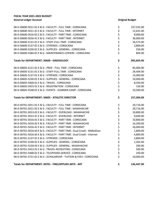| 00-0-30600-5011-01 E & G : FACULTY - FULL TIME : CORSICANA                | \$      | 227,533.00 |
|---------------------------------------------------------------------------|---------|------------|
| 00-0-30600-5011-41 E & G : FACULTY - FULL TIME : INTERNET                 |         | 12,641.00  |
| 00-0-30600-5016-01 E & G : FACULTY - PART TIME : CORSICANA                |         | 9,000.00   |
| 00-0-30600-5016-41 E & G : FACULTY - PART TIME : INTERNET                 |         | 36,000.00  |
| 00-0-30600-5131-01 E & G : STAFF-FULL TIME : CORSICANA                    | ややや ややや | 16,575.00  |
| 00-0-30600-5137-01 E & G : STIPENDS : CORSICANA                           |         | 2,800.00   |
| 00-0-30600-5230-01 E & G : SUPPLIES - GENERAL : CORSICANA                 |         | 250.00     |
| 00-0-30600-5384-01 E & G : MAINTENANCE-COPIERS : CORSICANA                |         | 804.00     |
| Totals for DEPARTMENT: 30600 - KINESIOLOGY                                | \$      | 305,603.00 |
| 00-0-30605-5121-01 E & G : PROF - FULL TIME : CORSICANA                   | \$      | 85,000.00  |
| 00-0-30605-5131-01 E & G : STAFF-FULL TIME : CORSICANA                    |         | 28,404.00  |
| 00-0-30605-5137-01 E & G : STIPENDS : CORSICANA                           | やややや    | 14,900.00  |
| 00-0-30605-5230-01 E & G : SUPPLIES - GENERAL : CORSICANA                 |         | 10,000.00  |
| 00-0-30605-5400-01 E & G: TRAVEL: CORSICANA                               |         | 8,350.00   |
| 00-0-30605-5425-01 E & G : REGISTRATION : CORSICANA                       |         | 150.00     |
| 00-0-30605-5548-01 E & G : EVENTS - SUMMER CAMP : CORSICANA               | \$      | 10,500.00  |
| <b>Totals for DEPARTMENT: 30605 - ATHLETIC DIRECTOR</b>                   | \$      | 157,304.00 |
| 00-0-30701-5011-01 E & G : FACULTY - FULL TIME : CORSICANA                | \$      | 20,716.00  |
| 00-0-30701-5011-02 E & G : FACULTY - FULL TIME : WAXAHACHIE               |         | 20,716.00  |
| 00-0-30701-5013-02 E & G : FACULTY - OVERLOAD : WAXAHACHIE                | ぐぐぐぐぐ   | 10,800.00  |
| 00-0-30701-5013-41 E & G : FACULTY - OVERLOAD : INTERNET                  |         | 9,600.00   |
| 00-0-30701-5016-01 E & G : FACULTY - PART TIME : CORSICANA                |         | 10,800.00  |
| 00-0-30701-5016-02 E & G : FACULTY - PART TIME : WAXAHACHIE               |         | 16,200.00  |
| 00-0-30701-5016-41 E & G : FACULTY - PART TIME : INTERNET                 |         | 26,000.00  |
| 00-0-30701-5016-64 E & G : FACULTY - PART TIME : Dual Credit - Midlothian |         | 1,800.00   |
| 00-0-30701-5016-65 E & G : FACULTY - PART TIME : Dual Credit - Internet   |         | 4,800.00   |
| 00-0-30701-5137-01 E & G : STIPENDS : CORSICANA                           |         | 2,800.00   |
| 00-0-30701-5230-01 E & G : SUPPLIES - GENERAL : CORSICANA                 | \$      | 1,265.00   |
| 00-0-30701-5230-02 E & G : SUPPLIES - GENERAL : WAXAHACHIE                | \$      | 200.00     |
| 00-0-30701-5412-01 E & G : TRAVEL-RECRUITING : CORSICANA                  | \$      | 500.00     |
| 00-0-30701-5468-01 E & G : TELEPHONE-SERVICE : CORSICANA                  | \$      | 250.00     |
| 00-0-30701-5721-01 E & G : SCHOLARSHIP - TUITION & FEES : CORSICANA       | \$      | 10,000.00  |
| Totals for DEPARTMENT: 30701 - FINE/APPLIED ARTS - ART                    | \$      | 136,447.00 |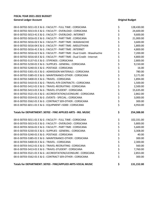| 00-0-30702-5011-01 E & G : FACULTY - FULL TIME : CORSICANA                | \$       | 128,430.00 |
|---------------------------------------------------------------------------|----------|------------|
| 00-0-30702-5013-01 E & G : FACULTY - OVERLOAD : CORSICANA                 | \$       | 24,600.00  |
| 00-0-30702-5013-41 E & G : FACULTY - OVERLOAD : INTERNET                  | \$       | 9,600.00   |
| 00-0-30702-5016-01 E & G : FACULTY - PART TIME : CORSICANA                |          | 21,000.00  |
| 00-0-30702-5016-02 E & G : FACULTY - PART TIME : WAXAHACHIE               | \$<br>\$ | 3,600.00   |
| 00-0-30702-5016-04 E & G : FACULTY - PART TIME : MIDLOTHIAN               | \$       | 1,800.00   |
| 00-0-30702-5016-41 E & G : FACULTY - PART TIME : INTERNET                 | \$<br>\$ | 4,800.00   |
| 00-0-30702-5016-62 E & G : FACULTY - PART TIME : Dual Credit - Waxahachie |          | 7,200.00   |
| 00-0-30702-5016-65 E & G : FACULTY - PART TIME : Dual Credit - Internet   | \$       | 4,800.00   |
| 00-0-30702-5137-01 E & G : STIPENDS : CORSICANA                           | \$<br>\$ | 2,800.00   |
| 00-0-30702-5230-01 E & G : SUPPLIES - GENERAL : CORSICANA                 |          | 9,150.00   |
| 00-0-30702-5240-01 E & G : POSTAGE : CORSICANA                            |          | 16.00      |
| 00-0-30702-5301-01 E & G : ADMISSION MATERIALS : CORSICANA                | \$\$\$   | 780.00     |
| 00-0-30702-5385-01 E & G: MAINTENANCE-OTHER: CORSICANA                    |          | 3,171.00   |
| 00-0-30702-5400-01 E & G: TRAVEL: CORSICANA                               |          | 1,894.00   |
| 00-0-30702-5410-01 E & G: TRAVEL-P/R CONTRACTS: CORSICANA                 | \$\$\$   | 1,500.00   |
| 00-0-30702-5412-01 E & G : TRAVEL-RECRUITING : CORSICANA                  |          | 2,500.00   |
| 00-0-30702-5413-01 E & G: TRAVEL-STUDENT: CORSICANA                       | \$<br>\$ | 15,635.00  |
| 00-0-30702-5521-01 E & G : ACCREDITATION/LICENSURE : CORSICANA            |          | 2,862.00   |
| 00-0-30702-5554-01 E & G : EVENTS - SPECIAL : CORSICANA                   | \$<br>\$ | 3,000.00   |
| 00-0-30702-5562-01 E & G : CONTRACT SER-OTHER : CORSICANA                 |          | 300.00     |
| 00-0-30702-6011-01 E & G : EQUIPMENT <5000 : CORSICANA                    | \$       | 4,950.00   |
| Totals for DEPARTMENT: 30702 - FINE APPLIED ARTS - INS. MUSIC             | \$       | 254,388.00 |
| 00-0-30703-5011-01 E & G : FACULTY - FULL TIME : CORSICANA                | \$       | 102,331.00 |
| 00-0-30703-5013-01 E & G : FACULTY - OVERLOAD : CORSICANA                 | \$       | 5,800.00   |
| 00-0-30703-5016-01 E & G : FACULTY - PART TIME : CORSICANA                |          | 5,600.00   |
| 00-0-30703-5230-01 E & G : SUPPLIES - GENERAL : CORSICANA                 | \$<br>\$ | 3,308.00   |
| 00-0-30703-5240-01 E & G : POSTAGE : CORSICANA                            | \$       | 40.00      |
| 00-0-30703-5385-01 E & G: MAINTENANCE-OTHER: CORSICANA                    | \$       | 300.00     |
| 00-0-30703-5400-01 E & G: TRAVEL: CORSICANA                               |          | 2,300.00   |
| 00-0-30703-5412-01 E & G : TRAVEL-RECRUITING : CORSICANA                  | \$       | 560.00     |
| 00-0-30703-5413-01 E & G : TRAVEL-STUDENT : CORSICANA                     | \$       | 7,760.00   |
| 00-0-30703-5521-01 E & G : ACCREDITATION/LICENSURE : CORSICANA            | \$       | 2,853.00   |
| 00-0-30703-5562-01 E & G : CONTRACT SER-OTHER : CORSICANA                 | \$       | 300.00     |
| Totals for DEPARTMENT: 30703 - FINE/APPLIED ARTS-VOCAL MUSIC              | \$       | 131,152.00 |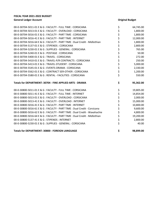| 00-0-30704-5011-01 E & G : FACULTY - FULL TIME : CORSICANA                | \$         | 64,745.00 |
|---------------------------------------------------------------------------|------------|-----------|
| 00-0-30704-5013-01 E & G : FACULTY - OVERLOAD : CORSICANA                 | \$         | 1,800.00  |
| 00-0-30704-5016-01 E & G : FACULTY - PART TIME : CORSICANA                | \$         | 1,800.00  |
| 00-0-30704-5016-41 E & G : FACULTY - PART TIME : INTERNET                 | \$         | 12,000.00 |
| 00-0-30704-5016-64 E & G : FACULTY - PART TIME : Dual Credit - Midlothian | \$         | 1,800.00  |
| 00-0-30704-5137-01 E & G: STIPENDS: CORSICANA                             |            | 2,800.00  |
| 00-0-30704-5230-01 E & G : SUPPLIES - GENERAL : CORSICANA                 | \$<br>\$   | 765.00    |
| 00-0-30704-5240-01 E & G : POSTAGE : CORSICANA                            | \$         | 50.00     |
| 00-0-30704-5400-01 E & G: TRAVEL: CORSICANA                               | \$         | 272.00    |
| 00-0-30704-5410-01 E & G : TRAVEL-P/R CONTRACTS : CORSICANA               |            | 250.00    |
| 00-0-30704-5413-01 E & G : TRAVEL-STUDENT : CORSICANA                     |            | 5,000.00  |
| 00-0-30704-5545-01 E & G : EVENTS-DRAMA : CORSICANA                       | \$\$\$\$\$ | 2,330.00  |
| 00-0-30704-5562-01 E & G : CONTRACT SER-OTHER : CORSICANA                 |            | 1,200.00  |
| 00-0-30704-5580-01 E & G : RENTAL - FACILITIES : CORSICANA                |            | 550.00    |
|                                                                           |            |           |
| Totals for DEPARTMENT: 30704 - FINE APPLIED ARTS - DRAMA                  | \$         | 95,362.00 |
| 00-0-30800-5011-01 E & G : FACULTY - FULL TIME : CORSICANA                |            | 19,805.00 |
| 00-0-30800-5011-41 E & G : FACULTY - FULL TIME : INTERNET                 | \$         | 14,854.00 |
| 00-0-30800-5013-01 E & G : FACULTY - OVERLOAD : CORSICANA                 |            | 2,000.00  |
| 00-0-30800-5013-41 E & G : FACULTY - OVERLOAD : INTERNET                  | \$\$\$     | 15,000.00 |
| 00-0-30800-5016-41 E & G : FACULTY - PART TIME : INTERNET                 |            | 10,800.00 |
| 00-0-30800-5016-61 E & G : FACULTY - PART TIME : Dual Credit - Corsicana  |            | 9,600.00  |
| 00-0-30800-5016-62 E & G : FACULTY - PART TIME : Dual Credit - Waxahachie | \$\$\$     | 4,800.00  |
| 00-0-30800-5016-64 E & G : FACULTY - PART TIME : Dual Credit - Midlothian |            | 19,200.00 |
| 00-0-30800-5137-41 E & G: STIPENDS: INTERNET                              | \$<br>\$   | 2,800.00  |
| 00-0-30800-5230-01 E & G : SUPPLIES - GENERAL : CORSICANA                 | \$         | 40.00     |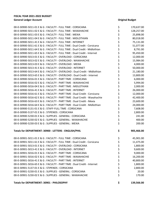| 00-0-30900-5011-01 E & G : FACULTY - FULL TIME : CORSICANA                | \$       | 170,637.00 |
|---------------------------------------------------------------------------|----------|------------|
| 00-0-30900-5011-02 E & G : FACULTY - FULL TIME : WAXAHACHIE               | \$       | 128,257.00 |
| 00-0-30900-5011-03 E & G : FACULTY - FULL TIME : MEXIA                    | \$       | 25,898.00  |
| 00-0-30900-5011-04 E & G : FACULTY - FULL TIME : MIDLOTHIAN               | \$       | 80,018.00  |
| 00-0-30900-5011-41 E & G : FACULTY - FULL TIME : INTERNET                 |          | 75,131.00  |
| 00-0-30900-5011-61 E & G : FACULTY - FULL TIME : Dual Credit - Corsicana  | \$<br>\$ | 51,077.00  |
| 00-0-30900-5011-64 E & G : FACULTY - FULL TIME : Dual Credit - Midlothian |          | 8,791.00   |
| 00-0-30900-5011-65 E & G : FACULTY - FULL TIME : Dual Credit - Internet   | \$\$\$   | 95,450.00  |
| 00-0-30900-5013-01 E & G : FACULTY - OVERLOAD : CORSICANA                 |          | 12,000.00  |
| 00-0-30900-5013-02 E & G : FACULTY - OVERLOAD : WAXAHACHIE                | ぐくさん     | 15,984.00  |
| 00-0-30900-5013-03 E & G : FACULTY - OVERLOAD : MEXIA                     |          | 4,000.00   |
| 00-0-30900-5013-41 E & G : FACULTY - OVERLOAD : INTERNET                  |          | 50,000.00  |
| 00-0-30900-5013-64 E & G : FACULTY - OVERLOAD : Dual Credit - Midlothian  |          | 21,180.00  |
| 00-0-30900-5013-65 E & G : FACULTY - OVERLOAD : Dual Credit - Internet    |          | 13,800.00  |
| 00-0-30900-5016-01 E & G : FACULTY - PART TIME : CORSICANA                | \$       | 6,000.00   |
| 00-0-30900-5016-02 E & G : FACULTY - PART TIME : WAXAHACHIE               | \$<br>\$ | 5,994.00   |
| 00-0-30900-5016-04 E & G : FACULTY - PART TIME : MIDLOTHIAN               |          | 2,000.00   |
| 00-0-30900-5016-41 E & G : FACULTY - PART TIME : INTERNET                 | \$\$\$   | 26,000.00  |
| 00-0-30900-5016-61 E & G : FACULTY - PART TIME : Dual Credit - Corsicana  |          | 12,000.00  |
| 00-0-30900-5016-62 E & G : FACULTY - PART TIME : Dual Credit - Waxahachie |          | 42,400.00  |
| 00-0-30900-5016-63 E & G : FACULTY - PART TIME : Dual Credit - Mexia      | \$<br>\$ | 23,600.00  |
| 00-0-30900-5016-64 E & G : FACULTY - PART TIME : Dual Credit - Midlothian |          | 24,000.00  |
| 00-0-30900-5131-01 E & G : STAFF-FULL TIME : CORSICANA                    | \$       | 7,608.00   |
| 00-0-30900-5137-01 E & G: STIPENDS: CORSICANA                             | \$<br>\$ | 2,800.00   |
| 00-0-30900-5230-01 E & G : SUPPLIES - GENERAL : CORSICANA                 |          | 241.00     |
| 00-0-30900-5230-02 E & G : SUPPLIES - GENERAL : WAXAHACHIE                | \$<br>\$ | 400.00     |
| 00-0-30900-5230-03 E & G : SUPPLIES - GENERAL : MEXIA                     |          | 200.00     |
| Totals for DEPARTMENT: 30900 - LETTERS - ENGLISH/PHIL                     | \$       | 905,466.00 |
| 00-0-30901-5011-01 E & G : FACULTY - FULL TIME : CORSICANA                | \$       | 45,901.00  |
| 00-0-30901-5011-61 E & G : FACULTY - FULL TIME : Dual Credit - Corsicana  | \$       | 11,475.00  |
| 00-0-30901-5013-01 E & G : FACULTY - OVERLOAD : CORSICANA                 | \$       | 1,800.00   |
| 00-0-30901-5013-41 E & G : FACULTY - OVERLOAD : INTERNET                  | \$       | 9,600.00   |
| 00-0-30901-5016-01 E & G : FACULTY - PART TIME : CORSICANA                | \$       | 9,000.00   |
| 00-0-30901-5016-02 E & G : FACULTY - PART TIME : WAXAHACHIE               | \$       | 16,200.00  |
| 00-0-30901-5016-41 E & G : FACULTY - PART TIME : INTERNET                 | \$       | 40,800.00  |
| 00-0-30901-5016-65 E & G : FACULTY - PART TIME : Dual Credit - Internet   | \$       | 1,800.00   |
| 00-0-30901-5137-01 E & G: STIPENDS: CORSICANA                             | \$       | 2,800.00   |
| 00-0-30901-5230-01 E & G : SUPPLIES - GENERAL : CORSICANA                 | \$       | 20.00      |
| 00-0-30901-5230-02 E & G : SUPPLIES - GENERAL : WAXAHACHIE                | \$       | 170.00     |
| Totals for DEPARTMENT: 30901 - PHILOSOPHY                                 | \$       | 139,566.00 |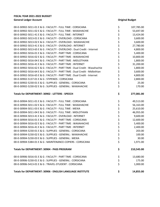| 00-0-30902-5011-01 E & G : FACULTY - FULL TIME : CORSICANA                | \$        | 107,785.00 |
|---------------------------------------------------------------------------|-----------|------------|
| 00-0-30902-5011-02 E & G : FACULTY - FULL TIME : WAXAHACHIE               |           | 53,697.00  |
| 00-0-30902-5011-41 E & G : FACULTY - FULL TIME : INTERNET                 | \$<br>\$  | 13,424.00  |
| 00-0-30902-5013-01 E & G : FACULTY - OVERLOAD : CORSICANA                 |           | 3,600.00   |
| 00-0-30902-5013-02 E & G : FACULTY - OVERLOAD : WAXAHACHIE                | \$\$\$    | 3,600.00   |
| 00-0-30902-5013-41 E & G : FACULTY - OVERLOAD : INTERNET                  |           | 27,780.00  |
| 00-0-30902-5013-65 E & G : FACULTY - OVERLOAD : Dual Credit - Internet    |           | 4,800.00   |
| 00-0-30902-5016-01 E & G : FACULTY - PART TIME : CORSICANA                | やややか ややや  | 5,400.00   |
| 00-0-30902-5016-02 E & G : FACULTY - PART TIME : WAXAHACHIE               |           | 10,800.00  |
| 00-0-30902-5016-04 E & G : FACULTY - PART TIME : MIDLOTHIAN               |           | 1,800.00   |
| 00-0-30902-5016-41 E & G : FACULTY - PART TIME : INTERNET                 |           | 31,200.00  |
| 00-0-30902-5016-62 E & G : FACULTY - PART TIME : Dual Credit - Waxahachie |           | 1,800.00   |
| 00-0-30902-5016-64 E & G : FACULTY - PART TIME : Dual Credit - Midlothian |           | 3,600.00   |
| 00-0-30902-5016-65 E & G : FACULTY - PART TIME : Dual Credit - Internet   |           | 4,800.00   |
| 00-0-30902-5137-01 E & G: STIPENDS: CORSICANA                             |           | 2,800.00   |
| 00-0-30902-5230-01 E & G : SUPPLIES - GENERAL : CORSICANA                 | \$\$\$    | 25.00      |
| 00-0-30902-5230-02 E & G : SUPPLIES - GENERAL : WAXAHACHIE                |           | 170.00     |
| Totals for DEPARTMENT: 30902 - LETTERS - SPEECH                           | \$        | 277,081.00 |
| 00-0-30904-5011-01 E & G : FACULTY - FULL TIME : CORSICANA                | \$        | 49,513.00  |
| 00-0-30904-5011-02 E & G : FACULTY - FULL TIME : WAXAHACHIE               |           | 56,163.00  |
| 00-0-30904-5011-03 E & G : FACULTY - FULL TIME : MEXIA                    | さらさん そうそう | 25,610.00  |
| 00-0-30904-5011-04 E & G : FACULTY - FULL TIME : MIDLOTHIAN               |           | 46,955.00  |
| 00-0-30904-5013-41 E & G : FACULTY - OVERLOAD : INTERNET                  |           | 9,600.00   |
| 00-0-30904-5016-01 E & G : FACULTY - PART TIME : CORSICANA                |           | 12,600.00  |
| 00-0-30904-5016-02 E & G : FACULTY - PART TIME : WAXAHACHIE               |           | 5,400.00   |
| 00-0-30904-5016-41 E & G : FACULTY - PART TIME : INTERNET                 |           | 2,400.00   |
| 00-0-30904-5230-01 E & G : SUPPLIES - GENERAL : CORSICANA                 |           | 203.00     |
| 00-0-30904-5230-02 E & G : SUPPLIES - GENERAL : WAXAHACHIE                |           | 100.00     |
| 00-0-30904-5230-03 E & G : SUPPLIES - GENERAL : MEXIA                     | \$        | 30.00      |
| 00-0-30904-5384-01 E & G : MAINTENANCE-COPIERS : CORSICANA                | \$        | 1,971.00   |
| <b>Totals for DEPARTMENT: 30904 - PASS PROGRAM</b>                        | \$        | 210,545.00 |
| 00-0-30906-5016-01 E & G : FACULTY - PART TIME : CORSICANA                | \$        | 13,680.00  |
| 00-0-30906-5230-01 E & G : SUPPLIES - GENERAL : CORSICANA                 | \$<br>\$  | 175.00     |
| 00-0-30906-5413-01 E & G : TRAVEL-STUDENT : CORSICANA                     |           | 1,000.00   |
| <b>Totals for DEPARTMENT: 30906 - ENGLISH LANGUAGE INSTITUTE</b>          | \$        | 14,855.00  |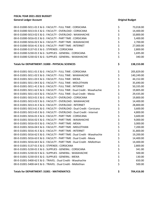| 00-0-31000-5011-01 E & G : FACULTY - FULL TIME : CORSICANA                | \$       | 73,018.00  |
|---------------------------------------------------------------------------|----------|------------|
| 00-0-31000-5013-01 E & G : FACULTY - OVERLOAD : CORSICANA                 | \$       | 14,400.00  |
| 00-0-31000-5013-02 E & G : FACULTY - OVERLOAD : WAXAHACHIE                | \$       | 10,800.00  |
| 00-0-31000-5016-01 E & G : FACULTY - PART TIME : CORSICANA                | \$       | 5,400.00   |
| 00-0-31000-5016-02 E & G : FACULTY - PART TIME : WAXAHACHIE               | \$       | 2,700.00   |
| 00-0-31000-5016-41 E & G : FACULTY - PART TIME : INTERNET                 | \$       | 27,000.00  |
| 00-0-31000-5137-01 E & G: STIPENDS: CORSICANA                             | \$       | 2,800.00   |
| 00-0-31000-5230-01 E & G : SUPPLIES - GENERAL : CORSICANA                 | \$<br>\$ | 1,695.00   |
| 00-0-31000-5230-02 E & G : SUPPLIES - GENERAL : WAXAHACHIE                |          | 340.00     |
| Totals for DEPARTMENT: 31000 - PHYSICAL SCIENCES                          | \$       | 138,153.00 |
| 00-0-31001-5011-01 E & G : FACULTY - FULL TIME : CORSICANA                | \$       | 205,829.00 |
| 00-0-31001-5011-02 E & G : FACULTY - FULL TIME : WAXAHACHIE               | \$       | 140,249.00 |
| 00-0-31001-5011-03 E & G : FACULTY - FULL TIME : MEXIA                    | \$       | 44,152.00  |
| 00-0-31001-5011-04 E & G : FACULTY - FULL TIME : MIDLOTHIAN               | \$       | 35,690.00  |
| 00-0-31001-5011-41 E & G : FACULTY - FULL TIME : INTERNET                 | \$<br>\$ | 50,335.00  |
| 00-0-31001-5011-62 E & G : FACULTY - FULL TIME : Dual Credit - Waxahachie |          | 19,805.00  |
| 00-0-31001-5011-63 E & G : FACULTY - FULL TIME : Dual Credit - Mexia      | \$       | 29,435.00  |
| 00-0-31001-5013-01 E & G : FACULTY - OVERLOAD : CORSICANA                 | \$       | 19,800.00  |
| 00-0-31001-5013-02 E & G : FACULTY - OVERLOAD : WAXAHACHIE                | \$       | 14,400.00  |
| 00-0-31001-5013-41 E & G : FACULTY - OVERLOAD : INTERNET                  | \$       | 28,800.00  |
| 00-0-31001-5013-61 E & G : FACULTY - OVERLOAD : Dual Credit - Corsicana   | \$       | 3,600.00   |
| 00-0-31001-5013-65 E & G : FACULTY - OVERLOAD : Dual Credit - Internet    | \$       | 4,800.00   |
| 00-0-31001-5016-01 E & G : FACULTY - PART TIME : CORSICANA                | \$<br>\$ | 3,600.00   |
| 00-0-31001-5016-02 E & G : FACULTY - PART TIME : WAXAHACHIE               |          | 9,000.00   |
| 00-0-31001-5016-03 E & G : FACULTY - PART TIME : MEXIA                    | \$       | 3,000.00   |
| 00-0-31001-5016-04 E & G : FACULTY - PART TIME : MIDLOTHIAN               | \$<br>\$ | 7,200.00   |
| 00-0-31001-5016-41 E & G : FACULTY - PART TIME : INTERNET                 |          | 31,800.00  |
| 00-0-31001-5016-62 E & G : FACULTY - PART TIME : Dual Credit - Waxahachie | \$       | 19,200.00  |
| 00-0-31001-5016-63 E & G : FACULTY - PART TIME : Dual Credit - Mexia      | \$       | 14,400.00  |
| 00-0-31001-5016-64 E & G : FACULTY - PART TIME : Dual Credit - Midlothian | \$       | 14,400.00  |
| 00-0-31001-5137-01 E & G : STIPENDS : CORSICANA                           | \$       | 2,800.00   |
| 00-0-31001-5230-01 E & G : SUPPLIES - GENERAL : CORSICANA                 | \$       | 341.00     |
| 00-0-31001-5230-02 E & G : SUPPLIES - GENERAL : WAXAHACHIE                | \$\$\$   | 500.00     |
| 00-0-31001-5230-03 E & G : SUPPLIES - GENERAL : MEXIA                     |          | 130.00     |
| 00-0-31001-5400-62 E & G : TRAVEL : Dual Credit - Waxahachie              |          | 650.00     |
| 00-0-31001-5400-64 E & G : TRAVEL : Dual Credit - Midlothian              | \$       | 500.00     |
| <b>Totals for DEPARTMENT: 31001 - MATHEMATICS</b>                         | \$       | 704,416.00 |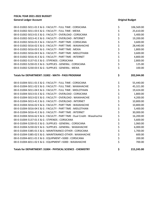| 00-0-31002-5011-01 E & G : FACULTY - FULL TIME : CORSICANA                | \$       | 106,569.00 |
|---------------------------------------------------------------------------|----------|------------|
| 00-0-31002-5011-03 E & G : FACULTY - FULL TIME : MEXIA                    | \$       | 25,610.00  |
| 00-0-31002-5013-01 E & G : FACULTY - OVERLOAD : CORSICANA                 | \$       | 5,400.00   |
| 00-0-31002-5013-41 E & G : FACULTY - OVERLOAD : INTERNET                  | \$       | 19,200.00  |
| 00-0-31002-5016-01 E & G : FACULTY - PART TIME : CORSICANA                |          | 3,600.00   |
| 00-0-31002-5016-02 E & G : FACULTY - PART TIME : WAXAHACHIE               | \$\$\$   | 28,440.00  |
| 00-0-31002-5016-03 E & G : FACULTY - PART TIME : MEXIA                    |          | 1,800.00   |
| 00-0-31002-5016-04 E & G : FACULTY - PART TIME : MIDLOTHIAN               | \$       | 3,600.00   |
| 00-0-31002-5016-41 E & G : FACULTY - PART TIME : INTERNET                 | \$       | 4,800.00   |
| 00-0-31002-5137-01 E & G : STIPENDS : CORSICANA                           | \$       | 2,800.00   |
| 00-0-31002-5230-01 E & G : SUPPLIES - GENERAL : CORSICANA                 | \$       | 125.00     |
| 00-0-31002-5230-03 E & G : SUPPLIES - GENERAL : MEXIA                     | \$       | 100.00     |
| Totals for DEPARTMENT: 31002 - MATH - PASS PROGRAM                        | \$       | 202,044.00 |
| 00-0-31004-5011-01 E & G : FACULTY - FULL TIME : CORSICANA                | \$       | 55,440.00  |
| 00-0-31004-5011-02 E & G : FACULTY - FULL TIME : WAXAHACHIE               |          | 45,321.00  |
| 00-0-31004-5011-04 E & G : FACULTY - FULL TIME : MIDLOTHIAN               | さささ      | 19,424.00  |
| 00-0-31004-5013-01 E & G : FACULTY - OVERLOAD : CORSICANA                 |          | 1,800.00   |
| 00-0-31004-5013-02 E & G : FACULTY - OVERLOAD : WAXAHACHIE                |          | 4,200.00   |
| 00-0-31004-5013-41 E & G : FACULTY - OVERLOAD : INTERNET                  | \$       | 10,800.00  |
| 00-0-31004-5016-02 E & G : FACULTY - PART TIME : WAXAHACHIE               | \$<br>\$ | 10,800.00  |
| 00-0-31004-5016-04 E & G : FACULTY - PART TIME : MIDLOTHIAN               |          | 5,400.00   |
| 00-0-31004-5016-41 E & G : FACULTY - PART TIME : INTERNET                 | \$       | 30,000.00  |
| 00-0-31004-5016-62 E & G : FACULTY - PART TIME : Dual Credit - Waxahachie | \$       | 16,200.00  |
| 00-0-31004-5137-01 E & G: STIPENDS: CORSICANA                             | \$\$\$   | 5,600.00   |
| 00-0-31004-5230-01 E & G : SUPPLIES - GENERAL : CORSICANA                 |          | 1,060.00   |
| 00-0-31004-5230-02 E & G : SUPPLIES - GENERAL : WAXAHACHIE                |          | 6,000.00   |
| 00-0-31004-5385-01 E & G : MAINTENANCE-OTHER : CORSICANA                  |          | 1,700.00   |
| 00-0-31004-5385-02 E & G : MAINTENANCE-OTHER : WAXAHACHIE                 | \$\$\$   | 600.00     |
| 00-0-31004-6011-01 E & G : EQUIPMENT <5000 : CORSICANA                    |          | 200.00     |
| 00-0-31004-6011-02 E & G : EQUIPMENT <5000 : WAXAHACHIE                   | \$       | 700.00     |
|                                                                           |          |            |

**Totals for DEPARTMENT: 31004 - PHYSICAL SCIENCE - CHEMISTRY \$ 215,245.00**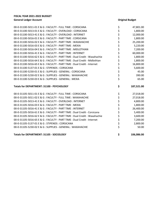| Totals for DEPARTMENT: 31105 - SOCIOLOGY                                                                                | \$        | 106,086.00      |
|-------------------------------------------------------------------------------------------------------------------------|-----------|-----------------|
| 00-0-31105-5230-02 E & G : SUPPLIES - GENERAL : WAXAHACHIE                                                              |           | 50.00           |
| 00-0-31105-5137-01 E & G: STIPENDS: CORSICANA                                                                           | ややややや ややや | 2,800.00        |
| 00-0-31105-5016-65 E & G : FACULTY - PART TIME : Dual Credit - Internet                                                 |           | 7,200.00        |
| 00-0-31105-5016-62 E & G : FACULTY - PART TIME : Dual Credit - Waxahachie                                               |           | 3,600.00        |
| 00-0-31105-5016-61 E & G : FACULTY - PART TIME : Dual Credit - Corsicana                                                |           | 5,400.00        |
| 00-0-31105-5016-41 E & G : FACULTY - PART TIME : INTERNET                                                               |           | 26,400.00       |
| 00-0-31105-5016-03 E & G : FACULTY - PART TIME : MEXIA                                                                  |           | 1,800.00        |
| 00-0-31105-5013-41 E & G : FACULTY - OVERLOAD : INTERNET                                                                |           | 4,800.00        |
| 00-0-31105-5011-02 E & G : FACULTY - FULL TIME : WAXAHACHIE                                                             |           | 27,018.00       |
| 00-0-31105-5011-01 E & G : FACULTY - FULL TIME : CORSICANA                                                              | \$        | 27,018.00       |
| Totals for DEPARTMENT: 31100 - PSYCHOLOGY                                                                               | \$        | 187,521.00      |
|                                                                                                                         |           |                 |
| 00-0-31100-5230-03 E & G : SUPPLIES - GENERAL : MEXIA                                                                   | \$        | 65.00           |
| 00-0-31100-5230-01 E & G : SUPPLIES - GENERAL : CORSICANA<br>00-0-31100-5230-02 E & G : SUPPLIES - GENERAL : WAXAHACHIE | \$\$\$\$  | 45.00<br>390.00 |
| 00-0-31100-5137-01 E & G: STIPENDS: CORSICANA                                                                           |           | 5,600.00        |
| 00-0-31100-5016-65 E & G : FACULTY - PART TIME : Dual Credit - Internet                                                 |           | 16,800.00       |
| 00-0-31100-5016-64 E & G : FACULTY - PART TIME : Dual Credit - Midlothian                                               |           | 1,800.00        |
| 00-0-31100-5016-62 E & G : FACULTY - PART TIME : Dual Credit - Waxahachie                                               | \$<br>\$  | 1,800.00        |
| 00-0-31100-5016-41 E & G : FACULTY - PART TIME : INTERNET                                                               |           | 60,000.00       |
| 00-0-31100-5016-04 E & G : FACULTY - PART TIME : MIDLOTHIAN                                                             |           | 7,200.00        |
| 00-0-31100-5016-03 E & G : FACULTY - PART TIME : MEXIA                                                                  | \$\$\$\$  | 5,220.00        |
| 00-0-31100-5016-02 E & G : FACULTY - PART TIME : WAXAHACHIE                                                             |           | 25,200.00       |
| 00-0-31100-5016-01 E & G : FACULTY - PART TIME : CORSICANA                                                              |           | 1,800.00        |
| 00-0-31100-5013-41 E & G : FACULTY - OVERLOAD : INTERNET                                                                | \$<br>\$  | 12,000.00       |
| 00-0-31100-5013-01 E & G : FACULTY - OVERLOAD : CORSICANA                                                               | \$        | 1,800.00        |
| 00-0-31100-5011-01 E & G : FACULTY - FULL TIME : CORSICANA                                                              | \$        | 47,801.00       |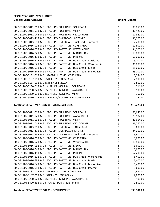| 00-0-31200-5011-01 E & G : FACULTY - FULL TIME : CORSICANA                | \$       | 99,855.00  |
|---------------------------------------------------------------------------|----------|------------|
| 00-0-31200-5011-03 E & G : FACULTY - FULL TIME : MEXIA                    |          | 32,421.00  |
| 00-0-31200-5011-04 E & G : FACULTY - FULL TIME : MIDLOTHIAN               | \$<br>\$ | 17,847.00  |
| 00-0-31200-5013-41 E & G : FACULTY - OVERLOAD : INTERNET                  | \$       | 36,000.00  |
| 00-0-31200-5013-65 E & G : FACULTY - OVERLOAD : Dual Credit - Internet    | ぐうけい こうか | 7,200.00   |
| 00-0-31200-5016-01 E & G : FACULTY - PART TIME : CORSICANA                |          | 10,800.00  |
| 00-0-31200-5016-02 E & G : FACULTY - PART TIME : WAXAHACHIE               |          | 34,200.00  |
| 00-0-31200-5016-04 E & G : FACULTY - PART TIME : MIDLOTHIAN               |          | 18,000.00  |
| 00-0-31200-5016-41 E & G : FACULTY - PART TIME : INTERNET                 |          | 60,000.00  |
| 00-0-31200-5016-61 E & G : FACULTY - PART TIME : Dual Credit - Corsicana  |          | 9,000.00   |
| 00-0-31200-5016-62 E & G : FACULTY - PART TIME : Dual Credit - Waxahachie |          | 36,000.00  |
| 00-0-31200-5016-63 E & G : FACULTY - PART TIME : Dual Credit - Mexia      |          | 18,000.00  |
| 00-0-31200-5016-64 E & G : FACULTY - PART TIME : Dual Credit - Midlothian | \$\$\$   | 25,200.00  |
| 00-0-31200-5131-01 E & G : STAFF-FULL TIME : CORSICANA                    |          | 7,384.00   |
| 00-0-31200-5137-01 E & G: STIPENDS: CORSICANA                             |          | 2,800.00   |
| 00-0-31200-5137-03 E & G: STIPENDS: MEXIA                                 |          | 2,800.00   |
| 00-0-31200-5230-01 E & G : SUPPLIES - GENERAL : CORSICANA                 | ややみ やや   | 311.00     |
| 00-0-31200-5230-02 E & G : SUPPLIES - GENERAL : WAXAHACHIE                |          | 500.00     |
| 00-0-31200-5230-03 E & G : SUPPLIES - GENERAL : MEXIA                     |          | 160.00     |
| 00-0-31200-5410-01 E & G: TRAVEL-P/R CONTRACTS: CORSICANA                 |          | 750.00     |
|                                                                           |          |            |
| Totals for DEPARTMENT: 31200 - SOCIAL SCIENCES                            | \$       | 419,228.00 |
| 00-0-31205-5011-01 E & G : FACULTY - FULL TIME : CORSICANA                | \$       | 53,646.00  |
| 00-0-31205-5011-02 E & G : FACULTY - FULL TIME : WAXAHACHIE               | \$       | 73,587.00  |
| 00-0-31205-5011-03 E & G : FACULTY - FULL TIME : MEXIA                    |          |            |
|                                                                           |          | 21,614.00  |
| 00-0-31205-5011-04 E & G : FACULTY - FULL TIME : MIDLOTHIAN               |          | 26,770.00  |
| 00-0-31205-5013-01 E & G : FACULTY - OVERLOAD : CORSICANA                 |          | 3,600.00   |
| 00-0-31205-5013-41 E & G : FACULTY - OVERLOAD : INTERNET                  | さくさ      | 24,000.00  |
| 00-0-31205-5013-65 E & G : FACULTY - OVERLOAD : Dual Credit - Internet    |          | 9,600.00   |
| 00-0-31205-5016-01 E & G : FACULTY - PART TIME : CORSICANA                | \$<br>\$ | 3,600.00   |
| 00-0-31205-5016-02 E & G : FACULTY - PART TIME : WAXAHACHIE               | Ś        | 10,800.00  |
| 00-0-31205-5016-03 E & G : FACULTY - PART TIME : MEXIA                    | \$       | 3,600.00   |
| 00-0-31205-5016-04 E & G : FACULTY - PART TIME : MIDLOTHIAN               | \$       | 3,600.00   |
| 00-0-31205-5016-41 E & G : FACULTY - PART TIME : INTERNET                 | \$       | 67,200.00  |
| 00-0-31205-5016-62 E & G : FACULTY - PART TIME : Dual Credit - Waxahachie | \$       | 5,400.00   |
| 00-0-31205-5016-63 E & G : FACULTY - PART TIME : Dual Credit - Mexia      | \$       | 5,400.00   |
| 00-0-31205-5016-64 E & G : FACULTY - PART TIME : Dual Credit - Midlothian | \$       | 5,400.00   |
| 00-0-31205-5016-65 E & G : FACULTY - PART TIME : Dual Credit - Internet   | \$       | 9,600.00   |
| 00-0-31205-5131-01 E & G : STAFF-FULL TIME : CORSICANA                    | \$       | 7,384.00   |
| 00-0-31205-5137-01 E & G : STIPENDS : CORSICANA                           | \$       | 2,800.00   |
| 00-0-31205-5230-02 E & G : SUPPLIES - GENERAL : WAXAHACHIE                | \$       | 400.00     |
| 00-0-31205-5400-63 E & G : TRAVEL : Dual Credit - Mexia                   | \$       | 1,500.00   |

## **Totals for DEPARTMENT: 31205 - GOVERNMENT \$ 339,501.00**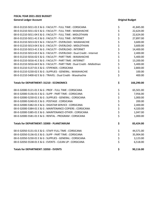| 00-0-31210-5011-01 E & G : FACULTY - FULL TIME : CORSICANA                | \$             | 41,845.00  |
|---------------------------------------------------------------------------|----------------|------------|
| 00-0-31210-5011-02 E & G : FACULTY - FULL TIME : WAXAHACHIE               |                | 22,624.00  |
| 00-0-31210-5011-04 E & G : FACULTY - FULL TIME : MIDLOTHIAN               | \$<br>\$       | 22,624.00  |
| 00-0-31210-5011-41 E & G : FACULTY - FULL TIME : INTERNET                 |                | 27,897.00  |
| 00-0-31210-5013-02 E & G : FACULTY - OVERLOAD : WAXAHACHIE                |                | 3,600.00   |
| 00-0-31210-5013-04 E & G : FACULTY - OVERLOAD : MIDLOTHIAN                |                | 3,600.00   |
| 00-0-31210-5013-41 E & G : FACULTY - OVERLOAD : INTERNET                  |                | 14,400.00  |
| 00-0-31210-5013-65 E & G : FACULTY - OVERLOAD : Dual Credit - Internet    |                | 2,400.00   |
| 00-0-31210-5016-02 E & G : FACULTY - PART TIME : WAXAHACHIE               |                | 5,400.00   |
| 00-0-31210-5016-41 E & G : FACULTY - PART TIME : INTERNET                 |                | 13,200.00  |
| 00-0-31210-5016-64 E & G : FACULTY - PART TIME : Dual Credit - Midlothian |                | 5,400.00   |
| 00-0-31210-5137-01 E & G : STIPENDS : CORSICANA                           |                | 2,800.00   |
| 00-0-31210-5230-02 E & G : SUPPLIES - GENERAL : WAXAHACHIE                | ややややややややや      | 100.00     |
| 00-0-31210-5400-62 E & G : TRAVEL : Dual Credit - Waxahachie              | \$             | 400.00     |
| <b>Totals for DEPARTMENT: 31210 - ECONOMICS</b>                           | \$             | 166,290.00 |
| 00-0-32000-5121-01 E & G : PROF - FULL TIME : CORSICANA                   | \$             | 65,501.00  |
| 00-0-32000-5136-01 E & G : SUPP - PART TIME : CORSICANA                   |                | 7,956.00   |
| 00-0-32000-5230-01 E & G : SUPPLIES - GENERAL : CORSICANA                 | ややや ややや        | 1,000.00   |
| 00-0-32000-5240-01 E & G : POSTAGE : CORSICANA                            |                | 200.00     |
| 00-0-32000-5382-01 E & G : DIGISTAR SERVICE : CORSICANA                   |                | 2,400.00   |
| 00-0-32000-5384-01 E & G : MAINTENANCE-COPIERS : CORSICANA                |                | 4,320.00   |
| 00-0-32000-5385-01 E & G: MAINTENANCE-OTHER: CORSICANA                    |                | 1,047.00   |
| 00-0-32000-5581-01 E & G : RENTAL - PROGRAM : CORSICANA                   | \$             | 1,000.00   |
| Totals for DEPARTMENT: 32000 - PLANETARIUM                                | \$             | 83,424.00  |
| 00-0-32050-5131-01 E & G : STAFF-FULL TIME : CORSICANA                    | \$             | 44,571.00  |
| 00-0-32050-5136-01 E & G : SUPP - PART TIME : CORSICANA                   |                | 35,904.00  |
| 00-0-32050-5230-01 E & G : SUPPLIES - GENERAL : CORSICANA                 | \$<br>\$<br>\$ | 3,123.00   |
| 00-0-32050-5538-01 E & G : EVENTS - CLEAN UP : CORSICANA                  |                | 6,518.00   |
| <b>Totals for DEPARTMENT: 32050 - EVENTS</b>                              | \$             | 90,116.00  |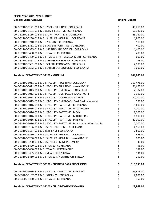| 00-0-32100-5121-01 E & G : PROF - FULL TIME : CORSICANA                   | \$       | 48,218.00  |
|---------------------------------------------------------------------------|----------|------------|
| 00-0-32100-5131-01 E & G : STAFF-FULL TIME : CORSICANA                    |          | 62,382.00  |
| 00-0-32100-5136-01 E & G : SUPP - PART TIME : CORSICANA                   | \$<br>\$ | 45,782.00  |
| 00-0-32100-5230-01 E & G : SUPPLIES - GENERAL : CORSICANA                 |          | 1,800.00   |
| 00-0-32100-5240-01 E & G : POSTAGE : CORSICANA                            |          | 110.00     |
| 00-0-32100-5361-01 E & G : DOCENT ACTIVITIES : CORSICANA                  |          | 400.00     |
| 00-0-32100-5385-01 E & G: MAINTENANCE-OTHER: CORSICANA                    |          | 1,400.00   |
| 00-0-32100-5400-01 E & G: TRAVEL: CORSICANA                               | ひゃくさ ひゃく | 400.00     |
| 00-0-32100-5409-01 E & G : TRAVEL-STAFF DEVELOPMENT : CORSICANA           |          | 600.00     |
| 00-0-32100-5468-01 E & G : TELEPHONE-SERVICE : CORSICANA                  |          | 273.00     |
| 00-0-32100-5531-01 E & G : SPECIAL PROGRAMS : CORSICANA                   |          | 2,500.00   |
| 00-0-32100-5532-01 E & G : EXHIBIT DEVELOPMENT : CORSICANA                | \$       | 1,000.00   |
| <b>Totals for DEPARTMENT: 32100 - MUSEUM</b>                              | \$       | 164,865.00 |
| 00-0-33100-5011-01 E & G : FACULTY - FULL TIME : CORSICANA                | \$       | 159,478.00 |
| 00-0-33100-5011-02 E & G : FACULTY - FULL TIME : WAXAHACHIE               | \$       | 56,663.00  |
| 00-0-33100-5013-01 E & G : FACULTY - OVERLOAD : CORSICANA                 |          | 2,382.00   |
| 00-0-33100-5013-02 E & G : FACULTY - OVERLOAD : WAXAHACHIE                |          | 2,390.00   |
| 00-0-33100-5013-41 E & G : FACULTY - OVERLOAD : INTERNET                  |          | 37,000.00  |
| 00-0-33100-5013-65 E & G : FACULTY - OVERLOAD : Dual Credit - Internet    | ややみ      | 990.00     |
| 00-0-33100-5016-01 E & G : FACULTY - PART TIME : CORSICANA                |          | 5,600.00   |
| 00-0-33100-5016-02 E & G : FACULTY - PART TIME : WAXAHACHIE               |          | 4,000.00   |
| 00-0-33100-5016-03 E & G : FACULTY - PART TIME : MEXIA                    | \$\$\$   | 2,000.00   |
| 00-0-33100-5016-04 E & G: FACULTY - PART TIME: MIDLOTHIAN                 |          | 6,800.00   |
| 00-0-33100-5016-41 E & G : FACULTY - PART TIME : INTERNET                 | \$       | 22,000.00  |
| 00-0-33100-5016-62 E & G : FACULTY - PART TIME : Dual Credit - Waxahachie | \$       | 2,000.00   |
| 00-0-33100-5136-01 E & G : SUPP - PART TIME : CORSICANA                   | \$       | 4,560.00   |
| 00-0-33100-5137-01 E & G : STIPENDS : CORSICANA                           | \$<br>\$ | 2,800.00   |
| 00-0-33100-5230-01 E & G : SUPPLIES - GENERAL : CORSICANA                 |          | 658.00     |
| 00-0-33100-5230-02 E & G : SUPPLIES - GENERAL : WAXAHACHIE                | \$       | 200.00     |
| 00-0-33100-5230-03 E & G : SUPPLIES - GENERAL : MEXIA                     | \$       | 40.00      |
| 00-0-33100-5400-01 E & G: TRAVEL: CORSICANA                               | \$       | 56.00      |
| 00-0-33100-5400-02 E & G : TRAVEL : WAXAHACHIE                            | \$<br>\$ | 152.00     |
| 00-0-33100-5405-01 E & G: MEALS: CORSICANA                                |          | 134.00     |
| 00-0-33100-5410-03 E & G : TRAVEL-P/R CONTRACTS : MEXIA                   | \$       | 250.00     |
| Totals for DEPARTMENT: 33100 - BUSINESS DATA PROCESSING                   | \$       | 310,153.00 |
| 00-0-33200-5016-41 E & G : FACULTY - PART TIME : INTERNET                 | \$       | 25,918.00  |
| 00-0-33200-5137-01 E & G : STIPENDS : CORSICANA                           | \$       | 2,800.00   |
| 00-0-33200-5400-01 E & G: TRAVEL: CORSICANA                               | \$       | 150.00     |
| Totals for DEPARTMENT: 33200 - CHILD DEV/HOMEMAKING                       | \$       | 28,868.00  |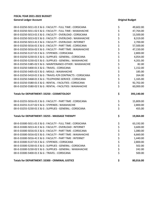| 00-0-33250-5011-01 E & G : FACULTY - FULL TIME : CORSICANA  | \$                  | 49,602.00  |
|-------------------------------------------------------------|---------------------|------------|
| 00-0-33250-5011-02 E & G : FACULTY - FULL TIME : WAXAHACHIE |                     | 47,764.00  |
| 00-0-33250-5013-01 E & G : FACULTY - OVERLOAD : CORSICANA   |                     | 13,500.00  |
| 00-0-33250-5013-02 E & G : FACULTY - OVERLOAD : WAXAHACHIE  |                     | 8,319.00   |
| 00-0-33250-5013-41 E & G : FACULTY - OVERLOAD : INTERNET    |                     | 2,700.00   |
| 00-0-33250-5016-01 E & G : FACULTY - PART TIME : CORSICANA  |                     | 57,500.00  |
| 00-0-33250-5016-02 E & G : FACULTY - PART TIME : WAXAHACHIE |                     | 47,150.00  |
| 00-0-33250-5137-01 E & G : STIPENDS : CORSICANA             |                     | 2,800.00   |
| 00-0-33250-5230-01 E & G : SUPPLIES - GENERAL : CORSICANA   |                     | 4,054.00   |
| 00-0-33250-5230-02 E & G : SUPPLIES - GENERAL : WAXAHACHIE  |                     | 4,201.00   |
| 00-0-33250-5385-02 E & G : MAINTENANCE-OTHER : WAXAHACHIE   |                     | 82.00      |
| 00-0-33250-5400-01 E & G: TRAVEL: CORSICANA                 |                     | 1,152.00   |
| 00-0-33250-5405-02 E & G : MEALS : WAXAHACHIE               |                     | 185.00     |
| 00-0-33250-5410-01 E & G: TRAVEL-P/R CONTRACTS: CORSICANA   | ひゃくやくせん ひそうせん かんしょう | 264.00     |
| 00-0-33250-5468-01 E & G : TELEPHONE-SERVICE : CORSICANA    |                     | 1,165.00   |
| 00-0-33250-5580-01 E & G : RENTAL - FACILITIES : CORSICANA  |                     | 92,702.00  |
| 00-0-33250-5580-02 E & G : RENTAL - FACILITIES : WAXAHACHIE |                     | 60,000.00  |
| Totals for DEPARTMENT: 33250 - COSMETOLOGY                  | \$                  | 393,140.00 |
| 00-0-33255-5016-01 E & G : FACULTY - PART TIME : CORSICANA  | \$                  | 15,809.00  |
| 00-0-33255-5137-02 E & G : STIPENDS : WAXAHACHIE            | \$<br>\$            | 2,800.00   |
| 00-0-33255-5230-01 E & G : SUPPLIES - GENERAL : CORSICANA   |                     | 455.00     |
| Totals for DEPARTMENT: 33255 - MASSAGE THERAPY              | \$                  | 19,064.00  |
| 00-0-33300-5011-01 E & G : FACULTY - FULL TIME : CORSICANA  | \$                  | 63,192.00  |
| 00-0-33300-5013-41 E & G : FACULTY - OVERLOAD : INTERNET    | やややみ ややや            | 3,600.00   |
| 00-0-33300-5016-01 E & G : FACULTY - PART TIME : CORSICANA  |                     | 1,080.00   |
| 00-0-33300-5016-02 E & G : FACULTY - PART TIME : WAXAHACHIE |                     | 6,660.00   |
| 00-0-33300-5016-41 E & G : FACULTY - PART TIME : INTERNET   |                     | 1,440.00   |
| 00-0-33300-5137-01 E & G : STIPENDS : CORSICANA             |                     | 2,800.00   |
| 00-0-33300-5230-01 E & G : SUPPLIES - GENERAL : CORSICANA   |                     | 502.00     |
| 00-0-33300-5230-02 E & G : SUPPLIES - GENERAL : WAXAHACHIE  |                     | 242.00     |
| 00-0-33300-5400-01 E & G: TRAVEL: CORSICANA                 |                     | 500.00     |
| Totals for DEPARTMENT: 33300 - CRIMINAL JUSTICE             | \$                  | 80,016.00  |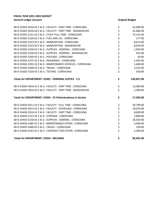| 00-0-33302-5016-01 E & G : FACULTY - PART TIME : CORSICANA  |                | 52,000.00  |
|-------------------------------------------------------------|----------------|------------|
| 00-0-33302-5016-02 E & G : FACULTY - PART TIME : WAXAHACHIE | \$<br>\$<br>\$ | 41,686.00  |
| 00-0-33302-5131-01 E & G : STAFF-FULL TIME : CORSICANA      |                | 72,141.00  |
| 00-0-33302-5220-01 E & G : FUEL AND OIL : CORSICANA         |                | 177.00     |
| 00-0-33302-5223-01 E & G : AMMUNITION : CORSICANA           |                | 8,613.00   |
| 00-0-33302-5223-02 E & G : AMMUNITION : WAXAHACHIE          | やややみ ひそくせい     | 8,034.00   |
| 00-0-33302-5230-01 E & G : SUPPLIES - GENERAL : CORSICANA   |                | 1,944.00   |
| 00-0-33302-5230-02 E & G : SUPPLIES - GENERAL : WAXAHACHIE  |                | 455.00     |
| 00-0-33302-5240-01 E & G : POSTAGE : CORSICANA              |                | 50.00      |
| 00-0-33302-5375-01 E & G : INSURANCE : CORSICANA            |                | 1,292.00   |
| 00-0-33302-5393-01 E & G: MAINTENANCE-VEHICLES: CORSICANA   |                | 1,600.00   |
| 00-0-33302-5400-01 E & G: TRAVEL: CORSICANA                 |                | 2,235.00   |
| 00-0-33302-5520-01 E & G: TESTING: CORSICANA                | \$             | 630.00     |
| Totals for DEPARTMENT: 33302 - CRIMINAL JUSTICE - C.E.      | \$             | 190,857.00 |
| 00-0-33304-5016-01 E & G : FACULTY - PART TIME : CORSICANA  |                | 15,000.00  |
| 00-0-33304-5016-02 E & G : FACULTY - PART TIME : WAXAHACHIE | \$<br>\$       | 2,200.00   |
| Totals for DEPARTMENT: 33304 - CE-PoliceAcademy In Service  | \$             | 17,200.00  |
| 00-0-33450-5011-01 E & G : FACULTY - FULL TIME : CORSICANA  |                | 39,799.00  |
| 00-0-33450-5013-01 E & G : FACULTY - OVERLOAD : CORSICANA   | やややや ややや       | 10,070.00  |
| 00-0-33450-5016-01 E & G : FACULTY - PART TIME : CORSICANA  |                | 8,000.00   |
| 00-0-33450-5137-01 E & G : STIPENDS : CORSICANA             |                | 2,800.00   |
| 00-0-33450-5230-01 E & G : SUPPLIES - GENERAL : CORSICANA   |                | 26,034.00  |
| 00-0-33450-5385-01 E & G: MAINTENANCE-OTHER: CORSICANA      |                | 4,400.00   |
| 00-0-33450-5400-01 E & G: TRAVEL: CORSICANA                 |                | 228.00     |
| 00-0-33450-5562-01 E & G: CONTRACT SER-OTHER: CORSICANA     |                | 5,360.00   |
| <b>Totals for DEPARTMENT: 33450 - WELDING</b>               | \$             | 96,691.00  |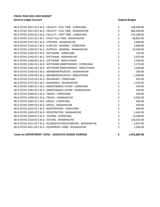| 00-0-33701-5011-01 E & G : FACULTY - FULL TIME : CORSICANA      | \$<br>168,969.00 |
|-----------------------------------------------------------------|------------------|
| 00-0-33701-5011-02 E & G : FACULTY - FULL TIME : WAXAHACHIE     | \$<br>860,928.00 |
| 00-0-33701-5016-01 E & G : FACULTY - PART TIME : CORSICANA      | \$<br>173,280.00 |
| 00-0-33701-5131-02 E & G : STAFF-FULL TIME : WAXAHACHIE         | \$<br>66,802.00  |
| 00-0-33701-5137-02 E & G : STIPENDS : WAXAHACHIE                | \$<br>2,800.00   |
| 00-0-33701-5230-01 E & G : SUPPLIES - GENERAL : CORSICANA       | \$<br>5,800.00   |
| 00-0-33701-5230-02 E & G : SUPPLIES - GENERAL : WAXAHACHIE      | \$<br>10,300.00  |
| 00-0-33701-5260-01 E & G : SOFTWARE : CORSICANA                 | \$<br>320.00     |
| 00-0-33701-5260-02 E & G : SOFTWARE : WAXAHACHIE                | \$<br>3,975.00   |
| 00-0-33701-5260-04 E & G : SOFTWARE : MIDLOTHIAN                | \$<br>1,500.00   |
| 00-0-33701-5262-01 E & G : SOFTWARE MAINTENANCE : CORSICANA     | \$<br>1,375.00   |
| 00-0-33701-5262-04 E & G : SOFTWARE MAINTENANCE : MIDLOTHIAN    | \$<br>1,500.00   |
| 00-0-33701-5330-02 E & G : MEMBERSHIPS/DUES : WAXAHACHIE        | \$<br>200.00     |
| 00-0-33701-5330-04 E & G : MEMBERSHIPS/DUES : MIDLOTHIAN        | \$<br>1,500.00   |
| 00-0-33701-5375-01 E & G : INSURANCE : CORSICANA                | \$<br>455.00     |
| 00-0-33701-5375-02 E & G : INSURANCE : WAXAHACHIE               | \$<br>1,235.00   |
| 00-0-33701-5385-01 E & G : MAINTENANCE-OTHER : CORSICANA        | \$<br>350.00     |
| 00-0-33701-5385-02 E & G : MAINTENANCE-OTHER : WAXAHACHIE       | \$<br>350.00     |
| 00-0-33701-5400-01 E & G : TRAVEL : CORSICANA                   | \$<br>450.00     |
| 00-0-33701-5400-02 E & G : TRAVEL : WAXAHACHIE                  | \$<br>6,565.00   |
| 00-0-33701-5405-01 E & G : MEALS : CORSICANA                    | \$<br>400.00     |
| 00-0-33701-5405-02 E & G : MEALS : WAXAHACHIE                   | \$<br>450.00     |
| 00-0-33701-5425-01 E & G : REGISTRATION : CORSICANA             | \$<br>600.00     |
| 00-0-33701-5425-02 E & G : REGISTRATION : WAXAHACHIE            | \$<br>1,640.00   |
| 00-0-33701-5520-01 E & G: TESTING: CORSICANA                    | \$<br>13,500.00  |
| 00-0-33701-5520-02 E & G : TESTING : WAXAHACHIE                 | \$<br>126,265.00 |
| 00-0-33701-5521-02 E & G : ACCREDITATION/LICENSURE : WAXAHACHIE | \$<br>2,875.00   |
| 00-0-33701-6011-02 E & G : EQUIPMENT <5000 : WAXAHACHIE         | \$<br>1,500.00   |
|                                                                 |                  |

**Totals for DEPARTMENT: 33701 - ASSOCIATE DEGREE NURSING \$ 1,455,884.00**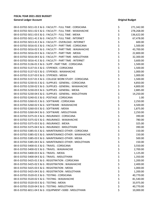| 00-0-33702-5011-01 E & G : FACULTY - FULL TIME : CORSICANA  | \$       | 271,342.00 |
|-------------------------------------------------------------|----------|------------|
| 00-0-33702-5011-02 E & G : FACULTY - FULL TIME : WAXAHACHIE | \$       | 278,268.00 |
| 00-0-33702-5011-03 E & G : FACULTY - FULL TIME : MEXIA      | \$       | 136,622.00 |
| 00-0-33702-5011-41 E & G : FACULTY - FULL TIME : INTERNET   | \$       | 67,478.00  |
| 00-0-33702-5013-41 E & G : FACULTY - OVERLOAD : INTERNET    | \$       | 600.00     |
| 00-0-33702-5016-01 E & G : FACULTY - PART TIME : CORSICANA  | \$<br>\$ | 1,500.00   |
| 00-0-33702-5016-02 E & G : FACULTY - PART TIME : WAXAHACHIE |          | 43,700.00  |
| 00-0-33702-5016-03 E & G : FACULTY - PART TIME : MEXIA      | \$       | 22,800.00  |
| 00-0-33702-5016-04 E & G : FACULTY - PART TIME : MIDLOTHIAN | \$<br>\$ | 32,300.00  |
| 00-0-33702-5016-41 E & G : FACULTY - PART TIME : INTERNET   |          | 3,600.00   |
| 00-0-33702-5136-01 E & G : SUPP - PART TIME : CORSICANA     | \$\$\$   | 1,500.00   |
| 00-0-33702-5137-01 E & G: STIPENDS: CORSICANA               |          | 1,500.00   |
| 00-0-33702-5137-02 E & G : STIPENDS : WAXAHACHIE            |          | 1,000.00   |
| 00-0-33702-5137-03 E & G: STIPENDS: MEXIA                   | \$       | 1,000.00   |
| 00-0-33702-5157-01 E & G : COLLEGE WORK STUDY : CORSICANA   | \$       | 1,500.00   |
| 00-0-33702-5230-01 E & G : SUPPLIES - GENERAL : CORSICANA   | \$       | 4,850.00   |
| 00-0-33702-5230-02 E & G : SUPPLIES - GENERAL : WAXAHACHIE  | \$<br>\$ | 4,800.00   |
| 00-0-33702-5230-03 E & G : SUPPLIES - GENERAL : MEXIA       |          | 2,885.00   |
| 00-0-33702-5230-04 E & G : SUPPLIES - GENERAL : MIDLOTHIAN  | \$       | 14,250.00  |
| 00-0-33702-5240-01 E & G : POSTAGE : CORSICANA              | \$       | 1.00       |
| 00-0-33702-5260-01 E & G : SOFTWARE : CORSICANA             | \$       | 2,250.00   |
| 00-0-33702-5260-02 E & G : SOFTWARE : WAXAHACHIE            | \$<br>\$ | 4,500.00   |
| 00-0-33702-5260-03 E & G: SOFTWARE: MEXIA                   |          | 1,875.00   |
| 00-0-33702-5260-04 E & G : SOFTWARE : MIDLOTHIAN            | \$       | 2,250.00   |
| 00-0-33702-5375-01 E & G : INSURANCE : CORSICANA            | \$<br>\$ | 390.00     |
| 00-0-33702-5375-02 E & G : INSURANCE : WAXAHACHIE           |          | 780.00     |
| 00-0-33702-5375-03 E & G: INSURANCE: MEXIA                  | \$       | 325.00     |
| 00-0-33702-5375-04 E & G : INSURANCE : MIDLOTHIAN           | \$<br>\$ | 390.00     |
| 00-0-33702-5385-01 E & G: MAINTENANCE-OTHER: CORSICANA      |          | 150.00     |
| 00-0-33702-5385-02 E & G : MAINTENANCE-OTHER : WAXAHACHIE   | \$       | 150.00     |
| 00-0-33702-5385-03 E & G : MAINTENANCE-OTHER : MEXIA        | \$       | 500.00     |
| 00-0-33702-5385-04 E & G : MAINTENANCE-OTHER : MIDLOTHIAN   | \$       | 150.00     |
| 00-0-33702-5400-01 E & G: TRAVEL: CORSICANA                 | \$       | 3,550.00   |
| 00-0-33702-5400-02 E & G: TRAVEL: WAXAHACHIE                | \$       | 2,700.00   |
| 00-0-33702-5400-03 E & G: TRAVEL: MEXIA                     | \$       | 1,125.00   |
| 00-0-33702-5400-04 E & G: TRAVEL: MIDLOTHIAN                | \$       | 1,350.00   |
| 00-0-33702-5425-01 E & G : REGISTRATION : CORSICANA         | \$       | 1,200.00   |
| 00-0-33702-5425-02 E & G : REGISTRATION : WAXAHACHIE        | \$       | 2,400.00   |
| 00-0-33702-5425-03 E & G : REGISTRATION : MEXIA             | \$       | 1,000.00   |
| 00-0-33702-5425-04 E & G : REGISTRATION : MIDLOTHIAN        | \$       | 1,200.00   |
| 00-0-33702-5520-01 E & G: TESTING: CORSICANA                | \$<br>\$ | 40,770.00  |
| 00-0-33702-5520-02 E & G : TESTING : WAXAHACHIE             |          | 81,540.00  |
| 00-0-33702-5520-03 E & G: TESTING: MEXIA                    | \$       | 33,975.00  |
| 00-0-33702-5520-04 E & G: TESTING: MIDLOTHIAN               | \$       | 40,770.00  |
| 00-0-33702-6011-04 E & G : EQUIPMENT <5000 : MIDLOTHIAN     | \$       | 10,000.00  |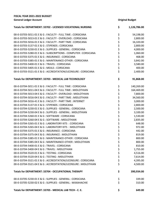| FISCAL YEAR 2021-2022 BUDGET                                    |          |                        |
|-----------------------------------------------------------------|----------|------------------------|
| <b>General Ledger Account</b>                                   |          | <b>Original Budget</b> |
| Totals for DEPARTMENT: 33702 - LICENSED VOCATIONAL NURSING      | \$       | 1,126,786.00           |
| 00-0-33703-5011-01 E & G : FACULTY - FULL TIME : CORSICANA      | \$       | 54,198.00              |
| 00-0-33703-5013-01 E & G : FACULTY - OVERLOAD : CORSICANA       | \$       | 2,800.00               |
| 00-0-33703-5016-01 E & G : FACULTY - PART TIME : CORSICANA      |          | 16,320.00              |
| 00-0-33703-5137-01 E & G: STIPENDS: CORSICANA                   | \$\$\$   | 2,800.00               |
| 00-0-33703-5230-01 E & G : SUPPLIES - GENERAL : CORSICANA       |          | 4,000.00               |
| 00-0-33703-5280-01 E & G : SUBSCRIPTIONS - COMPUTER : CORSICANA |          | 1,060.00               |
| 00-0-33703-5375-01 E & G : INSURANCE : CORSICANA                | \$\$\$   | 468.00                 |
| 00-0-33703-5385-01 E & G : MAINTENANCE-OTHER : CORSICANA        |          | 3,842.00               |
| 00-0-33703-5400-01 E & G: TRAVEL: CORSICANA                     | \$<br>\$ | 3,580.00               |
| 00-0-33703-5405-01 E & G: MEALS: CORSICANA                      |          | 400.00                 |
| 00-0-33703-5521-01 E & G : ACCREDITATION/LICENSURE : CORSICANA  | \$       | 2,400.00               |
| Totals for DEPARTMENT: 33703 - MEDICAL LAB TECHNOLOGY           | \$       | 91,868.00              |
| 00-0-33704-5011-01 E & G : FACULTY - FULL TIME : CORSICANA      | \$       | 140,269.00             |
| 00-0-33704-5011-04 E & G : FACULTY - FULL TIME : MIDLOTHIAN     | \$       | 164,469.00             |
| 00-0-33704-5013-04 E & G : FACULTY - OVERLOAD : MIDLOTHIAN      |          | 7,800.00               |
| 00-0-33704-5016-04 E & G : FACULTY - PART TIME : MIDLOTHIAN     | \$\$\$   | 34,560.00              |
| 00-0-33704-5016-41 E & G : FACULTY - PART TIME : INTERNET       |          | 3,000.00               |
| 00-0-33704-5137-01 E & G: STIPENDS: CORSICANA                   |          | 2,800.00               |
| 00-0-33704-5230-01 E & G : SUPPLIES - GENERAL : CORSICANA       | やややか ややや | 2,500.00               |
| 00-0-33704-5230-04 E & G : SUPPLIES - GENERAL : MIDLOTHIAN      |          | 3,100.00               |
| 00-0-33704-5260-01 E & G: SOFTWARE: CORSICANA                   |          | 1,530.00               |
| 00-0-33704-5260-04 E & G : SOFTWARE : MIDLOTHIAN                |          | 2,835.00               |
| 00-0-33704-5265-01 E & G : LABORATORY KITS : CORSICANA          |          | 648.00                 |
| 00-0-33704-5265-04 E & G : LABORATORY KITS : MIDLOTHIAN         |          | 972.00                 |
| 00-0-33704-5375-01 E & G : INSURANCE : CORSICANA                |          | 442.00                 |
| 00-0-33704-5375-04 E & G : INSURANCE : MIDLOTHIAN               | \$       | 819.00                 |
| 00-0-33704-5385-01 E & G: MAINTENANCE-OTHER: CORSICANA          |          | 800.00                 |
| 00-0-33704-5385-04 E & G : MAINTENANCE-OTHER : MIDLOTHIAN       |          | 800.00                 |
| 00-0-33704-5400-01 E & G: TRAVEL: CORSICANA                     |          | 810.00                 |
| 00-0-33704-5400-04 E & G: TRAVEL: MIDLOTHIAN                    |          | 1,755.00               |
| 00-0-33704-5520-01 E & G : TESTING : CORSICANA                  |          | 4,516.00               |
| 00-0-33704-5520-04 E & G: TESTING: MIDLOTHIAN                   | ややみ ややや  | 7,614.00               |
| 00-0-33704-5521-01 E & G : ACCREDITATION/LICENSURE : CORSICANA  |          | 4,395.00               |
| 00-0-33704-5521-04 E & G : ACCREDITATION/LICENSURE : MIDLOTHIAN | \$       | 4,500.00               |
| Totals for DEPARTMENT: 33704 - OCCUPATIONAL THERAPY             | \$       | 390,934.00             |
| 00-0-33705-5230-01 E & G : SUPPLIES - GENERAL : CORSICANA       | \$       | 339.00                 |
| 00-0-33705-5230-02 E & G : SUPPLIES - GENERAL : WAXAHACHIE      | \$       | 310.00                 |
| Totals for DEPARTMENT: 33705 - MEDICAL LAB TECH - C. E.         | \$       | 649.00                 |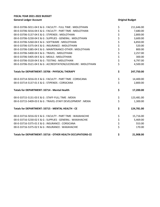| 00-0-33706-5011-04 E & G : FACULTY - FULL TIME : MIDLOTHIAN     | \$       | 211,646.00 |
|-----------------------------------------------------------------|----------|------------|
| 00-0-33706-5016-04 E & G : FACULTY - PART TIME : MIDLOTHIAN     | \$<br>\$ | 7,680.00   |
| 00-0-33706-5137-04 E & G : STIPENDS : MIDLOTHIAN                |          | 2,800.00   |
| 00-0-33706-5230-04 E & G : SUPPLIES - GENERAL : MIDLOTHIAN      | \$<br>\$ | 3,600.00   |
| 00-0-33706-5260-04 E & G : SOFTWARE : MIDLOTHIAN                |          | 6,850.00   |
| 00-0-33706-5375-04 E & G : INSURANCE : MIDLOTHIAN               | \$<br>\$ | 520.00     |
| 00-0-33706-5385-04 E & G : MAINTENANCE-OTHER : MIDLOTHIAN       |          | 800.00     |
| 00-0-33706-5400-04 E & G: TRAVEL: MIDLOTHIAN                    | \$\$\$\$ | 2,257.00   |
| 00-0-33706-5405-04 E & G : MEALS : MIDLOTHIAN                   |          | 300.00     |
| 00-0-33706-5520-04 E & G: TESTING: MIDLOTHIAN                   |          | 6,797.00   |
| 00-0-33706-5521-04 E & G : ACCREDITATION/LICENSURE : MIDLOTHIAN |          | 4,500.00   |
| Totals for DEPARTMENT: 33706 - PHYSICAL THERAPY                 | \$       | 247,750.00 |
| 00-0-33714-5016-01 E & G : FACULTY - PART TIME : CORSICANA      | \$<br>\$ | 14,400.00  |
| 00-0-33714-5137-01 E & G : STIPENDS : CORSICANA                 |          | 2,800.00   |
| <b>Totals for DEPARTMENT: 33714 - Mental Health</b>             | \$       | 17,200.00  |
| 00-0-33715-5131-03 E & G : STAFF-FULL TIME : MEXIA              | \$       | 123,481.00 |
| 00-0-33715-5409-03 E & G: TRAVEL-STAFF DEVELOPMENT: MEXIA       | \$       | 1,300.00   |
| Totals for DEPARTMENT: 33715 - MENTAL HEALTH - CE               | \$       | 124,781.00 |
| 00-0-33716-5016-02 E & G : FACULTY - PART TIME : WAXAHACHIE     | \$       | 15,716.00  |
| 00-0-33716-5230-02 E & G : SUPPLIES - GENERAL : WAXAHACHIE      | \$       | 5,469.00   |
| 00-0-33716-5375-01 E & G : INSURANCE : CORSICANA                | \$       | 553.00     |
| 00-0-33716-5375-02 E & G : INSURANCE : WAXAHACHIE               | \$       | 170.00     |
| Totals for DEPARTMENT: 33716 - OTHER HEALTH OCCUPATIONS-CE      | \$       | 21,908.00  |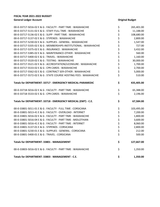| 00-0-33717-5016-02 E & G : FACULTY - PART TIME : WAXAHACHIE       | \$          | 265,401.00 |
|-------------------------------------------------------------------|-------------|------------|
| 00-0-33717-5131-02 E & G : STAFF-FULL TIME : WAXAHACHIE           | \$          | 11,188.00  |
| 00-0-33717-5136-02 E & G : SUPP - PART TIME : WAXAHACHIE          |             | 108,680.00 |
| 00-0-33717-5137-02 E & G : STIPENDS : WAXAHACHIE                  |             | 2,800.00   |
| 00-0-33717-5230-02 E & G : SUPPLIES - GENERAL : WAXAHACHIE        |             | 1,547.00   |
| 00-0-33717-5335-02 E & G : MEMBERSHIPS-INSTITUTIONAL : WAXAHACHIE |             | 727.00     |
| 00-0-33717-5375-02 E & G : INSURANCE : WAXAHACHIE                 |             | 3,432.00   |
| 00-0-33717-5385-02 E & G : MAINTENANCE-OTHER : WAXAHACHIE         | ぐうさくさい こうさく | 560.00     |
| 00-0-33717-5400-02 E & G : TRAVEL : WAXAHACHIE                    |             | 1,160.00   |
| 00-0-33717-5520-02 E & G: TESTING: WAXAHACHIE                     |             | 30,000.00  |
| 00-0-33717-5521-02 E & G : ACCREDITATION/LICENSURE : WAXAHACHIE   |             | 1,700.00   |
| 00-0-33717-5533-02 E & G : CPR CARDS : WAXAHACHIE                 |             | 2,700.00   |
| 00-0-33717-5562-02 E & G : CONTRACT SER-OTHER : WAXAHACHIE        |             | 5,000.00   |
| 00-0-33717-5572-02 E & G : STATE COURSE HOSTING FEES : WAXAHACHIE |             | 510.00     |
| Totals for DEPARTMENT: 33717 - EMERGENCY MEDICAL-PARAMEDIC        | \$          | 435,405.00 |
| 00-0-33718-5016-02 E & G : FACULTY - PART TIME : WAXAHACHIE       | \$<br>\$    | 65,388.00  |
| 00-0-33718-5533-02 E & G : CPR CARDS : WAXAHACHIE                 |             | 2,196.00   |
| Totals for DEPARTMENT: 33718 - EMERGENCY MEDICAL (EMT) - C.E.     | \$          | 67,584.00  |
| 00-0-33801-5011-01 E & G : FACULTY - FULL TIME : CORSICANA        | \$          | 103,495.00 |
| 00-0-33801-5013-41 E & G : FACULTY - OVERLOAD : INTERNET          |             | 7,200.00   |
| 00-0-33801-5016-02 E & G : FACULTY - PART TIME : WAXAHACHIE       | ややみ ややや     | 1,800.00   |
| 00-0-33801-5016-04 E & G : FACULTY - PART TIME : MIDLOTHIAN       |             | 3,600.00   |
| 00-0-33801-5016-41 E & G : FACULTY - PART TIME : INTERNET         |             | 8,060.00   |
| 00-0-33801-5137-01 E & G: STIPENDS: CORSICANA                     |             | 2,800.00   |
| 00-0-33801-5230-01 E & G : SUPPLIES - GENERAL : CORSICANA         |             | 212.00     |
| 00-0-33801-5400-01 E & G: TRAVEL: CORSICANA                       |             | 500.00     |
| Totals for DEPARTMENT: 33801 - MANAGEMENT                         | \$          | 127,667.00 |
| 00-0-33803-5016-02 E & G : FACULTY - PART TIME : WAXAHACHIE       | \$          | 1,350.00   |
| Totals for DEPARTMENT: 33803 - MANAGEMENT - C.E.                  | \$          | 1,350.00   |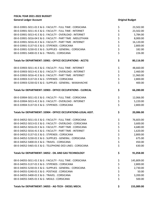| 00-0-33901-5011-01 E & G : FACULTY - FULL TIME : CORSICANA    | \$             | 23,502.00  |
|---------------------------------------------------------------|----------------|------------|
| 00-0-33901-5011-41 E & G : FACULTY - FULL TIME : INTERNET     | \$             | 23,502.00  |
| 00-0-33901-5013-41 E & G : FACULTY - OVERLOAD : INTERNET      | \$             | 5,784.00   |
| 00-0-33901-5016-04 E & G : FACULTY - PART TIME : MIDLOTHIAN   |                | 8,000.00   |
| 00-0-33901-5016-41 E & G : FACULTY - PART TIME : INTERNET     | \$<br>\$       | 16,120.00  |
| 00-0-33901-5137-01 E & G: STIPENDS: CORSICANA                 |                | 2,800.00   |
| 00-0-33901-5230-01 E & G : SUPPLIES - GENERAL : CORSICANA     | \$<br>\$       | 182.00     |
| 00-0-33901-5400-01 E & G: TRAVEL: CORSICANA                   | \$             | 226.00     |
| Totals for DEPARTMENT: 33901 - OFFICE OCCUPATIONS - ACCTG     | \$             | 80,116.00  |
| 00-0-33903-5011-41 E & G : FACULTY - FULL TIME : INTERNET     | \$             | 48,660.00  |
| 00-0-33903-5013-41 E & G : FACULTY - OVERLOAD : INTERNET      |                | 2,460.00   |
| 00-0-33903-5016-41 E & G : FACULTY - PART TIME : INTERNET     | \$\$\$\$       | 11,960.00  |
| 00-0-33903-5137-01 E & G : STIPENDS : CORSICANA               |                | 2,800.00   |
| 00-0-33903-5230-02 E & G : SUPPLIES - GENERAL : WAXAHACHIE    |                | 400.00     |
| Totals for DEPARTMENT: 33903 - OFFICE OCCUPATIONS - CLERICAL  | \$             | 66,280.00  |
| 00-0-33904-5011-01 E & G : FACULTY - FULL TIME : CORSICANA    |                | 12,066.00  |
| 00-0-33904-5013-41 E & G : FACULTY - OVERLOAD : INTERNET      | \$<br>\$<br>\$ | 5,220.00   |
| 00-0-33904-5137-01 E & G : STIPENDS : CORSICANA               |                | 2,800.00   |
| Totals for DEPARTMENT: 33904 - OFFICE OCCUPATIONS-LEGAL ASST. | \$             | 20,086.00  |
| 00-0-34052-5011-01 E & G : FACULTY - FULL TIME : CORSICANA    | \$             | 76,603.00  |
| 00-0-34052-5013-01 E & G : FACULTY - OVERLOAD : CORSICANA     | \$             | 3,600.00   |
| 00-0-34052-5016-01 E & G : FACULTY - PART TIME : CORSICANA    | \$\$\$         | 4,680.00   |
| 00-0-34052-5016-41 E & G : FACULTY - PART TIME : INTERNET     |                | 1,620.00   |
| 00-0-34052-5137-01 E & G: STIPENDS: CORSICANA                 |                | 2,800.00   |
| 00-0-34052-5230-01 E & G : SUPPLIES - GENERAL : CORSICANA     | \$             | 675.00     |
| 00-0-34052-5400-01 F & G : TRAVEL : CORSICANA                 | \$             | 450.00     |
| 00-0-34052-5465-01 E & G : TELEPHONE-DED LINES : CORSICANA    | \$             | 630.00     |
| Totals for DEPARTMENT: 34052 - OIL AND GAS TECHNOLOGY         | \$             | 91,058.00  |
| 00-0-34055-5011-01 E & G : FACULTY - FULL TIME : CORSICANA    | \$             | 145,809.00 |
| 00-0-34055-5137-01 E & G : STIPENDS : CORSICANA               | \$             | 2,800.00   |
| 00-0-34055-5230-01 E & G : SUPPLIES - GENERAL : CORSICANA     | \$             | 2,730.00   |
| 00-0-34055-5240-01 E & G : POSTAGE : CORSICANA                | \$             | 50.00      |
| 00-0-34055-5400-01 E & G: TRAVEL: CORSICANA                   | \$             | 3,200.00   |
| 00-0-34055-5405-01 E & G : MEALS : CORSICANA                  | \$             | 500.00     |
| Totals for DEPARTMENT: 34055 - AG-TECH - DIESEL MECH.         | \$             | 155,089.00 |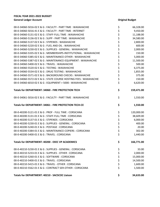| 00-0-34060-5016-02 E & G : FACULTY - PART TIME : WAXAHACHIE       | \$       | 66,328.00  |
|-------------------------------------------------------------------|----------|------------|
| 00-0-34060-5016-41 E & G : FACULTY - PART TIME : INTERNET         |          | 9,450.00   |
| 00-0-34060-5131-02 E & G : STAFF-FULL TIME : WAXAHACHIE           |          | 11,188.00  |
| 00-0-34060-5136-02 E & G : SUPP - PART TIME : WAXAHACHIE          | やややや ややや | 34,580.00  |
| 00-0-34060-5137-02 E & G : STIPENDS : WAXAHACHIE                  |          | 2,800.00   |
| 00-0-34060-5220-02 E & G : FUEL AND OIL : WAXAHACHIE              |          | 600.00     |
| 00-0-34060-5230-02 E & G : SUPPLIES - GENERAL : WAXAHACHIE        |          | 2,000.00   |
| 00-0-34060-5335-02 E & G : MEMBERSHIPS-INSTITUTIONAL : WAXAHACHIE |          | 150.00     |
| 00-0-34060-5385-02 E & G : MAINTENANCE-OTHER : WAXAHACHIE         |          | 5,000.00   |
| 00-0-34060-5387-02 E & G : MAINTENANCE-EQUIPMENT : WAXAHACHIE     | ぐぐぐぐ     | 11,500.00  |
| 00-0-34060-5400-02 E & G: TRAVEL: WAXAHACHIE                      |          | 500.00     |
| 00-0-34060-5520-02 E & G : TESTING : WAXAHACHIE                   |          | 6,375.00   |
| 00-0-34060-5534-02 E & G : DRUG TESTING : WAXAHACHIE              |          | 1,855.00   |
| 00-0-34060-5571-02 E & G : BACKGROUND CHECKS : WAXAHACHIE         |          | 375.00     |
| 00-0-34060-5572-02 E & G : STATE COURSE HOSTING FEES : WAXAHACHIE |          | 150.00     |
| 00-0-34060-6010-02 E & G : EQUIPMENT > 5000 : WAXAHACHIE          |          | 6,620.00   |
| Totals for DEPARTMENT: 34060 - FIRE PROTECTION TECH               | \$       | 159,471.00 |
| 00-0-34061-5016-02 E & G : FACULTY - PART TIME : WAXAHACHIE       | \$       | 1,550.00   |
| Totals for DEPARTMENT: 34061 - FIRE PROTECTION TECH-CE            | \$       | 1,550.00   |
| 00-0-40200-5121-01 E & G : PROF - FULL TIME : CORSICANA           |          | 120,000.00 |
| 00-0-40200-5131-01 E & G : STAFF-FULL TIME : CORSICANA            |          | 38,609.00  |
| 00-0-40200-5137-01 E & G: STIPENDS: CORSICANA                     |          | 6,000.00   |
|                                                                   |          |            |
| 00-0-40200-5230-01 E & G : SUPPLIES - GENERAL : CORSICANA         |          | 400.00     |
| 00-0-40200-5240-01 E & G : POSTAGE : CORSICANA                    |          | 20.00      |
| 00-0-40200-5384-01 E & G : MAINTENANCE-COPIERS : CORSICANA        |          | 302.00     |
| 00-0-40200-5400-01 E & G: TRAVEL: CORSICANA                       | ややや ややや  | 1,440.00   |
| Totals for DEPARTMENT: 40200 - EXEC VP ACADEMICS                  | \$       | 166,771.00 |
| 00-0-40210-5230-01 E & G : SUPPLIES - GENERAL : CORSICANA         | \$       | 33.00      |
| 00-0-40210-5233-01 E & G : SUPPLIES - OTHER : CORSICANA           |          | 2,000.00   |
| 00-0-40210-5260-01 E & G : SOFTWARE : CORSICANA                   | \$<br>\$ | 15,000.00  |
| 00-0-40210-5400-01 E & G : TRAVEL : CORSICANA                     |          | 14,500.00  |
| 00-0-40210-5415-01 E & G : TRAVEL - OTHER : CORSICANA             | \$<br>\$ | 1,600.00   |
| 00-0-40210-5562-01 E & G : CONTRACT SER-OTHER : CORSICANA         | \$       | 1,500.00   |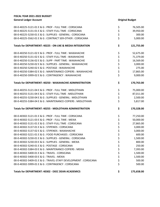| 00-0-40225-5121-01 E & G : PROF - FULL TIME : CORSICANA        | \$     | 76,505.00  |
|----------------------------------------------------------------|--------|------------|
| 00-0-40225-5131-01 E & G : STAFF-FULL TIME : CORSICANA         |        | 39,950.00  |
| 00-0-40225-5230-01 E & G : SUPPLIES - GENERAL : CORSICANA      | \$\$\$ | 300.00     |
| 00-0-40225-5562-01 E & G : CONTRACT SER-OTHER : CORSICANA      |        | 5,000.00   |
| Totals for DEPARTMENT: 40225 - ON-LNE & MEDIA INTEGRATION      | \$     | 121,755.00 |
| 00-0-40250-5121-02 E & G : PROF - FULL TIME : WAXAHACHIE       |        | 52,675.00  |
| 00-0-40250-5131-02 E & G : STAFF-FULL TIME : WAXAHACHIE        | やややややや | 71,379.00  |
| 00-0-40250-5136-02 E & G : SUPP - PART TIME : WAXAHACHIE       |        | 16,569.00  |
| 00-0-40250-5230-02 E & G : SUPPLIES - GENERAL : WAXAHACHIE     |        | 3,000.00   |
| 00-0-40250-5240-02 E & G : POSTAGE : WAXAHACHIE                |        | 275.00     |
| 00-0-40250-5384-02 E & G : MAINTENANCE-COPIERS : WAXAHACHIE    |        | 17,865.00  |
| 00-0-40250-5999-02 E & G : CONTINGENCY : WAXAHACHIE            |        | 9,000.00   |
| Totals for DEPARTMENT: 40250 - WAXAHACHIE ADMINISTRATION       | \$     | 170,763.00 |
| 00-0-40255-5121-04 E & G : PROF - FULL TIME : MIDLOTHIAN       | \$     | 75,000.00  |
| 00-0-40255-5131-04 E & G : STAFF-FULL TIME : MIDLOTHIAN        |        | 87,011.00  |
| 00-0-40255-5230-04 E & G : SUPPLIES - GENERAL : MIDLOTHIAN     | \$\$\$ | 2,500.00   |
| 00-0-40255-5384-04 E & G : MAINTENANCE-COPIERS : MIDLOTHIAN    |        | 5,817.00   |
| Totals for DEPARTMENT: 40255 - MIDLOTHIAN ADMINISTRATION       | \$     | 170,328.00 |
| 00-0-40302-5121-01 E & G : PROF - FULL TIME : CORSICANA        |        | 77,250.00  |
| 00-0-40302-5121-03 E & G : PROF - FULL TIME : MEXIA            | ややややや  | 50,000.00  |
| 00-0-40302-5131-01 E & G : STAFF-FULL TIME : CORSICANA         |        | 27,865.00  |
| 00-0-40302-5137-01 E & G: STIPENDS: CORSICANA                  |        | 3,000.00   |
| 00-0-40302-5137-02 E & G : STIPENDS : WAXAHACHIE               |        | 3,000.00   |
| 00-0-40302-5221-01 E & G : FOOD PURCHASES : CORSICANA          |        | 600.00     |
| 00-0-40302-5230-01 E & G : SUPPLIES - GENERAL : CORSICANA      |        | 1,500.00   |
| 00-0-40302-5230-03 E & G : SUPPLIES - GENERAL : MEXIA          | \$     | 800.00     |
| 00-0-40302-5240-01 E & G : POSTAGE : CORSICANA                 | \$     | 250.00     |
| 00-0-40302-5384-03 E & G : MAINTENANCE-COPIERS : MEXIA         | \$     | 7,393.00   |
| 00-0-40302-5400-01 E & G: TRAVEL: CORSICANA                    | \$     | 1,500.00   |
| 00-0-40302-5400-03 E & G: TRAVEL: MEXIA                        | \$     | 1,500.00   |
| 00-0-40302-5409-01 E & G: TRAVEL-STAFF DEVELOPMENT : CORSICANA | \$     | 500.00     |
| 00-0-40302-5999-01 E & G : CONTINGENCY : CORSICANA             | \$     | 500.00     |
| Totals for DEPARTMENT: 40302 - EXEC DEAN ACADEMICS             | \$     | 175,658.00 |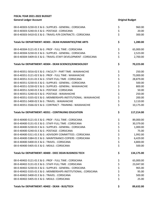| 00-0-40303-5230-01 E & G : SUPPLIES - GENERAL : CORSICANA         | \$         | 960.00     |
|-------------------------------------------------------------------|------------|------------|
| 00-0-40303-5240-01 E & G : POSTAGE : CORSICANA                    | \$         | 20.00      |
| 00-0-40303-5410-01 E & G : TRAVEL-P/R CONTRACTS : CORSICANA       | \$         | 300.00     |
| Totals for DEPARTMENT: 40303 - DEAN HUMANITIES/FINE ARTS          | \$         | 1,280.00   |
| 00-0-40304-5121-01 E & G : PROF - FULL TIME : CORSICANA           | \$         | 65,000.00  |
| 00-0-40304-5230-01 E & G : SUPPLIES - GENERAL : CORSICANA         | \$         | 2,523.00   |
| 00-0-40304-5409-01 E & G : TRAVEL-STAFF DEVELOPMENT : CORSICANA   | \$         | 2,700.00   |
| Totals for DEPARTMENT: 40304 - DEAN SCIENCES/KINESIOLOGY          | \$         | 70,223.00  |
| 00-0-40351-5016-02 E & G : FACULTY - PART TIME : WAXAHACHIE       | \$         | 250.00     |
| 00-0-40351-5121-02 E & G : PROF - FULL TIME : WAXAHACHIE          | ひゃくひょう ひゃく | 73,000.00  |
| 00-0-40351-5131-01 E & G : STAFF-FULL TIME : CORSICANA            |            | 28,879.00  |
| 00-0-40351-5230-01 E & G : SUPPLIES - GENERAL : CORSICANA         |            | 500.00     |
| 00-0-40351-5230-02 E & G : SUPPLIES - GENERAL : WAXAHACHIE        |            | 800.00     |
| 00-0-40351-5240-01 E & G : POSTAGE : CORSICANA                    |            | 50.00      |
| 00-0-40351-5240-02 E & G : POSTAGE : WAXAHACHIE                   |            | 250.00     |
| 00-0-40351-5335-02 E & G : MEMBERSHIPS-INSTITUTIONAL : WAXAHACHIE |            | 200.00     |
| 00-0-40351-5400-02 E & G: TRAVEL: WAXAHACHIE                      |            | 3,110.00   |
| 00-0-40351-5566-02 E & G : CONTRACT - TRAINING : WAXAHACHIE       | \$         | 10,175.00  |
| Totals for DEPARTMENT: 40351 - CONTINUING EDUCATION               | \$         | 117,214.00 |
| 00-0-40400-5121-01 E & G : PROF - FULL TIME : CORSICANA           | \$         | 89,000.00  |
| 00-0-40400-5131-01 E & G : STAFF-FULL TIME : CORSICANA            | \$         | 30,379.00  |
| 00-0-40400-5230-01 E & G : SUPPLIES - GENERAL : CORSICANA         | \$\$\$\$   | 1,000.00   |
| 00-0-40400-5240-01 E & G : POSTAGE : CORSICANA                    |            | 75.00      |
| 00-0-40400-5311-01 E & G : ADVISORY COMMITTEES : CORSICANA        |            | 1,992.00   |
| 00-0-40400-5384-01 E & G : MAINTENANCE-COPIERS : CORSICANA        |            | 6,429.00   |
| 00-0-40400-5400-01 E & G: TRAVEL: CORSICANA                       | \$         | 4,800.00   |
| 00-0-40400-5405-01 E & G : MEALS : CORSICANA                      | \$         | 500.00     |
| Totals for DEPARTMENT: 40400 - EXEC DEAN BUSINESS TECH            | \$         | 134,175.00 |
| 00-0-40402-5121-01 E & G : PROF - FULL TIME : CORSICANA           | \$         | 65,000.00  |
| 00-0-40402-5131-01 E & G : STAFF-FULL TIME : CORSICANA            | \$         | 23,047.00  |
| 00-0-40402-5230-01 E & G : SUPPLIES - GENERAL : CORSICANA         | \$         | 965.00     |
| 00-0-40402-5335-01 E & G : MEMBERSHIPS-INSTITUTIONAL : CORSICANA  | \$         | 95.00      |
| 00-0-40402-5400-01 E & G: TRAVEL: CORSICANA                       | \$         | 500.00     |
| 00-0-40402-5405-01 E & G : MEALS : CORSICANA                      | \$         | 25.00      |
| Totals for DEPARTMENT: 40402 - DEAN - BUS/TECH                    | \$         | 89,632.00  |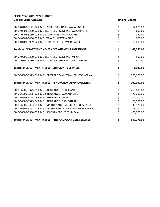| 00-0-40403-5121-02 E & G : PROF - FULL TIME : WAXAHACHIE     | \$       | 52,675.00  |
|--------------------------------------------------------------|----------|------------|
| 00-0-40403-5230-02 E & G : SUPPLIES - GENERAL : WAXAHACHIE   | \$       | 600.00     |
| 00-0-40403-5260-02 E & G : SOFTWARE : WAXAHACHIE             |          | 180.00     |
| 00-0-40403-5400-02 E & G : TRAVEL : WAXAHACHIE               | \$<br>\$ | 300.00     |
| 00-0-40403-5999-02 E & G : CONTINGENCY : WAXAHACHIE          | \$       | 10,000.00  |
| Totals for DEPARTMENT: 40403 - DEAN-HEALTH PROFESSIONS       | \$       | 63,755.00  |
| 00-0-40500-5230-03 E & G : SUPPLIES - GENERAL : MEXIA        | \$       | 500.00     |
| 00-0-40500-5230-04 E & G : SUPPLIES - GENERAL : MIDLOTHIAN   | \$       | 500.00     |
| <b>Totals for DEPARTMENT: 40500 - COMMUNITY SERVICES</b>     | \$       | 1,000.00   |
| 00-0-66600-5379-01 E & G : DEFERRED MAINTENANCE : CORSICANA  | \$       | 200,000.00 |
| Totals for DEPARTMENT: 66600 - RENOVATIONS/IMPROVEMENTS      | \$       | 200,000.00 |
| 00-0-66605-5375-01 E & G : INSURANCE : CORSICANA             | \$       | 260,000.00 |
| 00-0-66605-5375-02 E & G : INSURANCE : WAXAHACHIE            | \$<br>\$ | 70,000.00  |
| 00-0-66605-5375-03 E & G: INSURANCE: MEXIA                   |          | 11,000.00  |
| 00-0-66605-5375-04 E & G : INSURANCE : MIDLOTHIAN            | \$       | 55,000.00  |
| 00-0-66605-5393-01 E & G : MAINTENANCE-VEHICLES : CORSICANA  | \$\$\$   | 48,178.00  |
| 00-0-66605-5393-02 E & G : MAINTENANCE-VEHICLES : WAXAHACHIE |          | 3,000.00   |
| 00-0-66605-5580-03 E & G : RENTAL - FACILITIES : MEXIA       |          | 400,000.00 |
| Totals for DEPARTMENT: 66605 - PHYSICAL PLANT-GEN. SERVICES  | \$       | 847,178.00 |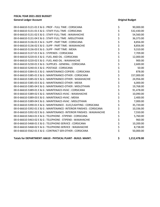| Totals for DEPARTMENT: 66610 - PHYSICAL PLANT - BUILD. MAINT.          | \$       | 1,212,478.00 |
|------------------------------------------------------------------------|----------|--------------|
| 00-0-66610-5562-01 E & G: CONTRACT SER-OTHER: CORSICANA                |          | 50,000.00    |
| 00-0-66610-5468-02 E & G : TELEPHONE-SERVICE : WAXAHACHIE              | \$<br>\$ | 8,738.00     |
| 00-0-66610-5468-01 E & G : TELEPHONE-SERVICE : CORSICANA               | \$       | 10,200.00    |
| 00-0-66610-5463-02 E & G : TELEPHONE - STIPEND : WAXAHACHIE            | \$       | 960.00       |
| 00-0-66610-5463-01 E & G : TELEPHONE - STIPEND : CORSICANA             | \$       | 5,760.00     |
| 00-0-66610-5392-02 E & G : MAINTENANCE- INTERIOR FINISHES : WAXAHACHIE | \$       | 7,550.00     |
| 00-0-66610-5392-01 E & G : MAINTENANCE- INTERIOR FINISHES : CORSICANA  | \$       | 10,336.00    |
| 00-0-66610-5390-01 E & G : MAINTENANCE - ELEC/LIGHTING : CORSICANA     | \$       | 35,720.00    |
| 00-0-66610-5389-04 E & G : MAINTENACE-HVAC : MIDLOTHIAN                | \$       | 7,000.00     |
| 00-0-66610-5389-03 E & G : MAINTENACE-HVAC : MEXIA                     | \$       | 2,400.00     |
| 00-0-66610-5389-02 E & G : MAINTENACE-HVAC : WAXAHACHIE                | \$       | 10,090.00    |
| 00-0-66610-5389-01 E & G: MAINTENACE-HVAC: CORSICANA                   | \$       | 91,478.00    |
| 00-0-66610-5385-04 E & G : MAINTENANCE-OTHER : MIDLOTHIAN              | \$       | 19,768.00    |
| 00-0-66610-5385-03 E & G : MAINTENANCE-OTHER : MEXIA                   | \$       | 6,000.00     |
| 00-0-66610-5385-02 E & G : MAINTENANCE-OTHER : WAXAHACHIE              | \$       | 24,956.00    |
| 00-0-66610-5385-01 E & G : MAINTENANCE-OTHER : CORSICANA               | \$       | 157,000.00   |
| 00-0-66610-5384-01 E & G : MAINTENANCE-COPIERS : CORSICANA             | \$       | 878.00       |
| 00-0-66610-5240-01 E & G : POSTAGE : CORSICANA                         | \$       | 50.00        |
| 00-0-66610-5230-01 E & G : SUPPLIES - GENERAL : CORSICANA              | \$       | 2,600.00     |
| 00-0-66610-5220-02 E & G : FUEL AND OIL : WAXAHACHIE                   | \$       | 900.00       |
| 00-0-66610-5220-01 E & G : FUEL AND OIL : CORSICANA                    | \$       | 12,000.00    |
| 00-0-66610-5137-01 E & G : STIPENDS : CORSICANA                        | \$       | 7,709.00     |
| 00-0-66610-5136-03 E & G : SUPP - PART TIME : MEXIA                    | \$       | 9,310.00     |
| 00-0-66610-5136-02 E & G : SUPP - PART TIME : WAXAHACHIE               | \$       | 8,856.00     |
| 00-0-66610-5136-01 E & G : SUPP - PART TIME : CORSICANA                | \$       | 8,856.00     |
| 00-0-66610-5131-04 E & G : STAFF-FULL TIME : MIDLOTHIAN                | \$       | 36,373.00    |
| 00-0-66610-5131-02 E & G : STAFF-FULL TIME : WAXAHACHIE                | \$       | 54,560.00    |
| 00-0-66610-5131-01 E & G : STAFF-FULL TIME : CORSICANA                 | \$       | 532,430.00   |
| 00-0-66610-5121-01 E & G : PROF - FULL TIME : CORSICANA                | \$       | 90,000.00    |
|                                                                        |          |              |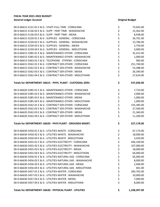| 00-0-66615-5131-01 E & G : STAFF-FULL TIME : CORSICANA        |             | 73,645.00    |
|---------------------------------------------------------------|-------------|--------------|
| 00-0-66615-5136-02 E & G : SUPP - PART TIME : WAXAHACHIE      |             | 15,362.00    |
| 00-0-66615-5136-03 E & G: SUPP - PART TIME: MEXIA             |             | 8,938.00     |
| 00-0-66615-5230-01 E & G : SUPPLIES - GENERAL : CORSICANA     |             | 26,701.00    |
| 00-0-66615-5230-02 E & G : SUPPLIES - GENERAL : WAXAHACHIE    |             | 13,786.00    |
| 00-0-66615-5230-03 E & G : SUPPLIES - GENERAL : MEXIA         |             | 2,750.00     |
| 00-0-66615-5230-04 E & G : SUPPLIES - GENERAL : MIDLOTHIAN    |             | 3,000.00     |
| 00-0-66615-5385-01 E & G: MAINTENANCE-OTHER: CORSICANA        |             | 32,412.00    |
| 00-0-66615-5385-02 E & G: MAINTENANCE-OTHER: WAXAHACHIE       |             | 1,000.00     |
| 00-0-66615-5463-01 E & G : TELEPHONE - STIPEND : CORSICANA    | ぐうぐう ぐうかいかん | 960.00       |
| 00-0-66615-5562-01 E & G: CONTRACT SER-OTHER: CORSICANA       |             | 251,740.00   |
| 00-0-66615-5562-02 E & G : CONTRACT SER-OTHER : WAXAHACHIE    |             | 53,388.00    |
| 00-0-66615-5562-03 E & G : CONTRACT SER-OTHER : MEXIA         |             | 26,340.00    |
| 00-0-66615-5562-04 E & G : CONTRACT SER-OTHER : MIDLOTHIAN    |             | 27,624.00    |
| Totals for DEPARTMENT: 66615 - PHYS. PLANT - CUSTODIAL SERV.  | \$          | 537,646.00   |
| 00-0-66620-5385-01 E & G: MAINTENANCE-OTHER: CORSICANA        |             | 7,733.00     |
| 00-0-66620-5385-02 E & G : MAINTENANCE-OTHER : WAXAHACHIE     | ぐぐ ぐん ぐん    | 2,000.00     |
| 00-0-66620-5385-03 E & G: MAINTENANCE-OTHER: MEXIA            |             | 1,000.00     |
| 00-0-66620-5385-04 E & G: MAINTENANCE-OTHER: MIDLOTHIAN       |             | 1,000.00     |
| 00-0-66620-5562-01 E & G: CONTRACT SER-OTHER: CORSICANA       |             | 155,385.00   |
| 00-0-66620-5562-02 E & G : CONTRACT SER-OTHER : WAXAHACHIE    |             | 27,500.00    |
| 00-0-66620-5562-03 E & G : CONTRACT SER-OTHER : MEXIA         |             | 21,360.00    |
| 00-0-66620-5562-04 E & G : CONTRACT SER-OTHER : MIDLOTHIAN    |             | 11,200.00    |
| Totals for DEPARTMENT: 66620 - PHYS PLANT - GROUNDS MAINT.    | \$          | 227,178.00   |
| 00-0-66630-5450-01 E & G : UTILITIES-WASTE : CORSICANA        | \$          | 67,174.00    |
| 00-0-66630-5450-02 E & G : UTILITIES-WASTE : WAXAHACHIE       | \$<br>\$    | 18,000.00    |
| 00-0-66630-5450-04 E & G : UTILITIES-WASTE : MIDLOTHIAN       |             | 3,420.00     |
| 00-0-66630-5455-01 E & G : UTILITIES-ELECTRICITY : CORSICANA  | \$          | 446,100.00   |
| 00-0-66630-5455-02 E & G : UTILITIES-ELECTRICITY : WAXAHACHIE | \$          | 107,000.00   |
| 00-0-66630-5455-03 E & G: UTILITIES-ELECTRICITY: MEXIA        | \$          | 18,000.00    |
| 00-0-66630-5455-04 E & G : UTILITIES-ELECTRICITY : MIDLOTHIAN | \$          | 64,000.00    |
| 00-0-66630-5456-01 E & G : UTILITIES-NATURAL GAS : CORSICANA  | \$          | 65,000.00    |
| 00-0-66630-5456-02 E & G : UTILITIES-NATURAL GAS : WAXAHACHIE | \$          | 8,000.00     |
| 00-0-66630-5456-03 E & G : UTILITIES-NATURAL GAS : MEXIA      | \$          | 2,400.00     |
| 00-0-66630-5456-04 E & G : UTILITIES-NATURAL GAS : MIDLOTHIAN | \$          | 601.00       |
| 00-0-66630-5457-01 E & G : UTILITIES-WATER : CORSICANA        | \$          | 283,702.00   |
| 00-0-66630-5457-02 E & G : UTILITIES-WATER : WAXAHACHIE       | \$          | 10,000.00    |
| 00-0-66630-5457-03 E & G : UTILITIES-WATER : MEXIA            | \$          | 7,000.00     |
| 00-0-66630-5457-04 E & G : UTILITIES-WATER : MIDLOTHIAN       | \$          | 8,000.00     |
| Totals for DEPARTMENT: 66630 - PHYSICAL PLANT - UTILITIES     | \$          | 1,108,397.00 |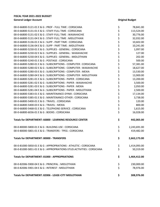| 00-0-66800-5121-01 E & G : PROF - FULL TIME : CORSICANA                | \$       | 78,841.00    |
|------------------------------------------------------------------------|----------|--------------|
| 00-0-66800-5131-01 E & G: STAFF-FULL TIME: CORSICANA                   | \$       | 113,524.00   |
| 00-0-66800-5131-02 E & G : STAFF-FULL TIME : WAXAHACHIE                | \$       | 30,776.00    |
| 00-0-66800-5131-04 E & G : STAFF-FULL TIME : MIDLOTHIAN                | \$       | 32,032.00    |
| 00-0-66800-5136-01 E & G : SUPP - PART TIME : CORSICANA                | \$<br>\$ | 10,602.00    |
| 00-0-66800-5136-04 E & G : SUPP - PART TIME : MIDLOTHIAN               |          | 10,241.00    |
| 00-0-66800-5230-01 E & G : SUPPLIES - GENERAL : CORSICANA              | \$       | 1,097.00     |
| 00-0-66800-5230-02 E & G : SUPPLIES - GENERAL : WAXAHACHIE             | \$<br>\$ | 127.00       |
| 00-0-66800-5230-04 E & G : SUPPLIES - GENERAL : MIDLOTHIAN             |          | 202.00       |
| 00-0-66800-5240-01 E & G : POSTAGE : CORSICANA                         | \$\$\$   | 500.00       |
| 00-0-66800-5280-01 E & G : SUBSCRIPTIONS - COMPUTER : CORSICANA        |          | 57,381.00    |
| 00-0-66800-5280-02 E & G : SUBSCRIPTIONS - COMPUTER : WAXAHACHIE       |          | 18,627.00    |
| 00-0-66800-5280-03 E & G: SUBSCRIPTIONS - COMPUTER: MEXIA              | ややや      | 13,530.00    |
| 00-0-66800-5280-04 E & G : SUBSCRIPTIONS - COMPUTER : MIDLOTHIAN       |          | 13,900.00    |
| 00-0-66800-5281-01 E & G : SUBSCRIPTIONS - PAPER : CORSICANA           |          | 13,200.00    |
| 00-0-66800-5281-02 E & G : SUBSCRIPTIONS - PAPER : WAXAHACHIE          |          | 3,500.00     |
| 00-0-66800-5281-03 E & G : SUBSCRIPTIONS - PAPER : MEXIA               |          | 2,050.00     |
| 00-0-66800-5281-04 E & G : SUBSCRIPTIONS - PAPER : MIDLOTHIAN          | \$\$\$   | 2,500.00     |
| 00-0-66800-5383-01 E & G : MAINTENANCE-DYNIX : CORSICANA               |          | 17,134.00    |
| 00-0-66800-5385-01 E & G: MAINTENANCE-OTHER: CORSICANA                 |          | 3,738.00     |
| 00-0-66800-5400-01 E & G: TRAVEL: CORSICANA                            |          | 120.00       |
| 00-0-66800-5400-03 E & G: TRAVEL: MEXIA                                | \$\$\$   | 800.00       |
| 00-0-66800-5468-01 E & G : TELEPHONE-SERVICE : CORSICANA               |          | 1,615.00     |
| 00-0-66800-6036-01 E & G: BOOKS: CORSICANA                             | \$       | 16,028.00    |
| Totals for DEPARTMENT: 66800 - LEARNING RESOURCE CENTER                | \$       | 442,065.00   |
| 00-0-80000-5800-01 E & G : BUILDING USE : CORSICANA                    | \$       | 2,243,691.00 |
| 00-0-80000-5801-01 E & G : TRANSFERS - TPEG : CORSICANA                | \$       | 419,482.00   |
| <b>Totals for DEPARTMENT: 80000 - TRANSFERS</b>                        | \$       | 2,663,173.00 |
| 00-0-81000-5850-01 E & G : APPROPRIATIONS - ATHLETIC : CORSICANA       | \$       | 1,414,093.00 |
| 00-0-81000-5851-01 E & G : APPROPRIATIONS-STUD. ACTIVITIES : CORSICANA | \$       | 50,319.00    |
| <b>Totals for DEPARTMENT: 81000 - APPROPRIATIONS</b>                   | \$       | 1,464,412.00 |
| 00-0-82006-5900-04 E & G : PRINCIPAL : MIDLOTHIAN                      | \$       | 230,000.00   |
| 00-0-82006-5901-04 E & G : INTEREST : MIDLOTHIAN                       | \$       | 78,976.00    |
| Totals for DEPARTMENT: 82006 - LEASE-CITY MIDLOTHIAN                   | \$       | 308,976.00   |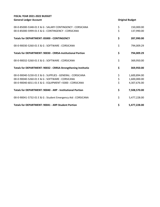| <b>Totals for DEPARTMENT: 90041 - ARP-Student Portion</b>                                                       | \$       | 5,477,228.00             |
|-----------------------------------------------------------------------------------------------------------------|----------|--------------------------|
| 00-0-90041-5732-01 E & G : Student Emergency Aid : CORSICANA                                                    | \$       | 5,477,228.00             |
| <b>Totals for DEPARTMENT: 90040 - ARP - Institutional Portion</b>                                               | \$       | 7,508,570.00             |
| 00-0-90040-6011-01 E & G : EQUIPMENT <5000 : CORSICANA                                                          | \$       | 4,307,676.00             |
| 00-0-90040-5260-01 E & G : SOFTWARE : CORSICANA                                                                 | \$       | 1,600,000.00             |
| 00-0-90040-5230-01 E & G : SUPPLIES - GENERAL : CORSICANA                                                       | \$       | 1,600,894.00             |
| Totals for DEPARTMENT: 90032 - CRRSA-Strengthening Institutio                                                   | \$       | 369,950.00               |
| 00-0-90032-5260-01 E & G : SOFTWARE : CORSICANA                                                                 | \$       | 369,950.00               |
| <b>Totals for DEPARTMENT: 90030 - CRRSA-Institutional Portion</b>                                               | \$       | 794,009.29               |
| 00-0-90030-5260-01 E & G : SOFTWARE : CORSICANA                                                                 | \$       | 794,009.29               |
| <b>Totals for DEPARTMENT: 85000 - CONTINGENCY</b>                                                               | \$       | 287,990.00               |
| 00-0-85000-5348-01 E & G : SALARY CONTINGENCY : CORSICANA<br>00-0-85000-5999-01 E & G : CONTINGENCY : CORSICANA | \$<br>\$ | 150,000.00<br>137,990.00 |
|                                                                                                                 |          |                          |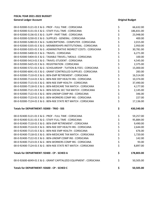| 00-0-92000-5121-01 E & G : PROF - FULL TIME : CORSICANA              | \$       | 66,632.00  |
|----------------------------------------------------------------------|----------|------------|
| 00-0-92000-5131-01 E & G : STAFF-FULL TIME : CORSICANA               | \$       | 186,831.00 |
| 00-0-92000-5136-01 E & G : SUPP - PART TIME : CORSICANA              | \$       | 23,948.00  |
| 00-0-92000-5230-01 E & G : SUPPLIES - GENERAL : CORSICANA            |          | 400.00     |
| 00-0-92000-5280-01 E & G : SUBSCRIPTIONS - COMPUTER : CORSICANA      |          | 2,015.00   |
| 00-0-92000-5335-01 E & G: MEMBERSHIPS-INSTITUTIONAL: CORSICANA       | \$\$\$   | 2,950.00   |
| 00-0-92000-5355-01 E & G : ADMINISTRATIVE INDIRECT COSTS : CORSICANA | \$       | 30,781.00  |
| 00-0-92000-5400-01 E & G: TRAVEL: CORSICANA                          | \$<br>\$ | 6,271.00   |
| 00-0-92000-5404-01 E & G : TAXABLE TRAVEL / MEALS : CORSICANA        |          | 100.00     |
| 00-0-92000-5413-01 E & G : TRAVEL-STUDENT : CORSICANA                | \$\$\$   | 4,545.00   |
| 00-0-92000-5425-01 E & G : REGISTRATION : CORSICANA                  |          | 2,375.00   |
| 00-0-92000-5721-01 E & G : SCHOLARSHIP - TUITION & FEES : CORSICANA  |          | 15,000.00  |
| 00-0-92000-6041-01 E & G : GRANT CONTROLLED SUPPLIES : CORSICANA     |          | 283.00     |
| 00-0-92000-7110-01 E & G : BEN-EMP RETIREMENT : CORSICANA            |          | 16,514.00  |
| 00-0-92000-7114-01 E & G : BEN-NSE DEP HEALTH INS : CORSICANA        | ややや やや   | 10,374.00  |
| 00-0-92000-7115-01 E & G : BEN-NSE EMP HEALTH : CORSICANA            |          | 37,490.00  |
| 00-0-92000-7118-01 E & G : BEN-MEDICARE TAX MATCH : CORSICANA        |          | 4,177.00   |
| 00-0-92000-7121-01 E & G : BEN-SOCIAL SEC TAX MATCH : CORSICANA      |          | 2,145.00   |
| 00-0-92000-7122-01 E & G : BEN-UNEMP COMP INS : CORSICANA            | \$\$\$   | 346.00     |
| 00-0-92000-7123-01 E & G : BEN-WORKERS COMP INS : CORSICANA          |          | 227.00     |
| 00-0-92000-7124-01 E & G : BEN-NSE STATE RET MATCH : CORSICANA       | \$       | 17,136.00  |
| Totals for DEPARTMENT: 92000 - TRIO - SSS                            | \$       | 430,540.00 |
| 00-0-92400-5121-01 E & G : PROF - FULL TIME : CORSICANA              | \$       | 59,257.00  |
| 00-0-92400-5131-01 E & G : STAFF-FULL TIME : CORSICANA               | \$       | 95,884.00  |
| 00-0-92400-7110-01 E & G : BEN-EMP RETIREMENT : CORSICANA            |          | 9,490.00   |
| 00-0-92400-7114-01 E & G : BEN-NSE DEP HEALTH INS : CORSICANA        | \$<br>\$ | 2,644.00   |
| 00-0-92400-7115-01 E & G : BEN-NSE EMP HEALTH : CORSICANA            | \$       | 676.00     |
| 00-0-92400-7118-01 E & G : BEN-MEDICARE TAX MATCH : CORSICANA        | \$       | 1,720.00   |
| 00-0-92400-7122-01 E & G : BEN-UNEMP COMP INS : CORSICANA            | \$       | 142.00     |
| 00-0-92400-7123-01 E & G : BEN-WORKERS COMP INS : CORSICANA          | \$       | 93.00      |
| 00-0-92400-7124-01 E & G : BEN-NSE STATE RET MATCH : CORSICANA       | \$       | 8,897.00   |
| Totals for DEPARTMENT: 92400 - CP - SCHED A                          | \$       | 178,803.00 |
| 00-0-92600-6049-01 E & G : GRANT CAPITALIZED EQUIPMENT : CORSICANA   | \$       | 50,505.00  |
| Totals for DEPARTMENT: 92600 - CP - SCHED C                          | \$       | 50,505.00  |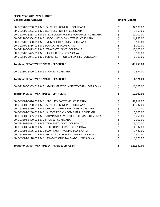| 00-0-92700-5230-01 E & G : SUPPLIES - GENERAL : CORSICANA            | \$             | 34,105.00  |
|----------------------------------------------------------------------|----------------|------------|
| 00-0-92700-5233-01 E & G : SUPPLIES - OTHER : CORSICANA              | \$             | 3,969.00   |
| 00-0-92700-5238-01 E & G : TEXTBOOKS/TRAINING MATERIALS : CORSICANA  | \$<br>\$       | 10,000.00  |
| 00-0-92700-5304-01 E & G : BROCHURES/NEWSLETTERS : CORSICANA         |                | 14,893.00  |
| 00-0-92700-5330-01 E & G : MEMBERSHIPS/DUES : CORSICANA              | \$             | 100.00     |
| 00-0-92700-5356-01 E & G : CHILDCARE : CORSICANA                     | \$\$\$         | 5,000.00   |
| 00-0-92700-5413-01 E & G : TRAVEL-STUDENT : CORSICANA                |                | 10,000.00  |
| 00-0-92700-5425-01 E & G : REGISTRATION : CORSICANA                  |                | 3,980.00   |
| 00-0-92700-6041-01 E & G : GRANT CONTROLLED SUPPLIES : CORSICANA     | \$             | 6,711.00   |
| Totals for DEPARTMENT: 92700 - CP SCHED F                            | \$             | 88,758.00  |
| 00-0-92800-5400-01 E & G: TRAVEL: CORSICANA                          | \$             | 1,974.00   |
| Totals for DEPARTMENT: 92800 - CP SCHED B                            | \$             | 1,974.00   |
| 00-0-92900-5355-01 E & G : ADMINISTRATIVE INDIRECT COSTS : CORSICANA | \$             | 16,002.00  |
| Totals for DEPARTMENT: 92900 - CP - ADMIN                            | \$             | 16,002.00  |
| 00-0-93304-5016-01 E & G : FACULTY - PART TIME : CORSICANA           | \$             | 47,812.00  |
| 00-0-93304-5230-01 E & G : SUPPLIES - GENERAL : CORSICANA            | \$             | 40,737.00  |
| 00-0-93304-5250-01 E & G : ADVERTISING/PROMOTIONS : CORSICANA        | \$             | 7,000.00   |
| 00-0-93304-5280-01 E & G : SUBSCRIPTIONS - COMPUTER : CORSICANA      | \$<br>\$<br>\$ | 5,000.00   |
| 00-0-93304-5355-01 E & G : ADMINISTRATIVE INDIRECT COSTS : CORSICANA |                | 5,458.00   |
| 00-0-93304-5400-01 E & G: TRAVEL: CORSICANA                          |                | 2,000.00   |
| 00-0-93304-5413-01 E & G : TRAVEL-STUDENT : CORSICANA                | \$ \$ \$ \$    | 5,000.00   |
| 00-0-93304-5468-01 E & G : TELEPHONE-SERVICE : CORSICANA             |                | 4,332.00   |
| 00-0-93304-5566-01 E & G : CONTRACT - TRAINING : CORSICANA           |                | 1,420.00   |
| 00-0-93304-6041-01 E & G : GRANT CONTROLLED SUPPLIES : CORSICANA     |                | 500.00     |
| 00-0-93304-7118-01 E & G : BEN-MEDICARE TAX MATCH : CORSICANA        | \$             | 3,723.00   |
| Totals for DEPARTMENT: 93304 - AEFLA EL CIVICS Y4                    | \$             | 122,982.00 |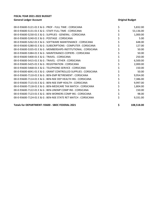| 00-0-93600-5121-01 E & G : PROF - FULL TIME : CORSICANA          | 5,832.00         |
|------------------------------------------------------------------|------------------|
| 00-0-93600-5131-01 E & G : STAFF-FULL TIME : CORSICANA           | 53,136.00        |
| 00-0-93600-5230-01 E & G : SUPPLIES - GENERAL : CORSICANA        | \$<br>1,000.00   |
| 00-0-93600-5240-01 E & G : POSTAGE : CORSICANA                   | \$<br>5.00       |
| 00-0-93600-5262-01 E & G : SOFTWARE MAINTENANCE : CORSICANA      | \$<br>648.00     |
| 00-0-93600-5280-01 E & G : SUBSCRIPTIONS - COMPUTER : CORSICANA  | \$<br>127.00     |
| 00-0-93600-5335-01 E & G : MEMBERSHIPS-INSTITUTIONAL : CORSICANA | \$<br>50.00      |
| 00-0-93600-5384-01 E & G : MAINTENANCE-COPIERS : CORSICANA       | \$<br>50.00      |
| 00-0-93600-5400-01 E & G: TRAVEL: CORSICANA                      | \$<br>250.00     |
| 00-0-93600-5415-01 E & G : TRAVEL - OTHER : CORSICANA            | \$<br>6,500.00   |
| 00-0-93600-5425-01 E & G : REGISTRATION : CORSICANA              | 2,000.00         |
| 00-0-93600-5468-01 E & G : TELEPHONE-SERVICE : CORSICANA         | \$<br>150.00     |
| 00-0-93600-6041-01 E & G : GRANT CONTROLLED SUPPLIES : CORSICANA | \$<br>50.00      |
| $00-0-93600-7110-01$ F & G : BEN-EMP RETIREMENT : CORSICANA      | \$<br>9,954.00   |
| 00-0-93600-7114-01 E & G : BEN-NSE DEP HEALTH INS : CORSICANA    | \$<br>7,386.00   |
| 00-0-93600-7115-01 E & G : BEN-NSE EMP HEALTH : CORSICANA        | \$<br>9,997.00   |
| 00-0-93600-7118-01 E & G : BEN-MEDICARE TAX MATCH : CORSICANA    | \$<br>1,804.00   |
| 00-0-93600-7122-01 E & G : BEN-UNEMP COMP INS : CORSICANA        | \$<br>150.00     |
| 00-0-93600-7123-01 E & G : BEN-WORKERS COMP INS : CORSICANA      | \$<br>98.00      |
| 00-0-93600-7124-01 E & G : BEN-NSE STATE RET MATCH : CORSICANA   | \$<br>9,331.00   |
| Totals for DEPARTMENT: 93600 - SBDC FEDERAL 2021                 | \$<br>108,518.00 |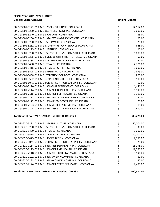| 00-0-93601-5121-01 E & G : PROF - FULL TIME : CORSICANA          | \$             | 64,164.00  |
|------------------------------------------------------------------|----------------|------------|
| 00-0-93601-5230-01 E & G : SUPPLIES - GENERAL : CORSICANA        | \$             | 2,000.00   |
| 00-0-93601-5240-01 E & G : POSTAGE : CORSICANA                   | \$             | 85.00      |
| 00-0-93601-5250-01 E & G : ADVERTISING/PROMOTIONS : CORSICANA    |                | 25.00      |
| 00-0-93601-5260-01 E & G : SOFTWARE : CORSICANA                  | \$<br>\$       | 25.00      |
| 00-0-93601-5262-01 E & G : SOFTWARE MAINTENANCE : CORSICANA      | \$             | 648.00     |
| 00-0-93601-5275-01 E & G : PRINTING : CORSICANA                  | \$<br>\$       | 25.00      |
| 00-0-93601-5280-01 E & G : SUBSCRIPTIONS - COMPUTER : CORSICANA  |                | 1,000.00   |
| 00-0-93601-5335-01 E & G : MEMBERSHIPS-INSTITUTIONAL : CORSICANA | \$ \$ \$ \$ \$ | 50.00      |
| 00-0-93601-5384-01 E & G : MAINTENANCE-COPIERS : CORSICANA       |                | 140.00     |
| 00-0-93601-5400-01 E & G: TRAVEL: CORSICANA                      |                | 2,776.00   |
| 00-0-93601-5415-01 E & G : TRAVEL - OTHER : CORSICANA            |                | 3,000.00   |
| 00-0-93601-5425-01 E & G : REGISTRATION : CORSICANA              |                | 1,879.00   |
| 00-0-93601-5468-01 E & G : TELEPHONE-SERVICE : CORSICANA         | \$             | 800.00     |
| 00-0-93601-5562-01 E & G : CONTRACT SER-OTHER : CORSICANA        | \$<br>\$       | 100.00     |
| 00-0-93601-6041-01 E & G : GRANT CONTROLLED SUPPLIES : CORSICANA |                | 50.00      |
| 00-0-93601-7110-01 E & G : BEN-EMP RETIREMENT : CORSICANA        | \$             | 1,446.00   |
| 00-0-93601-7114-01 E & G : BEN-NSE DEP HEALTH INS : CORSICANA    | \$<br>\$       | 1,990.00   |
| 00-0-93601-7115-01 E & G : BEN-NSE EMP HEALTH : CORSICANA        |                | 1,313.00   |
| 00-0-93601-7118-01 E & G : BEN-MEDICARE TAX MATCH : CORSICANA    |                | 262.00     |
| 00-0-93601-7122-01 E & G : BEN-UNEMP COMP INS : CORSICANA        | \$\$\$         | 23.00      |
| 00-0-93601-7123-01 E & G : BEN-WORKERS COMP INS : CORSICANA      |                | 15.00      |
| 00-0-93601-7124-01 E & G : BEN-NSE STATE RET MATCH : CORSICANA   | \$             | 1,410.00   |
| Totals for DEPARTMENT: 93601 - SBDC FEDERAL 2020                 | \$             | 83,226.00  |
| 00-0-93620-5131-01 E & G : STAFF-FULL TIME : CORSICANA           | \$             | 50,004.00  |
| 00-0-93620-5280-01 E & G: SUBSCRIPTIONS - COMPUTER: CORSICANA    | \$             | 30.00      |
| 00-0-93620-5400-01 E & G: TRAVEL: CORSICANA                      | \$             | 1,000.00   |
| 00-0-93620-5415-01 E & G : TRAVEL - OTHER : CORSICANA            | \$             | 10,000.00  |
| 00-0-93620-5425-01 E & G : REGISTRATION : CORSICANA              | \$             | 2,350.00   |
| 00-0-93620-6041-01 E & G : GRANT CONTROLLED SUPPLIES : CORSICANA | \$             | 25.00      |
| 00-0-93620-7114-01 E & G : BEN-NSE DEP HEALTH INS : CORSICANA    | \$             | 15,298.00  |
| 00-0-93620-7115-01 E & G : BEN-NSE EMP HEALTH : CORSICANA        | \$             | 12,597.00  |
| 00-0-93620-7118-01 E & G : BEN-MEDICARE TAX MATCH : CORSICANA    | \$             | 1,596.00   |
| 00-0-93620-7122-01 E & G : BEN-UNEMP COMP INS : CORSICANA        | \$             | 67.00      |
| 00-0-93620-7123-01 E & G : BEN-WORKERS COMP INS : CORSICANA      | \$             | 87.00      |
| 00-0-93620-7124-01 E & G : BEN-NSE STATE RET MATCH : CORSICANA   | \$             | 7,480.00   |
| Totals for DEPARTMENT: 93620 - SBDC Federal CARES Act            | \$             | 100,534.00 |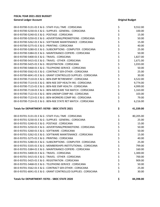| 00-0-93700-5131-01 E & G : STAFF-FULL TIME : CORSICANA            | \$        | 9,552.00  |
|-------------------------------------------------------------------|-----------|-----------|
| 00-0-93700-5230-01 E & G : SUPPLIES - GENERAL : CORSICANA         | \$        | 100.00    |
| 00-0-93700-5240-01 E & G : POSTAGE : CORSICANA                    | \$        | 15.00     |
| 00-0-93700-5250-01 E & G : ADVERTISING/PROMOTIONS : CORSICANA     |           | 50.00     |
| 00-0-93700-5262-01 E & G : SOFTWARE MAINTENANCE : CORSICANA       | \$<br>\$  | 15.00     |
| 00-0-93700-5275-01 E & G : PRINTING : CORSICANA                   | \$        | 40.00     |
| 00-0-93700-5280-01 E & G : SUBSCRIPTIONS - COMPUTER : CORSICANA   |           | 25.00     |
| 00-0-93700-5384-01 E & G : MAINTENANCE-COPIERS : CORSICANA        | \$<br>\$  | 50.00     |
| 00-0-93700-5400-01 E & G: TRAVEL: CORSICANA                       | \$        | 1,827.00  |
| 00-0-93700-5415-01 E & G : TRAVEL - OTHER : CORSICANA             | \$<br>\$  | 1,671.00  |
| 00-0-93700-5425-01 E & G : REGISTRATION : CORSICANA               |           | 1,033.00  |
| 00-0-93700-5468-01 E & G : TELEPHONE-SERVICE : CORSICANA          | \$        | 50.00     |
| 00-0-93700-5562-01 E & G : CONTRACT SER-OTHER : CORSICANA         | \$<br>\$  | 25.00     |
| 00-0-93700-6041-01 E & G : GRANT CONTROLLED SUPPLIES : CORSICANA  |           | 30.00     |
| 00-0-93700-7110-01 E & G : BEN-EMP RETIREMENT : CORSICANA         | \$<br>\$  | 4,522.00  |
| 00-0-93700-7114-01 E & G : BEN-NSE DEP HEALTH INS : CORSICANA     |           | 9,774.00  |
| 00-0-93700-7115-01 E & G : BEN-NSE EMP HEALTH : CORSICANA         | \$        | 4,999.00  |
| 00-0-93700-7118-01 E & G : BEN-MEDICARE TAX MATCH : CORSICANA     |           | 1,163.00  |
| 00-0-93700-7122-01 E & G : BEN-UNEMP COMP INS : CORSICANA         | \$<br>\$  | 103.00    |
| 00-0-93700-7123-01 E & G : BEN-WORKERS COMP INS : CORSICANA       | \$        | 79.00     |
| 00-0-93700-7124-01 E & G : BEN-NSE STATE RET MATCH : CORSICANA    | \$        | 6,216.00  |
|                                                                   |           |           |
| Totals for DEPARTMENT: 93700 - SBDC STATE 2021                    | \$        | 41,339.00 |
| 00-0-93701-5131-01 E & G : STAFF-FULL TIME : CORSICANA            |           | 80,205.00 |
| 00-0-93701-5230-01 E & G : SUPPLIES - GENERAL : CORSICANA         | \$        | 25.00     |
| 00-0-93701-5240-01 E & G : POSTAGE : CORSICANA                    |           | 15.00     |
| 00-0-93701-5250-01 E & G : ADVERTISING/PROMOTIONS : CORSICANA     |           | 50.00     |
| 00-0-93701-5260-01 E & G : SOFTWARE : CORSICANA                   |           | 50.00     |
| 00-0-93701-5262-01 E & G : SOFTWARE MAINTENANCE : CORSICANA       |           | 15.00     |
| 00-0-93701-5275-01 E & G : PRINTING : CORSICANA                   | ぐぐぐ<br>\$ | 40.00     |
| $00-0-93701-5280-01$ F & G : SUBSCRIPTIONS - COMPUTER : CORSICANA | Ś         | 25.00     |
| 00-0-93701-5335-01 E & G : MEMBERSHIPS-INSTITUTIONAL : CORSICANA  | \$        | 799.00    |
| 00-0-93701-5384-01 E & G : MAINTENANCE-COPIERS : CORSICANA        | \$        | 160.00    |
| 00-0-93701-5400-01 E & G: TRAVEL: CORSICANA                       | \$        | 1,300.00  |
| 00-0-93701-5415-01 E & G : TRAVEL - OTHER : CORSICANA             | \$        | 700.00    |
| 00-0-93701-5425-01 E & G: REGISTRATION: CORSICANA                 |           | 909.00    |
| 00-0-93701-5468-01 E & G : TELEPHONE-SERVICE : CORSICANA          | \$<br>\$  | 50.00     |
| 00-0-93701-5562-01 E & G: CONTRACT SER-OTHER: CORSICANA           | \$        | 25.00     |
| 00-0-93701-6041-01 E & G : GRANT CONTROLLED SUPPLIES : CORSICANA  | \$        | 30.00     |

## **Totals for DEPARTMENT: 93701 - SBDC STATE 2020 \$ 84,398.00**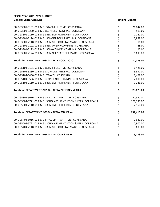| 00-0-93801-5131-01 E & G : STAFF-FULL TIME : CORSICANA              | \$          | 21,842.00  |
|---------------------------------------------------------------------|-------------|------------|
| 00-0-93801-5230-01 E & G : SUPPLIES - GENERAL : CORSICANA           |             | 519.00     |
| 00-0-93801-7110-01 E & G : BEN-EMP RETIREMENT : CORSICANA           | ややや ややや     | 1,747.00   |
| 00-0-93801-7114-01 E & G : BEN-NSE DEP HEALTH INS : CORSICANA       |             | 7,859.00   |
| 00-0-93801-7118-01 E & G : BEN-MEDICARE TAX MATCH : CORSICANA       |             | 316.00     |
| 00-0-93801-7122-01 E & G : BEN-UNEMP COMP INS : CORSICANA           |             | 28.00      |
| 00-0-93801-7123-01 E & G : BEN-WORKERS COMP INS : CORSICANA         |             | 22.00      |
| 00-0-93801-7124-01 E & G : BEN-NSE STATE RET MATCH : CORSICANA      |             | 1,693.00   |
| Totals for DEPARTMENT: 93801 - SBDC LOCAL 2020                      | \$          | 34,026.00  |
| 00-0-95104-5131-01 E & G : STAFF-FULL TIME : CORSICANA              | \$          | 6,428.00   |
| 00-0-95104-5230-01 E & G : SUPPLIES - GENERAL : CORSICANA           |             | 3,531.00   |
| 00-0-95104-5400-01 E & G: TRAVEL: CORSICANA                         | \$ \$ \$ \$ | 7,468.00   |
| 00-0-95104-5566-01 E & G : CONTRACT - TRAINING : CORSICANA          |             | 2,000.00   |
| 00-0-95104-7110-01 E & G : BEN-EMP RETIREMENT : CORSICANA           |             | 1,246.00   |
| Totals for DEPARTMENT: 95104 - AEFLA PROF DEV YEAR 4                | \$          | 20,673.00  |
| 00-0-95304-5016-01 E & G : FACULTY - PART TIME : CORSICANA          | \$          | 27,520.00  |
| 00-0-95304-5721-01 E & G : SCHOLARSHIP - TUITION & FEES : CORSICANA | \$<br>\$    | 121,730.00 |
| 00-0-95304-7110-01 E & G : BEN-EMP RETIREMENT : CORSICANA           |             | 2,160.00   |
| Totals for DEPARTMENT: 95304 - AEFLA FED IET Y4                     | \$          | 151,410.00 |
| 00-0-95404-5016-01 E & G : FACULTY - PART TIME : CORSICANA          | \$          | 7,680.00   |
| 00-0-95404-5721-01 E & G : SCHOLARSHIP - TUITION & FEES : CORSICANA | \$<br>\$    | 7,900.00   |
| 00-0-95404-7118-01 E & G : BEN-MEDICARE TAX MATCH : CORSICANA       |             | 603.00     |
| Totals for DEPARTMENT: 95404 - AEL CIVICS IET Y4                    | \$          | 16,183.00  |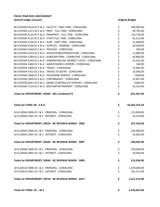| 00-0-95504-5016-01 E & G : FACULTY - PART TIME : CORSICANA         | \$       | 266,969.00    |
|--------------------------------------------------------------------|----------|---------------|
| 00-0-95504-5121-01 E & G : PROF - FULL TIME : CORSICANA            |          | 69,795.00     |
| 00-0-95504-5124-01 E & G : PARAPROF - FULL TIME : CORSICANA        |          | 110,728.00    |
| 00-0-95504-5131-01 E & G : STAFF-FULL TIME : CORSICANA             |          | 81,612.00     |
| 00-0-95504-5136-01 E & G: SUPP - PART TIME: CORSICANA              |          | 15,808.00     |
| 00-0-95504-5230-01 E & G : SUPPLIES - GENERAL : CORSICANA          |          | 20,500.00     |
| 00-0-95504-5240-01 E & G : POSTAGE : CORSICANA                     |          | 500.00        |
| 00-0-95504-5250-01 E & G : ADVERTISING/PROMOTIONS : CORSICANA      | やややや ややや | 11,000.00     |
| 00-0-95504-5280-01 E & G : SUBSCRIPTIONS - COMPUTER : CORSICANA    |          | 45,800.00     |
| 00-0-95504-5355-01 E & G: ADMINISTRATIVE INDIRECT COSTS: CORSICANA | ぐぐぐぐぐ    | 52,352.00     |
| 00-0-95504-5384-01 E & G : MAINTENANCE-COPIERS : CORSICANA         |          | 168.00        |
| 00-0-95504-5400-01 E & G: TRAVEL: CORSICANA                        |          | 15,890.00     |
| 00-0-95504-5413-01 E & G : TRAVEL-STUDENT : CORSICANA              |          | 15,000.00     |
| 00-0-95504-5468-01 E & G: TELEPHONE-SERVICE: CORSICANA             |          | 7,068.00      |
| 00-0-95504-5999-01 E & G : CONTINGENCY : CORSICANA                 |          | 22,857.00     |
| 00-0-95504-6041-01 E & G : GRANT CONTROLLED SUPPLIES : CORSICANA   |          | 3,000.00      |
| 00-0-95504-7110-01 E & G : BEN-EMP RETIREMENT : CORSICANA          |          | 92,514.00     |
| Totals for DEPARTMENT: 95504 - AEL Combined Y4                     | \$       | 831,561.00    |
| Totals for FUND: 00 - E & G                                        | \$       | 56,565,323.29 |
| 10-0-20504-5900-01   & S : PRINCIPAL : CORSICANA                   | \$<br>\$ | 215,000.00    |
| 10-0-20504-5901-01   & S : INTEREST : CORSICANA                    |          | 42,550.00     |
| Totals for DEPARTMENT: 20504 - NC REVENUE BONDS - 2006             | \$       | 257,550.00    |
| 10-0-20505-5900-01   & S : PRINCIPAL : CORSICANA                   | \$       | 205,000.00    |
| 10-0-20505-5901-01   & S : INTEREST : CORSICANA                    | \$       | 55,692.00     |
| Totals for DEPARTMENT: 20505 - NC REVENUE BONDS - 2007             | \$       | 260,692.00    |
| 10-0-20506-5900-01   & S : PRINCIPAL : CORSICANA                   | \$       | 220,000.00    |
| 10-0-20506-5901-01   & S : INTEREST : CORSICANA                    | \$       | 93,936.00     |
| Totals for DEPARTMENT: 20506 - NC REVENUE BONDS - 2009             | \$       | 313,936.00    |
| 10-0-20510-5900-01   & S : PRINCIPAL : CORSICANA                   | \$       | 1,070,000.00  |
| 10-0-20510-5901-01   & S : INTEREST : CORSICANA                    | \$       | 341,513.00    |
| Totals for DEPARTMENT: 20510 - NC REVENUE BONDS - 2012             | \$       | 1,411,513.00  |
| Totals for FUND: 10 - I & S                                        | \$       | 2,243,691.00  |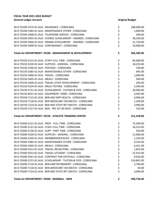| 30-0-70100-5375-01 AUX : INSURANCE : CORSICANA                   | \$       | 280,000.00 |
|------------------------------------------------------------------|----------|------------|
| 30-0-70100-5385-01 AUX: MAINTENANCE-OTHER: CORSICANA             | \$       | 1,000.00   |
| 30-0-70100-5468-01 AUX : TELEPHONE-SERVICE : CORSICANA           | \$       | 500.00     |
| 30-0-70100-5955-01 AUX : CHORAL SCHOLARSHIP - AWARDS : CORSICANA | \$       | 38,330.00  |
| 30-0-70100-5960-01 AUX : DRAMA SCHOLARSHIP - AWARDS : CORSICANA  | \$       | 21,750.00  |
| 30-0-70100-5999-01 AUX: CONTINGENCY: CORSICANA                   | \$       | 25,000.00  |
| Totals for DEPARTMENT: 70100 - MANAGEMENT & DEVELOPMENT          | \$       | 366,580.00 |
| 30-0-70150-5131-01 AUX: STAFF-FULL TIME: CORSICANA               | \$       | 85,000.00  |
| 30-0-70150-5230-01 AUX: SUPPLIES - GENERAL: CORSICANA            | \$       | 18,255.00  |
| 30-0-70150-5240-01 AUX: POSTAGE: CORSICANA                       | \$       | 100.00     |
| 30-0-70150-5385-01 AUX: MAINTENANCE-OTHER: CORSICANA             | \$       | 695.00     |
| 30-0-70150-5400-01 AUX: TRAVEL: CORSICANA                        | \$       | 1,000.00   |
| 30-0-70150-5405-01 AUX: MEALS: CORSICANA                         | \$<br>\$ | 500.00     |
| 30-0-70150-5409-01 AUX: TRAVEL-STAFF DEVELOPMENT: CORSICANA      |          | 350.00     |
| 30-0-70150-5534-01 AUX : DRUG TESTING : CORSICANA                | \$       | 5,340.00   |
| 30-0-70150-5721-01 AUX: SCHOLARSHIP - TUITION & FEES: CORSICANA  | \$<br>\$ | 20,000.00  |
| 30-0-70150-6011-01 AUX : EQUIPMENT <5000 : CORSICANA             |          | 4,493.00   |
| 30-0-70150-7115-01 AUX : BEN-NSE EMP HEALTH : CORSICANA          | \$<br>\$ | 9,996.00   |
| 30-0-70150-7118-01 AUX : BEN-MEDICARE TAX MATCH : CORSICANA      |          | 1,200.00   |
| 30-0-70150-7124-01 AUX : BEN-NSE STATE RET MATCH : CORSICANA     | \$       | 3,996.00   |
| 30-0-70150-7127-01 AUX: BEN - TRS 1ST 90 DAYS: CORSICANA         | \$       | 333.00     |
| Totals for DEPARTMENT: 70150 - ATHLETIC TRAINING CENTER          | \$       | 151,258.00 |
| 30-0-70200-5121-01 AUX : PROF - FULL TIME : CORSICANA            | \$       | 72,500.00  |
| 30-0-70200-5131-01 AUX : STAFF-FULL TIME : CORSICANA             | \$       | 26,523.00  |
| 30-0-70200-5136-01 AUX: SUPP - PART TIME: CORSICANA              | \$       | 550.00     |
| 30-0-70200-5230-01 AUX : SUPPLIES - GENERAL : CORSICANA          | \$       | 11,066.00  |
| 30-0-70200-5330-01 AUX: MEMBERSHIPS/DUES: CORSICANA              | \$       | 1,163.00   |
| 30-0-70200-5385-01 AUX : MAINTENANCE-OTHER : CORSICANA           | \$       | 9,316.00   |
| 30-0-70200-5405-01 AUX: MEALS: CORSICANA                         | \$       | 6,421.00   |
| 30-0-70200-5412-01 AUX: TRAVEL-RECRUITING: CORSICANA             | \$       | 1,825.00   |
| 30-0-70200-5413-01 AUX: TRAVEL-STUDENT: CORSICANA                | \$       | 21,015.00  |
| 30-0-70200-5561-01 AUX : CONTRACT SER-OFFICIALS : CORSICANA      | \$       | 9,620.00   |
| 30-0-70200-5721-01 AUX: SCHOLARSHIP - TUITION & FEES: CORSICANA  | \$       | 224,891.00 |
| 30-0-70200-7110-01 AUX : BEN-EMP RETIREMENT : CORSICANA          | \$       | 2,700.00   |
| 30-0-70200-7118-01 AUX: BEN-MEDICARE TAX MATCH: CORSICANA        | \$       | 44.00      |
| 30-0-70200-7124-01 AUX: BEN-NSE STATE RET MATCH: CORSICANA       | \$       | 3,096.00   |
|                                                                  |          |            |

**Totals for DEPARTMENT: 70200 - BASEBALL - MEN \$ 390,730.00**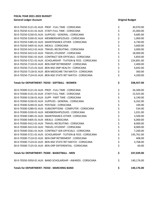| 30-0-70250-5121-01 AUX : PROF - FULL TIME : CORSICANA           | \$       | 30,970.00  |
|-----------------------------------------------------------------|----------|------------|
| 30-0-70250-5131-01 AUX: STAFF-FULL TIME: CORSICANA              |          | 25,000.00  |
| 30-0-70250-5230-01 AUX: SUPPLIES - GENERAL: CORSICANA           | \$<br>\$ | 9,685.00   |
| 30-0-70250-5330-01 AUX: MEMBERSHIPS/DUES: CORSICANA             | \$       | 1,069.00   |
| 30-0-70250-5385-01 AUX: MAINTENANCE-OTHER: CORSICANA            | \$<br>\$ | 4,740.00   |
| 30-0-70250-5405-01 AUX: MEALS: CORSICANA                        |          | 3,600.00   |
| 30-0-70250-5412-01 AUX: TRAVEL-RECRUITING: CORSICANA            | \$       | 3,000.00   |
| 30-0-70250-5413-01 AUX: TRAVEL-STUDENT: CORSICANA               |          | 18,000.00  |
| 30-0-70250-5561-01 AUX: CONTRACT SER-OFFICIALS: CORSICANA       | やややな ややや | 5,850.00   |
| 30-0-70250-5721-01 AUX: SCHOLARSHIP - TUITION & FEES: CORSICANA |          | 224,891.00 |
| 30-0-70250-7110-01 AUX: BEN-EMP RETIREMENT: CORSICANA           |          | 2,400.00   |
| 30-0-70250-7115-01 AUX : BEN-NSE EMP HEALTH : CORSICANA         |          | 4,692.00   |
| 30-0-70250-7118-01 AUX : BEN-MEDICARE TAX MATCH : CORSICANA     |          | 360.00     |
| 30-0-70250-7124-01 AUX: BEN-NSE STATE RET MATCH: CORSICANA      |          | 4,200.00   |
| Totals for DEPARTMENT: 70250 - SOFTBALL - WOMEN                 | \$       | 338,457.00 |
| 30-0-70300-5121-01 AUX : PROF - FULL TIME : CORSICANA           | \$       | 34,300.00  |
| 30-0-70300-5131-01 AUX : STAFF-FULL TIME : CORSICANA            |          | 15,925.00  |
| 30-0-70300-5136-01 AUX: SUPP - PART TIME: CORSICANA             | やややや     | 6,190.00   |
| 30-0-70300-5230-01 AUX: SUPPLIES - GENERAL: CORSICANA           |          | 6,262.00   |
| 30-0-70300-5240-01 AUX: POSTAGE: CORSICANA                      |          | 100.00     |
| 30-0-70300-5280-01 AUX : SUBSCRIPTIONS - COMPUTER : CORSICANA   |          | 534.00     |
| 30-0-70300-5330-01 AUX: MEMBERSHIPS/DUES: CORSICANA             | \$<br>\$ | 1,031.00   |
| 30-0-70300-5385-01 AUX: MAINTENANCE-OTHER: CORSICANA            |          | 3,500.00   |
| 30-0-70300-5405-01 AUX: MEALS: CORSICANA                        | \$       | 6,000.00   |
| 30-0-70300-5412-01 AUX : TRAVEL-RECRUITING : CORSICANA          | \$<br>\$ | 8,000.00   |
| 30-0-70300-5413-01 AUX: TRAVEL-STUDENT: CORSICANA               |          | 8,000.00   |
| 30-0-70300-5561-01 AUX : CONTRACT SER-OFFICIALS : CORSICANA     | \$       | 7,200.00   |
| 30-0-70300-5721-01 AUX: SCHOLARSHIP - TUITION & FEES: CORSICANA | \$       | 145,761.00 |
| 30-0-70300-7110-01 AUX : BEN-EMP RETIREMENT : CORSICANA         | \$       | 408.00     |
| 30-0-70300-7124-01 AUX : BEN-NSE STATE RET MATCH : CORSICANA    | \$       | 3,768.00   |
| 30-0-70300-7125-01 AUX: BEN-ORP DIFFERENTIAL: CORSICANA         | \$       | 60.00      |
| Totals for DEPARTMENT: 70300 - BASKETBALL - MEN                 | \$       | 247,039.00 |
| 30-0-70350-5950-01 AUX : BAND SCHOLARSHIP - AWARDS : CORSICANA  | \$       | 140,176.00 |
| <b>Totals for DEPARTMENT: 70350 - MARCHING BAND</b>             | \$       | 140,176.00 |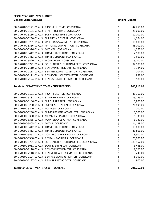| 30-0-70400-5121-01 AUX : PROF - FULL TIME : CORSICANA             | \$             | 42,250.00  |
|-------------------------------------------------------------------|----------------|------------|
| 30-0-70400-5131-01 AUX: STAFF-FULL TIME: CORSICANA                | \$             | 25,000.00  |
| 30-0-70400-5136-01 AUX: SUPP - PART TIME: CORSICANA               | \$             | 10,000.00  |
| 30-0-70400-5230-01 AUX: SUPPLIES - GENERAL: CORSICANA             |                | 4,074.00   |
| 30-0-70400-5291-01 AUX: UNIFORMS/WARM-UPS: CORSICANA              | \$\$\$         | 10,000.00  |
| 30-0-70400-5336-01 AUX : NATIONAL COMPETITION : CORSICANA         |                | 35,000.00  |
| 30-0-70400-5376-01 AUX: MEDICAL: CORSICANA                        | \$ \$ \$ \$ \$ | 4,372.00   |
| 30-0-70400-5412-01 AUX: TRAVEL-RECRUITING: CORSICANA              |                | 2,500.00   |
| 30-0-70400-5413-01 AUX: TRAVEL-STUDENT: CORSICANA                 |                | 2,500.00   |
| 30-0-70400-5420-01 AUX: WORKSHOPS: CORSICANA                      |                | 5,000.00   |
| 30-0-70400-5721-01 AUX : SCHOLARSHIP - TUITION & FEES : CORSICANA |                | 97,500.00  |
| 30-0-70400-7110-01 AUX : BEN-EMP RETIREMENT : CORSICANA           | \$\$\$         | 3,384.00   |
| 30-0-70400-7118-01 AUX: BEN-MEDICARE TAX MATCH: CORSICANA         |                | 204.00     |
| 30-0-70400-7121-01 AUX: BEN-SOCIAL SEC TAX MATCH: CORSICANA       |                | 852.00     |
| 30-0-70400-7124-01 AUX: BEN-NSE STATE RET MATCH: CORSICANA        | \$             | 3,180.00   |
| Totals for DEPARTMENT: 70400 - CHEERLEADING                       | \$             | 245,816.00 |
| 30-0-70500-5121-01 AUX : PROF - FULL TIME : CORSICANA             | \$             | 41,160.00  |
| 30-0-70500-5131-01 AUX: STAFF-FULL TIME: CORSICANA                | \$             | 115,225.00 |
| 30-0-70500-5136-01 AUX: SUPP - PART TIME: CORSICANA               | \$<br>\$       | 1,800.00   |
| 30-0-70500-5230-01 AUX: SUPPLIES - GENERAL: CORSICANA             |                | 26,895.00  |
| 30-0-70500-5240-01 AUX: POSTAGE: CORSICANA                        | \$\$\$         | 100.00     |
| 30-0-70500-5280-01 AUX : SUBSCRIPTIONS - COMPUTER : CORSICANA     |                | 3,500.00   |
| 30-0-70500-5330-01 AUX : MEMBERSHIPS/DUES : CORSICANA             |                | 1,335.00   |
| 30-0-70500-5385-01 AUX: MAINTENANCE-OTHER: CORSICANA              | ややや や          | 6,739.00   |
| 30-0-70500-5405-01 AUX: MEALS: CORSICANA                          |                | 14,128.00  |
| 30-0-70500-5412-01 AUX: TRAVEL-RECRUITING: CORSICANA              |                | 19,000.00  |
| 30-0-70500-5413-01 AUX: TRAVEL-STUDENT: CORSICANA                 |                | 41,806.00  |
| 30-0-70500-5561-01 AUX : CONTRACT SER-OFFICIALS : CORSICANA       |                | 8,500.00   |
| 30-0-70500-5580-01 AUX: RENTAL - FACILITIES: CORSICANA            | \$             | 20,000.00  |
| 30-0-70500-5721-01 AUX : SCHOLARSHIP - TUITION & FFFS : CORSICANA | Ś              | 383,152.00 |
| 30-0-70500-6011-01 AUX : EQUIPMENT <5000 : CORSICANA              | \$             | 6,465.00   |
| 30-0-70500-7110-01 AUX : BEN-EMP RETIREMENT : CORSICANA           | \$             | 2,760.00   |
| 30-0-70500-7118-01 AUX: BEN-MEDICARE TAX MATCH: CORSICANA         | \$             | 240.00     |
| 30-0-70500-7124-01 AUX: BEN-NSE STATE RET MATCH: CORSICANA        | \$             | 8,052.00   |
| 30-0-70500-7127-01 AUX: BEN - TRS 1ST 90 DAYS: CORSICANA          | \$             | 900.00     |
|                                                                   |                |            |

**Totals for DEPARTMENT: 70500 - FOOTBALL \$ 701,757.00**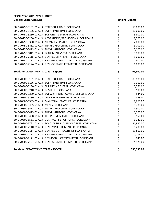| 30-0-70750-5131-01 AUX: STAFF-FULL TIME: CORSICANA              | \$               | 50,000.00  |
|-----------------------------------------------------------------|------------------|------------|
| 30-0-70750-5136-01 AUX: SUPP - PART TIME: CORSICANA             | \$               | 10,000.00  |
| 30-0-70750-5230-01 AUX: SUPPLIES - GENERAL: CORSICANA           | \$               | 3,800.00   |
| 30-0-70750-5250-01 AUX: ADVERTISING/PROMOTIONS: CORSICANA       | \$               | 2,500.00   |
| 30-0-70750-5330-01 AUX: MEMBERSHIPS/DUES: CORSICANA             | \$               | 2,000.00   |
| 30-0-70750-5412-01 AUX: TRAVEL-RECRUITING: CORSICANA            | \$               | 3,000.00   |
| 30-0-70750-5413-01 AUX: TRAVEL-STUDENT: CORSICANA               | \$               | 3,000.00   |
| 30-0-70750-6011-01 AUX : EQUIPMENT <5000 : CORSICANA            | \$               | 5,800.00   |
| 30-0-70750-7115-01 AUX : BEN-NSE EMP HEALTH : CORSICANA         | \$               | 5,000.00   |
| 30-0-70750-7118-01 AUX: BEN-MEDICARE TAX MATCH: CORSICANA       | \$               | 500.00     |
| 30-0-70750-7124-01 AUX : BEN-NSE STATE RET MATCH : CORSICANA    | \$               | 6,000.00   |
| Totals for DEPARTMENT: 70750 - E-Sports                         | \$               | 91,600.00  |
| 30-0-70800-5131-01 AUX: STAFF-FULL TIME: CORSICANA              | \$               | 83,885.00  |
| 30-0-70800-5136-01 AUX: SUPP - PART TIME: CORSICANA             | \$               | 9,000.00   |
| 30-0-70800-5230-01 AUX: SUPPLIES - GENERAL: CORSICANA           | \$               | 7,766.00   |
| 30-0-70800-5240-01 AUX: POSTAGE: CORSICANA                      | \$               | 100.00     |
| 30-0-70800-5280-01 AUX : SUBSCRIPTIONS - COMPUTER : CORSICANA   | \$               | 534.00     |
| 30-0-70800-5330-01 AUX: MEMBERSHIPS/DUES: CORSICANA             | \$               | 893.00     |
| 30-0-70800-5385-01 AUX: MAINTENANCE-OTHER: CORSICANA            | \$               | 7,669.00   |
| 30-0-70800-5405-01 AUX: MEALS: CORSICANA                        | \$               | 8,788.00   |
| 30-0-70800-5412-01 AUX: TRAVEL-RECRUITING: CORSICANA            | \$               | 4,500.00   |
| 30-0-70800-5413-01 AUX: TRAVEL-STUDENT: CORSICANA               | \$               | 6,307.00   |
| 30-0-70800-5468-01 AUX : TELEPHONE-SERVICE : CORSICANA          | \$               | 150.00     |
| 30-0-70800-5561-01 AUX: CONTRACT SER-OFFICIALS: CORSICANA       | \$               | 3,140.00   |
| 30-0-70800-5721-01 AUX: SCHOLARSHIP - TUITION & FEES: CORSICANA | \$               | 191,920.00 |
| 30-0-70800-7110-01 AUX: BEN-EMP RETIREMENT: CORSICANA           | \$<br>\$         | 5,400.00   |
| 30-0-70800-7114-01 AUX : BEN-NSE DEP HEALTH INS : CORSICANA     |                  | 13,800.00  |
| 30-0-70800-7118-01 AUX: BEN-MEDICARE TAX MATCH: CORSICANA       | $\overline{\xi}$ | 7,116.00   |
| 30-0-70800-7121-01 AUX: BEN-SOCIAL SEC TAX MATCH: CORSICANA     | \$               | 240.00     |
| 30-0-70800-7124-01 AUX: BEN-NSE STATE RET MATCH: CORSICANA      | \$               | 4,128.00   |
|                                                                 |                  |            |

**Totals for DEPARTMENT: 70800 - SOCCER \$ 355,336.00**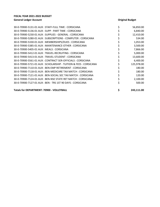| 56,850.00  |
|------------|
| 6,840.00   |
| 12,410.00  |
| 534.00     |
| 1,053.00   |
| 3,500.00   |
| 7,866.00   |
| 5,000.00   |
| 13,600.00  |
| 6,400.00   |
| 125,978.00 |
| 180.00     |
| 180.00     |
| 120.00     |
| 2,100.00   |
| 500.00     |
|            |
|            |

## **Totals for DEPARTMENT: 70900 - VOLLEYBALL \$ 243,111.00**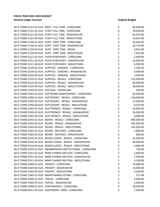| 30-0-75000-5121-01 AUX : PROF - FULL TIME : CORSICANA        | \$       | 69,649.00  |
|--------------------------------------------------------------|----------|------------|
| 30-0-75000-5131-01 AUX: STAFF-FULL TIME: CORSICANA           | \$       | 78,428.00  |
| 30-0-75000-5131-02 AUX : STAFF-FULL TIME : WAXAHACHIE        | \$       | 62,974.00  |
| 30-0-75000-5131-04 AUX : STAFF-FULL TIME : MIDLOTHIAN        | \$       | 23,047.00  |
| 30-0-75000-5136-01 AUX: SUPP - PART TIME: CORSICANA          | \$       | 54,464.00  |
| 30-0-75000-5136-02 AUX : SUPP - PART TIME : WAXAHACHIE       | \$       | 29,792.00  |
| 30-0-75000-5136-03 AUX: SUPP - PART TIME: MEXIA              | \$       | 3,952.00   |
| 30-0-75000-5136-04 AUX: SUPP - PART TIME: MIDLOTHIAN         | \$       | 7,914.00   |
| 30-0-75000-5221-01 AUX : FOOD PURCHASES : CORSICANA          | \$       | 2,600.00   |
| 30-0-75000-5221-02 AUX : FOOD PURCHASES : WAXAHACHIE         | \$       | 16,000.00  |
| 30-0-75000-5221-04 AUX : FOOD PURCHASES : MIDLOTHIAN         |          | 6,500.00   |
| 30-0-75000-5230-01 AUX: SUPPLIES - GENERAL: CORSICANA        | \$<br>\$ | 7,500.00   |
| 30-0-75000-5230-02 AUX : SUPPLIES - GENERAL : WAXAHACHIE     | \$       | 4,000.00   |
| 30-0-75000-5230-04 AUX : SUPPLIES - GENERAL : MIDLOTHIAN     | \$       | 1,500.00   |
| 30-0-75000-5235-01 AUX: SUPPLIES - RESALE: CORSICANA         | \$       | 135,000.00 |
| 30-0-75000-5235-02 AUX: SUPPLIES - RESALE: WAXAHACHIE        | \$       | 60,000.00  |
| 30-0-75000-5235-04 AUX: SUPPLIES - RESALE: MIDLOTHIAN        |          | 30,000.00  |
| 30-0-75000-5240-01 AUX: POSTAGE: CORSICANA                   | \$<br>\$ | 400.00     |
| 30-0-75000-5262-01 AUX: SOFTWARE MAINTENANCE: CORSICANA      | \$       | 45,000.00  |
| 30-0-75000-5300-01 AUX: SOFTGOODS - RESALE: CORSICANA        | \$       | 120,000.00 |
| 30-0-75000-5300-02 AUX: SOFTGOODS - RESALE: WAXAHACHIE       | \$       | 27,000.00  |
| 30-0-75000-5300-04 AUX : SOFTGOODS - RESALE : MIDLOTHIAN     |          | 8,252.00   |
| 30-0-75000-5302-01 AUX : ELECTRONICS - RESALE : CORSICANA    | やなみな     | 53,000.00  |
| 30-0-75000-5302-02 AUX : ELECTRONICS - RESALE : WAXAHACHIE   |          | 26,000.00  |
| 30-0-75000-5302-04 AUX : ELECTRONICS - RESALE : MIDLOTHIAN   |          | 6,000.00   |
| 30-0-75000-5303-01 AUX: BOOKS - RESALE: CORSICANA            |          | 900,000.00 |
| 30-0-75000-5303-02 AUX : BOOKS - RESALE : WAXAHACHIE         | \$       | 465,000.00 |
| 30-0-75000-5303-04 AUX: BOOKS - RESALE: MIDLOTHIAN           | \$       | 145,000.00 |
| 30-0-75000-5305-01 AUX: BOOKS - REFUNDS: CORSICANA           | \$       | 1,800.00   |
| 30-0-75000-5305-02 AUX : BOOKS - REFUNDS : WAXAHACHIE        | \$       | 800.00     |
| 30-0-75000-5316-01 AUX: BOOKS (USED) - RESALE: CORSICANA     | \$       | 25,000.00  |
| 30-0-75000-5316-02 AUX : BOOKS (USED) - RESALE : WAXAHACHIE  | \$       | 20,000.00  |
| 30-0-75000-5316-04 AUX : BOOKS (USED) - RESALE : MIDLOTHIAN  | \$       | 6,000.00   |
| 30-0-75000-5335-01 AUX: MEMBERSHIPS-INSTITUTIONAL: CORSICANA | \$       | 765.00     |
| 30-0-75000-5351-01 AUX: BANK CHARGE-MC/VISA: CORSICANA       | \$       | 5,600.00   |
| 30-0-75000-5351-02 AUX: BANK CHARGE-MC/VISA: WAXAHACHIE      | \$       | 7,500.00   |
| 30-0-75000-5351-04 AUX : BANK CHARGE-MC/VISA : MIDLOTHIAN    | \$       | 3,100.00   |
| 30-0-75000-5369-01 AUX: FREIGHT: CORSICANA                   | \$       | 74,000.00  |
| 30-0-75000-5369-02 AUX: FREIGHT: WAXAHACHIE                  | \$       | 14,000.00  |
| 30-0-75000-5369-04 AUX : FREIGHT : MIDLOTHIAN                | \$       | 3,500.00   |
| 30-0-75000-5385-01 AUX: MAINTENANCE-OTHER: CORSICANA         | \$       | 375.00     |
| 30-0-75000-5400-01 AUX: TRAVEL: CORSICANA                    | \$       | 5,000.00   |
| 30-0-75000-5400-02 AUX : TRAVEL : WAXAHACHIE                 | \$       | 2,000.00   |
| 30-0-75000-5999-01 AUX: CONTINGENCY: CORSICANA               | \$       | 18,000.00  |
| 30-0-75000-6011-01 AUX : EQUIPMENT <5000 : CORSICANA         | \$       | 7,500.00   |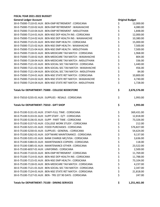| FISCAL YEAR 2021-2022 BUDGET                                   |          |                        |
|----------------------------------------------------------------|----------|------------------------|
| <b>General Ledger Account</b>                                  |          | <b>Original Budget</b> |
| 30-0-75000-7110-01 AUX : BEN-EMP RETIREMENT : CORSICANA        | \$       | 12,000.00              |
| 30-0-75000-7110-02 AUX : BEN-EMP RETIREMENT : WAXAHACHIE       | \$       | 4,080.00               |
| 30-0-75000-7110-04 AUX : BEN-EMP RETIREMENT : MIDLOTHIAN       | \$       | 1,848.00               |
| 30-0-75000-7114-01 AUX : BEN-NSE DEP HEALTH INS : CORSICANA    |          | 12,000.00              |
| 30-0-75000-7114-02 AUX : BEN-NSE DEP HEALTH INS : WAXAHACHIE   | \$<br>\$ | 10,380.00              |
| 30-0-75000-7115-01 AUX : BEN-NSE EMP HEALTH : CORSICANA        | \$       | 15,000.00              |
| 30-0-75000-7115-02 AUX : BEN-NSE EMP HEALTH : WAXAHACHIE       |          | 7,500.00               |
| 30-0-75000-7115-04 AUX : BEN-NSE EMP HEALTH : MIDLOTHIAN       | \$<br>\$ | 7,500.00               |
| 30-0-75000-7118-01 AUX: BEN-MEDICARE TAX MATCH: CORSICANA      |          | 1,968.00               |
| 30-0-75000-7118-02 AUX: BEN-MEDICARE TAX MATCH: WAXAHACHIE     | \$\$\$   | 804.00                 |
| 30-0-75000-7118-04 AUX : BEN-MEDICARE TAX MATCH : MIDLOTHIAN   |          | 336.00                 |
| 30-0-75000-7121-01 AUX: BEN-SOCIAL SEC TAX MATCH: CORSICANA    |          | 1,440.00               |
| 30-0-75000-7121-02 AUX : BEN-SOCIAL SEC TAX MATCH : WAXAHACHIE |          | 456.00                 |
| 30-0-75000-7121-04 AUX: BEN-SOCIAL SEC TAX MATCH: MIDLOTHIAN   | \$\$\$   | 84.00                  |
| 30-0-75000-7124-01 AUX: BEN-NSE STATE RET MATCH: CORSICANA     | \$       | 10,800.00              |
| 30-0-75000-7124-02 AUX : BEN-NSE STATE RET MATCH : WAXAHACHIE  | \$       | 4,740.00               |
| 30-0-75000-7124-04 AUX : BEN-NSE STATE RET MATCH : MIDLOTHIAN  | \$       | 1,728.00               |
| Totals for DEPARTMENT: 75000 - COLLEGE BOOKSTORE               | \$       | 2,676,576.00           |
| 30-0-75010-5235-01 AUX: SUPPLIES - RESALE: CORSICANA           | \$       | 1,993.00               |
| Totals for DEPARTMENT: 75010 - GIFT SHOP                       | \$       | 1,993.00               |
| 30-0-75100-5131-01 AUX : STAFF-FULL TIME : CORSICANA           | \$       | 369,431.00             |
| 30-0-75100-5133-01 AUX: SUPP STAFF - O/T: CORSICANA            | \$       | 12,818.00              |
| 30-0-75100-5136-01 AUX: SUPP - PART TIME: CORSICANA            | \$       | 73,326.00              |
| 30-0-75100-5157-01 AUX: COLLEGE WORK STUDY: CORSICANA          | \$       | 212.00                 |
| 30-0-75100-5221-01 AUX: FOOD PURCHASES: CORSICANA              | \$       | 576,827.00             |
| 30-0-75100-5230-01 AUX: SUPPLIES - GENERAL: CORSICANA          | \$       | 54,624.00              |
| 30-0-75100-5262-01 AUX : SOFTWARE MAINTENANCE : CORSICANA      | \$       | 9,137.00               |
| 30-0-75100-5351-01 AUX: BANK CHARGE-MC/VISA: CORSICANA         | \$       | 3,636.00               |
| 30-0-75100-5384-01 AUX : MAINTENANCE-COPIERS : CORSICANA       | \$       | 118.00                 |
| 30-0-75100-5385-01 AUX: MAINTENANCE-OTHER: CORSICANA           | \$       | 23,522.00              |
| 30-0-75100-6037-01 AUX : UNIFORMS : CORSICANA                  | \$       | 2,500.00               |
| 30-0-75100-7110-01 AUX: BEN-EMP RETIREMENT: CORSICANA          | \$       | 11,769.00              |
| 30-0-75100-7114-01 AUX : BEN-NSE DEP HEALTH INS : CORSICANA    | \$       | 11,788.00              |
| 30-0-75100-7115-01 AUX : BEN-NSE EMP HEALTH : CORSICANA        | \$       | 73,104.00              |
| 30-0-75100-7118-01 AUX: BEN-MEDICARE TAX MATCH: CORSICANA      | \$       | 4,237.00               |
| 30-0-75100-7121-01 AUX: BEN-SOCIAL SEC TAX MATCH: CORSICANA    | \$       | 2,347.00               |
| 30-0-75100-7124-01 AUX : BEN-NSE STATE RET MATCH : CORSICANA   | \$       | 21,818.00              |
| 30-0-75100-7127-01 AUX: BEN - TRS 1ST 90 DAYS: CORSICANA       | \$       | 247.00                 |
|                                                                |          |                        |

## **Totals for DEPARTMENT: 75100 - DINING SERVICES \$ 1,251,461.00**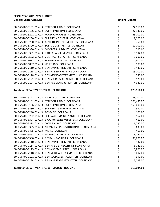| 30-0-75200-5131-01 AUX : STAFF-FULL TIME : CORSICANA           | \$       | 24,960.00  |
|----------------------------------------------------------------|----------|------------|
| 30-0-75200-5136-01 AUX: SUPP - PART TIME: CORSICANA            | \$       | 27,930.00  |
| 30-0-75200-5221-01 AUX: FOOD PURCHASES: CORSICANA              | \$       | 65,000.00  |
| 30-0-75200-5230-01 AUX: SUPPLIES - GENERAL: CORSICANA          |          | 8,000.00   |
| 30-0-75200-5250-01 AUX: ADVERTISING/PROMOTIONS: CORSICANA      | \$<br>\$ | 750.00     |
| 30-0-75200-5300-01 AUX: SOFTGOODS - RESALE: CORSICANA          | \$       | 10,000.00  |
| 30-0-75200-5330-01 AUX: MEMBERSHIPS/DUES: CORSICANA            | \$       | 225.00     |
| 30-0-75200-5351-01 AUX: BANK CHARGE-MC/VISA: CORSICANA         | \$       | 5,994.00   |
| 30-0-75200-5562-01 AUX: CONTRACT SER-OTHER: CORSICANA          | \$       | 3,000.00   |
| 30-0-75200-6011-01 AUX : EQUIPMENT <5000 : CORSICANA           |          | 2,500.00   |
| 30-0-75200-6037-01 AUX : UNIFORMS : CORSICANA                  |          | 500.00     |
| 30-0-75200-7110-01 AUX: BEN-EMP RETIREMENT: CORSICANA          |          | 3,432.00   |
| 30-0-75200-7115-01 AUX : BEN-NSE EMP HEALTH : CORSICANA        |          | 15,000.00  |
| 30-0-75200-7118-01 AUX : BEN-MEDICARE TAX MATCH : CORSICANA    | ややややや    | 780.00     |
| 30-0-75200-7121-01 AUX : BEN-SOCIAL SEC TAX MATCH : CORSICANA  |          | 120.00     |
| 30-0-75200-7124-01 AUX: BEN-NSE STATE RET MATCH: CORSICANA     |          | 4,920.00   |
| Totals for DEPARTMENT: 75200 - BEAUTIQUE                       | \$       | 173,111.00 |
| 30-0-75700-5121-01 AUX : PROF - FULL TIME : CORSICANA          | \$       | 78,000.00  |
| 30-0-75700-5131-01 AUX: STAFF-FULL TIME: CORSICANA             | \$       | 303,436.00 |
| 30-0-75700-5136-01 AUX: SUPP - PART TIME: CORSICANA            | \$       | 150,000.00 |
| 30-0-75700-5230-01 AUX: SUPPLIES - GENERAL: CORSICANA          |          | 1,580.00   |
| 30-0-75700-5240-01 AUX: POSTAGE: CORSICANA                     | \$\$\$   | 101.00     |
| 30-0-75700-5262-01 AUX: SOFTWARE MAINTENANCE: CORSICANA        |          | 9,167.00   |
| 30-0-75700-5304-01 AUX: BROCHURES/NEWSLETTERS: CORSICANA       | \$       | 417.00     |
| 30-0-75700-5318-01 AUX : MOVIE NIGHT : CORSICANA               | \$       | 6,292.00   |
| 30-0-75700-5335-01 AUX : MEMBERSHIPS-INSTITUTIONAL : CORSICANA | \$       | 633.00     |
| 30-0-75700-5405-01 AUX: MEALS: CORSICANA                       | \$       | 453.00     |
| 30-0-75700-5468-01 AUX: TELEPHONE-SERVICE: CORSICANA           | \$       | 8,044.00   |
| 30-0-75700-5580-01 AUX : RENTAL - FACILITIES : CORSICANA       | \$       | 39,600.00  |
| 30-0-75700-7110-01 AUX · REN-EMP RETIREMENT · CORSICANA        | \$       | 432.00     |
| 30-0-75700-7114-01 AUX : BEN-NSE DEP HEALTH INS : CORSICANA    | \$       | 6,049.00   |
| 30-0-75700-7115-01 AUX: BEN-NSE EMP HEALTH: CORSICANA          | \$       | 6,873.00   |
| 30-0-75700-7118-01 AUX: BEN-MEDICARE TAX MATCH: CORSICANA      | \$       | 1,002.00   |
| 30-0-75700-7121-01 AUX: BEN-SOCIAL SEC TAX MATCH: CORSICANA    | \$       | 992.00     |
| 30-0-75700-7124-01 AUX: BEN-NSE STATE RET MATCH: CORSICANA     | \$       | 5,023.00   |
|                                                                |          |            |

**Totals for DEPARTMENT: 75700 - STUDENT HOUSING \$ 618,094.00**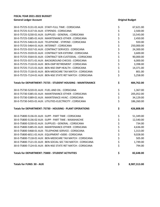| 30-0-75725-5131-01 AUX : STAFF-FULL TIME : CORSICANA          | \$         | 67,621.00    |
|---------------------------------------------------------------|------------|--------------|
| 30-0-75725-5137-01 AUX: STIPENDS: CORSICANA                   | \$<br>\$   | 2,500.00     |
| 30-0-75725-5230-01 AUX : SUPPLIES - GENERAL : CORSICANA       |            | 13,543.00    |
| 30-0-75725-5385-01 AUX: MAINTENANCE-OTHER: CORSICANA          |            | 2,450.00     |
| 30-0-75725-5463-01 AUX : TELEPHONE - STIPEND : CORSICANA      |            | 920.00       |
| 30-0-75725-5464-01 AUX : INTERNET : CORSICANA                 |            | 250,000.00   |
| 30-0-75725-5557-01 AUX: CONTRACT SERVICES: CORSICANA          |            | 24,300.00    |
| 30-0-75725-5559-01 AUX: CONTRACT SER-EXTERM: CORSICANA        |            | 3,600.00     |
| 30-0-75725-5564-01 AUX : CONTRACT SER-CUSTODIAL : CORSICANA   |            | 90,000.00    |
| 30-0-75725-5571-01 AUX: BACKGROUND CHECKS: CORSICANA          |            | 6,000.00     |
| 30-0-75725-7110-01 AUX: BEN-EMP RETIREMENT: CORSICANA         |            | 3,398.00     |
| 30-0-75725-7115-01 AUX : BEN-NSE EMP HEALTH : CORSICANA       | やややややややややや | 14,371.00    |
| 30-0-75725-7118-01 AUX: BEN-MEDICARE TAX MATCH: CORSICANA     |            | 801.00       |
| 30-0-75725-7124-01 AUX: BEN-NSE STATE RET MATCH: CORSICANA    |            | 5,258.00     |
| Totals for DEPARTMENT: 75725 - STUDENT HOUSING - MAINTENANCE  | \$         | 484,762.00   |
| 30-0-75730-5220-01 AUX: FUEL AND OIL: CORSICANA               | \$         | 1,367.00     |
| 30-0-75730-5385-01 AUX: MAINTENANCE-OTHER: CORSICANA          |            | 205,052.00   |
| 30-0-75730-5389-01 AUX: MAINTENACE-HVAC: CORSICANA            | \$\$\$     | 34,129.00    |
| 30-0-75730-5455-01 AUX : UTILITIES-ELECTRICITY : CORSICANA    |            | 186,260.00   |
| Totals for DEPARTMENT: 75730 - HOUSING - PLANT OPERATIONS     | \$         | 426,808.00   |
| 30-0-75800-5136-01 AUX: SUPP - PART TIME: CORSICANA           | \$         | 51,349.00    |
| 30-0-75800-5136-02 AUX : SUPP - PART TIME : WAXAHACHIE        |            | 12,540.00    |
| 30-0-75800-5230-01 AUX : SUPPLIES - GENERAL : CORSICANA       | ややみ        | 734.00       |
| 30-0-75800-5385-01 AUX: MAINTENANCE-OTHER: CORSICANA          |            | 4,636.00     |
| 30-0-75800-5468-01 AUX : TELEPHONE-SERVICE : CORSICANA        |            | 1,313.00     |
| 30-0-75800-6011-01 AUX : EQUIPMENT <5000 : CORSICANA          |            | 9,028.00     |
| 30-0-75800-7118-01 AUX: BEN-MEDICARE TAX MATCH: CORSICANA     | \$         | 505.00       |
| 30-0-75800-7121-01 AUX : BEN-SOCIAL SEC TAX MATCH : CORSICANA | \$         | 1,749.00     |
| 30-0-75800-7124-01 AUX: BEN-NSE STATE RET MATCH: CORSICANA    | \$         | 794.00       |
| Totals for DEPARTMENT: 75800 - STUDENT ACTIVITIES             | \$         | 82,648.00    |
| <b>Totals for FUND: 30 - AUX</b>                              | \$         | 8,987,313.00 |